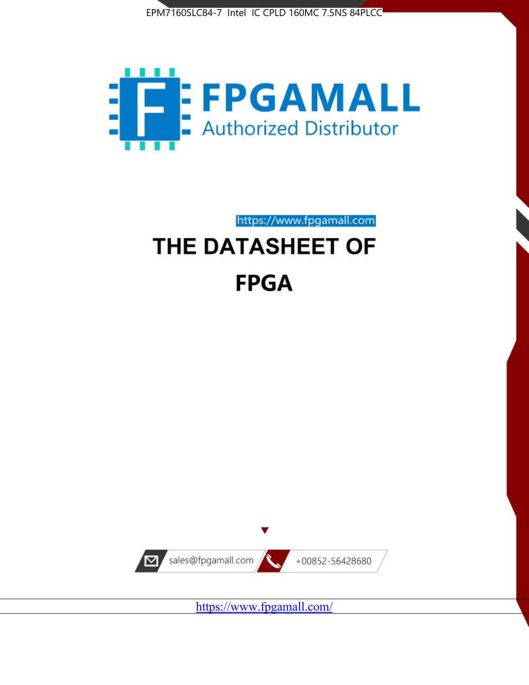



https://www.fpgamall.com

# THE DATASHEET OF **FPGA**



<https://www.fpgamall.com/>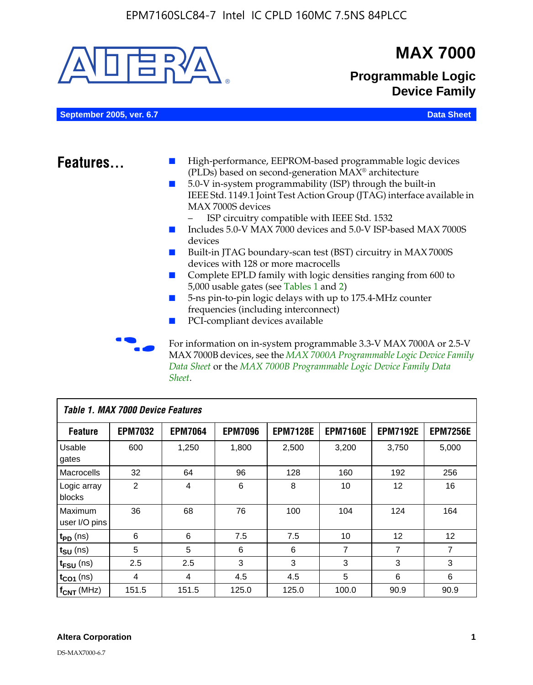

MAX 7000B devices, see the *MAX 7000A Programmable Logic Device Family Data Sheet* or the *MAX 7000B Programmable Logic Device Family Data Sheet*.

| <b>Table 1. MAX 7000 Device Features</b> |                |                |                |                 |                 |                 |                 |  |
|------------------------------------------|----------------|----------------|----------------|-----------------|-----------------|-----------------|-----------------|--|
| <b>Feature</b>                           | <b>EPM7032</b> | <b>EPM7064</b> | <b>EPM7096</b> | <b>EPM7128E</b> | <b>EPM7160E</b> | <b>EPM7192E</b> | <b>EPM7256E</b> |  |
| Usable<br>gates                          | 600            | 1,250          | 1,800          | 2,500           | 3,200           | 3,750           | 5,000           |  |
| Macrocells                               | 32             | 64             | 96             | 128             | 160             | 192             | 256             |  |
| Logic array<br>blocks                    | $\overline{2}$ | $\overline{4}$ | 6              | 8               | 10              | 12              | 16              |  |
| Maximum<br>user I/O pins                 | 36             | 68             | 76             | 100             | 104             | 124             | 164             |  |
| $t_{PD}$ (ns)                            | 6              | 6              | 7.5            | 7.5             | 10              | 12              | 12              |  |
| $t_{SU}$ (ns)                            | 5              | 5              | 6              | 6               | 7               | 7               | $\overline{7}$  |  |
| $t_{FSU}$ (ns)                           | 2.5            | 2.5            | 3              | 3               | 3               | 3               | 3               |  |
| $t_{CO1}$ (ns)                           | $\overline{4}$ | 4              | 4.5            | 4.5             | 5               | 6               | 6               |  |
| $f_{CNT}$ (MHz)                          | 151.5          | 151.5          | 125.0          | 125.0           | 100.0           | 90.9            | 90.9            |  |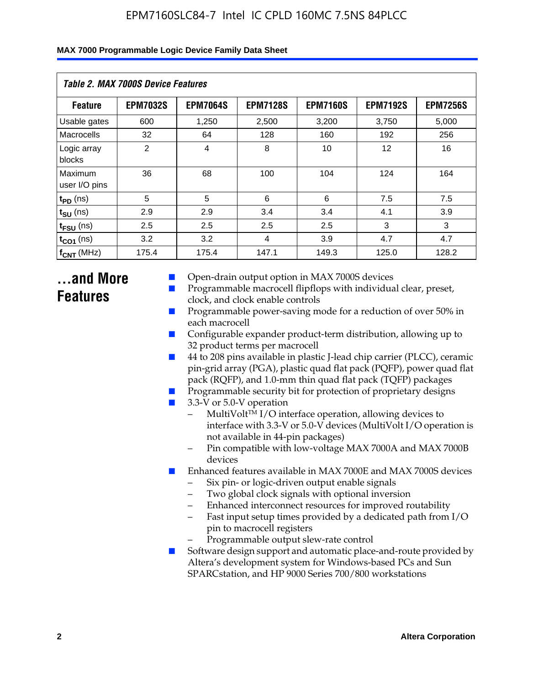| <b>Table 2. MAX 7000S Device Features</b> |                 |                 |                 |                 |                 |                 |  |  |
|-------------------------------------------|-----------------|-----------------|-----------------|-----------------|-----------------|-----------------|--|--|
| <b>Feature</b>                            | <b>EPM7032S</b> | <b>EPM7064S</b> | <b>EPM7128S</b> | <b>EPM7160S</b> | <b>EPM7192S</b> | <b>EPM7256S</b> |  |  |
| Usable gates                              | 600             | 1,250           | 2,500           | 3,200           | 3,750           | 5,000           |  |  |
| Macrocells                                | 32              | 64              | 128             | 160             | 192             | 256             |  |  |
| Logic array<br>blocks                     | $\overline{2}$  | $\overline{4}$  | 8               | 10              | 12              | 16              |  |  |
| Maximum<br>user I/O pins                  | 36              | 68              | 100             | 104             | 124             | 164             |  |  |
| $t_{PD}$ (ns)                             | 5               | 5               | 6               | 6               | 7.5             | 7.5             |  |  |
| $t_{\text{SU}}$ (ns)                      | 2.9             | 2.9             | 3.4             | 3.4             | 4.1             | 3.9             |  |  |
| $t_{\text{FSU}}$ (ns)                     | 2.5             | 2.5             | 2.5             | 2.5             | 3               | 3               |  |  |
| $t_{CO1}$ (ns)                            | 3.2             | 3.2             | 4               | 3.9             | 4.7             | 4.7             |  |  |
| $f_{CNT}$ (MHz)                           | 175.4           | 175.4           | 147.1           | 149.3           | 125.0           | 128.2           |  |  |

### **...and More Features**

- Open-drain output option in MAX 7000S devices
- Programmable macrocell flipflops with individual clear, preset, clock, and clock enable controls
- Programmable power-saving mode for a reduction of over 50% in each macrocell
- Configurable expander product-term distribution, allowing up to 32 product terms per macrocell
- 44 to 208 pins available in plastic J-lead chip carrier (PLCC), ceramic pin-grid array (PGA), plastic quad flat pack (PQFP), power quad flat pack (RQFP), and 1.0-mm thin quad flat pack (TQFP) packages
- Programmable security bit for protection of proprietary designs
- 3.3-V or 5.0-V operation
	- MultiVolt<sup>TM</sup> I/O interface operation, allowing devices to interface with 3.3-V or 5.0-V devices (MultiVolt I/O operation is not available in 44-pin packages)
	- Pin compatible with low-voltage MAX 7000A and MAX 7000B devices
- Enhanced features available in MAX 7000E and MAX 7000S devices
	- Six pin- or logic-driven output enable signals
	- Two global clock signals with optional inversion
	- Enhanced interconnect resources for improved routability
	- Fast input setup times provided by a dedicated path from I/O pin to macrocell registers
	- Programmable output slew-rate control
- Software design support and automatic place-and-route provided by Altera's development system for Windows-based PCs and Sun SPARCstation, and HP 9000 Series 700/800 workstations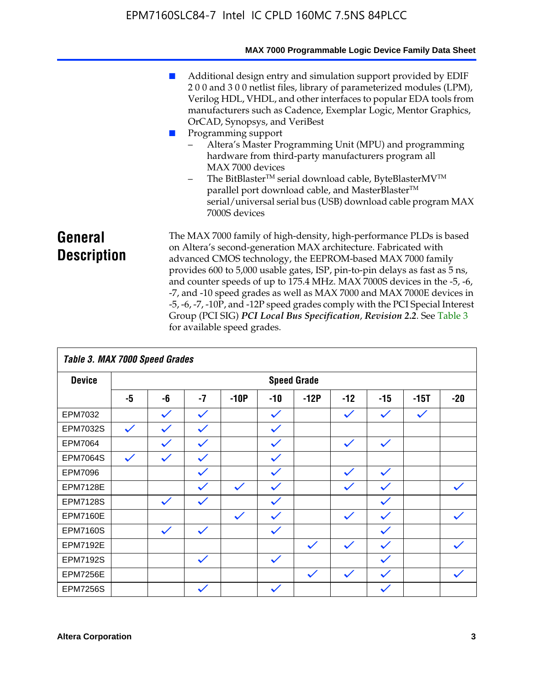|                               | MAX 7000 Programmable Logic Device Family Data Sheet                                                                                                                                                                                                                                                                                                                                                                                                                                                                                                                                                                                                                            |
|-------------------------------|---------------------------------------------------------------------------------------------------------------------------------------------------------------------------------------------------------------------------------------------------------------------------------------------------------------------------------------------------------------------------------------------------------------------------------------------------------------------------------------------------------------------------------------------------------------------------------------------------------------------------------------------------------------------------------|
|                               | Additional design entry and simulation support provided by EDIF<br>200 and 300 netlist files, library of parameterized modules (LPM),<br>Verilog HDL, VHDL, and other interfaces to popular EDA tools from<br>manufacturers such as Cadence, Exemplar Logic, Mentor Graphics,<br>OrCAD, Synopsys, and VeriBest<br>Programming support<br>Altera's Master Programming Unit (MPU) and programming<br>hardware from third-party manufacturers program all<br>MAX 7000 devices<br>The BitBlaster™ serial download cable, ByteBlasterMV™<br>$-$<br>parallel port download cable, and MasterBlaster™<br>serial/universal serial bus (USB) download cable program MAX<br>7000S devices |
| General<br><b>Description</b> | The MAX 7000 family of high-density, high-performance PLDs is based<br>on Altera's second-generation MAX architecture. Fabricated with<br>advanced CMOS technology, the EEPROM-based MAX 7000 family<br>provides 600 to 5,000 usable gates, ISP, pin-to-pin delays as fast as 5 ns,<br>and counter speeds of up to 175.4 MHz. MAX 7000S devices in the -5, -6,<br>-7, and -10 speed grades as well as MAX 7000 and MAX 7000E devices in<br>-5, -6, -7, -10P, and -12P speed grades comply with the PCI Special Interest<br>Group (PCI SIG) PCI Local Bus Specification, Revision 2.2. See Table 3                                                                               |

| Table 3. MAX 7000 Speed Grades |              |              |              |              |              |                    |              |              |              |              |
|--------------------------------|--------------|--------------|--------------|--------------|--------------|--------------------|--------------|--------------|--------------|--------------|
| <b>Device</b>                  |              |              |              |              |              | <b>Speed Grade</b> |              |              |              |              |
|                                | -5           | -6           | $-7$         | $-10P$       | -10          | $-12P$             | $-12$        | $-15$        | $-15T$       | $-20$        |
| EPM7032                        |              | $\checkmark$ | $\checkmark$ |              | $\checkmark$ |                    | $\checkmark$ | $\checkmark$ | $\checkmark$ |              |
| EPM7032S                       | $\checkmark$ | $\checkmark$ | $\checkmark$ |              | $\checkmark$ |                    |              |              |              |              |
| <b>EPM7064</b>                 |              | $\checkmark$ | $\checkmark$ |              | $\checkmark$ |                    | $\checkmark$ | $\checkmark$ |              |              |
| <b>EPM7064S</b>                | $\checkmark$ | $\checkmark$ | $\checkmark$ |              | $\checkmark$ |                    |              |              |              |              |
| <b>EPM7096</b>                 |              |              | $\checkmark$ |              | $\checkmark$ |                    | $\checkmark$ | $\checkmark$ |              |              |
| <b>EPM7128E</b>                |              |              | $\checkmark$ | $\checkmark$ | $\checkmark$ |                    | $\checkmark$ | $\checkmark$ |              | $\checkmark$ |
| <b>EPM7128S</b>                |              | $\checkmark$ | $\checkmark$ |              | $\checkmark$ |                    |              | $\checkmark$ |              |              |
| <b>EPM7160E</b>                |              |              |              | $\checkmark$ | $\checkmark$ |                    | $\checkmark$ | $\checkmark$ |              | $\checkmark$ |
| <b>EPM7160S</b>                |              | $\checkmark$ | $\checkmark$ |              | $\checkmark$ |                    |              | $\checkmark$ |              |              |
| <b>EPM7192E</b>                |              |              |              |              |              | $\checkmark$       | $\checkmark$ | $\checkmark$ |              |              |
| <b>EPM7192S</b>                |              |              | $\checkmark$ |              | $\checkmark$ |                    |              | $\checkmark$ |              |              |
| <b>EPM7256E</b>                |              |              |              |              |              | $\checkmark$       | $\checkmark$ | $\checkmark$ |              | $\checkmark$ |
| <b>EPM7256S</b>                |              |              | $\checkmark$ |              | $\checkmark$ |                    |              | $\checkmark$ |              |              |

for available speed grades.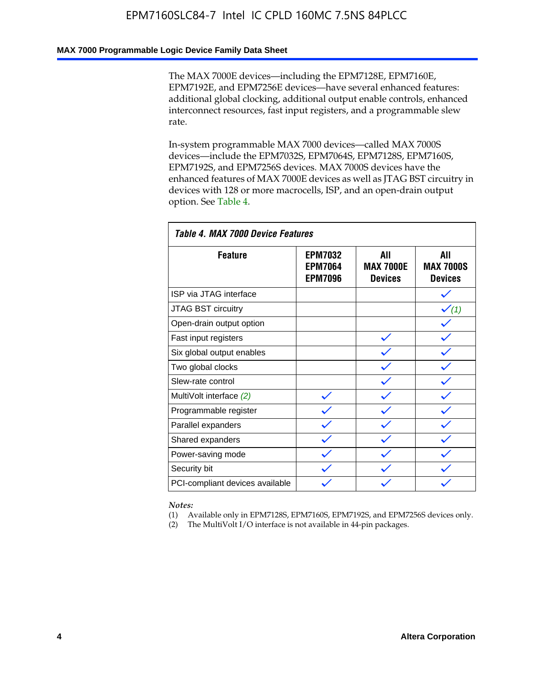### **MAX 7000 Programmable Logic Device Family Data Sheet**

The MAX 7000E devices—including the EPM7128E, EPM7160E, EPM7192E, and EPM7256E devices—have several enhanced features: additional global clocking, additional output enable controls, enhanced interconnect resources, fast input registers, and a programmable slew rate.

In-system programmable MAX 7000 devices—called MAX 7000S devices—include the EPM7032S, EPM7064S, EPM7128S, EPM7160S, EPM7192S, and EPM7256S devices. MAX 7000S devices have the enhanced features of MAX 7000E devices as well as JTAG BST circuitry in devices with 128 or more macrocells, ISP, and an open-drain output option. See Table 4.

| Table 4. MAX 7000 Device Features |                                                    |                                           |                                           |  |  |  |
|-----------------------------------|----------------------------------------------------|-------------------------------------------|-------------------------------------------|--|--|--|
| <b>Feature</b>                    | <b>EPM7032</b><br><b>EPM7064</b><br><b>EPM7096</b> | All<br><b>MAX 7000E</b><br><b>Devices</b> | All<br><b>MAX 7000S</b><br><b>Devices</b> |  |  |  |
| ISP via JTAG interface            |                                                    |                                           |                                           |  |  |  |
| JTAG BST circuitry                |                                                    |                                           | $\checkmark$ (1)                          |  |  |  |
| Open-drain output option          |                                                    |                                           |                                           |  |  |  |
| Fast input registers              |                                                    |                                           |                                           |  |  |  |
| Six global output enables         |                                                    |                                           |                                           |  |  |  |
| Two global clocks                 |                                                    |                                           |                                           |  |  |  |
| Slew-rate control                 |                                                    |                                           |                                           |  |  |  |
| MultiVolt interface (2)           |                                                    |                                           |                                           |  |  |  |
| Programmable register             |                                                    |                                           |                                           |  |  |  |
| Parallel expanders                |                                                    |                                           |                                           |  |  |  |
| Shared expanders                  |                                                    |                                           |                                           |  |  |  |
| Power-saving mode                 |                                                    |                                           |                                           |  |  |  |
| Security bit                      |                                                    |                                           |                                           |  |  |  |
| PCI-compliant devices available   |                                                    |                                           |                                           |  |  |  |

*Notes:*

(1) Available only in EPM7128S, EPM7160S, EPM7192S, and EPM7256S devices only.

(2) The MultiVolt I/O interface is not available in 44-pin packages.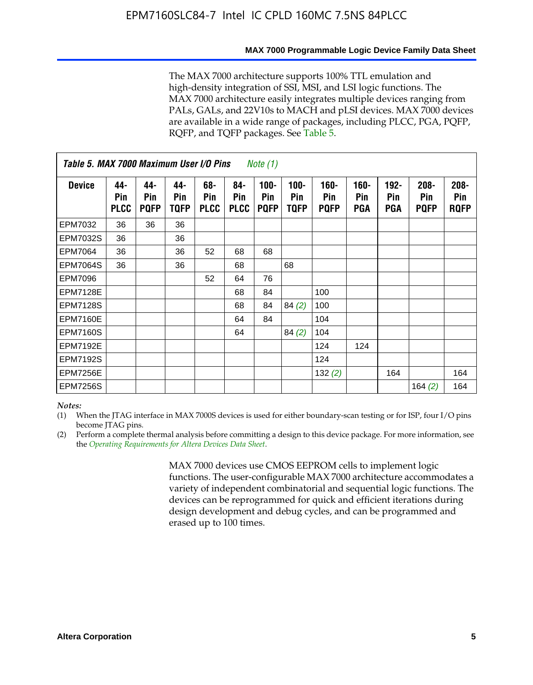#### **MAX 7000 Programmable Logic Device Family Data Sheet**

The MAX 7000 architecture supports 100% TTL emulation and high-density integration of SSI, MSI, and LSI logic functions. The MAX 7000 architecture easily integrates multiple devices ranging from PALs, GALs, and 22V10s to MACH and pLSI devices. MAX 7000 devices are available in a wide range of packages, including PLCC, PGA, PQFP, RQFP, and TQFP packages. See Table 5.

| Table 5. MAX 7000 Maximum User I/O Pins<br><i>Note</i> $(1)$ |                           |                           |                           |                           |                           |                               |                        |                               |                              |                              |                               |                               |
|--------------------------------------------------------------|---------------------------|---------------------------|---------------------------|---------------------------|---------------------------|-------------------------------|------------------------|-------------------------------|------------------------------|------------------------------|-------------------------------|-------------------------------|
| <b>Device</b>                                                | 44-<br>Pin<br><b>PLCC</b> | 44-<br>Pin<br><b>PQFP</b> | 44-<br>Pin<br><b>TOFP</b> | 68-<br>Pin<br><b>PLCC</b> | 84-<br>Pin<br><b>PLCC</b> | $100 -$<br>Pin<br><b>PQFP</b> | $100 -$<br>Pin<br>TQFP | $160 -$<br>Pin<br><b>PQFP</b> | $160 -$<br>Pin<br><b>PGA</b> | $192 -$<br>Pin<br><b>PGA</b> | $208 -$<br>Pin<br><b>PQFP</b> | $208 -$<br>Pin<br><b>RQFP</b> |
| EPM7032                                                      | 36                        | 36                        | 36                        |                           |                           |                               |                        |                               |                              |                              |                               |                               |
| <b>EPM7032S</b>                                              | 36                        |                           | 36                        |                           |                           |                               |                        |                               |                              |                              |                               |                               |
| <b>EPM7064</b>                                               | 36                        |                           | 36                        | 52                        | 68                        | 68                            |                        |                               |                              |                              |                               |                               |
| <b>EPM7064S</b>                                              | 36                        |                           | 36                        |                           | 68                        |                               | 68                     |                               |                              |                              |                               |                               |
| <b>EPM7096</b>                                               |                           |                           |                           | 52                        | 64                        | 76                            |                        |                               |                              |                              |                               |                               |
| <b>EPM7128E</b>                                              |                           |                           |                           |                           | 68                        | 84                            |                        | 100                           |                              |                              |                               |                               |
| <b>EPM7128S</b>                                              |                           |                           |                           |                           | 68                        | 84                            | 84(2)                  | 100                           |                              |                              |                               |                               |
| <b>EPM7160E</b>                                              |                           |                           |                           |                           | 64                        | 84                            |                        | 104                           |                              |                              |                               |                               |
| EPM7160S                                                     |                           |                           |                           |                           | 64                        |                               | 84(2)                  | 104                           |                              |                              |                               |                               |
| <b>EPM7192E</b>                                              |                           |                           |                           |                           |                           |                               |                        | 124                           | 124                          |                              |                               |                               |
| <b>EPM7192S</b>                                              |                           |                           |                           |                           |                           |                               |                        | 124                           |                              |                              |                               |                               |
| <b>EPM7256E</b>                                              |                           |                           |                           |                           |                           |                               |                        | 132(2)                        |                              | 164                          |                               | 164                           |
| <b>EPM7256S</b>                                              |                           |                           |                           |                           |                           |                               |                        |                               |                              |                              | 164 $(2)$                     | 164                           |

#### *Notes:*

(1) When the JTAG interface in MAX 7000S devices is used for either boundary-scan testing or for ISP, four I/O pins become JTAG pins.

(2) Perform a complete thermal analysis before committing a design to this device package. For more information, see the *Operating Requirements for Altera Devices Data Sheet*.

> MAX 7000 devices use CMOS EEPROM cells to implement logic functions. The user-configurable MAX 7000 architecture accommodates a variety of independent combinatorial and sequential logic functions. The devices can be reprogrammed for quick and efficient iterations during design development and debug cycles, and can be programmed and erased up to 100 times.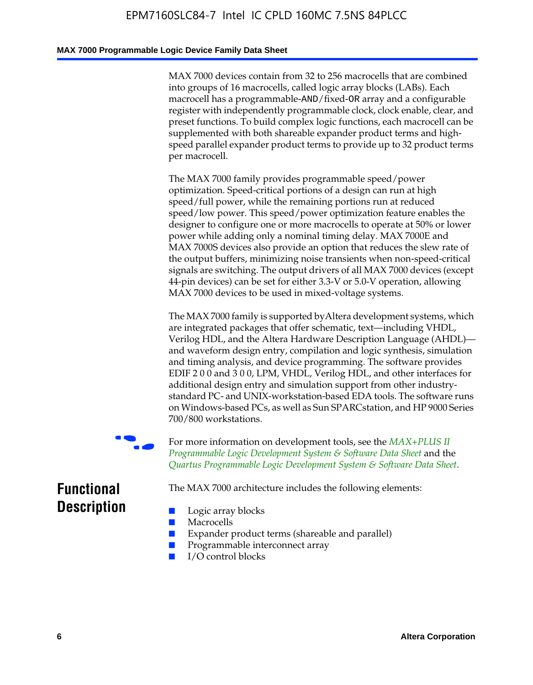#### **MAX 7000 Programmable Logic Device Family Data Sheet**

MAX 7000 devices contain from 32 to 256 macrocells that are combined into groups of 16 macrocells, called logic array blocks (LABs). Each macrocell has a programmable-AND/fixed-OR array and a configurable register with independently programmable clock, clock enable, clear, and preset functions. To build complex logic functions, each macrocell can be supplemented with both shareable expander product terms and highspeed parallel expander product terms to provide up to 32 product terms per macrocell.

The MAX 7000 family provides programmable speed/power optimization. Speed-critical portions of a design can run at high speed/full power, while the remaining portions run at reduced speed/low power. This speed/power optimization feature enables the designer to configure one or more macrocells to operate at 50% or lower power while adding only a nominal timing delay. MAX 7000E and MAX 7000S devices also provide an option that reduces the slew rate of the output buffers, minimizing noise transients when non-speed-critical signals are switching. The output drivers of all MAX 7000 devices (except 44-pin devices) can be set for either 3.3-V or 5.0-V operation, allowing MAX 7000 devices to be used in mixed-voltage systems.

The MAX 7000 family is supported byAltera development systems, which are integrated packages that offer schematic, text—including VHDL, Verilog HDL, and the Altera Hardware Description Language (AHDL) and waveform design entry, compilation and logic synthesis, simulation and timing analysis, and device programming. The [software provides](http://www.altera.com/literature/ds/dsmii.pdf)  [EDIF 2 0 0 and 3 0 0, LPM, VHDL, Verilog HDL, and other in](http://www.altera.com/literature/ds/dsmii.pdf)terfaces for [additional design entry and simulation support from other industry](http://www.altera.com/literature/ds/quartus.pdf)standard PC- and UNIX-workstation-based EDA tools. The software runs on Windows-based PCs, as well as Sun SPARCstation, and HP 9000 Series 700/800 workstations.

For more information on development tools, see the **MAX+PLUS II** *Programmable Logic Development System & Software Data Sheet* and the *Quartus Programmable Logic Development System & Software Data Sheet*.

The MAX 7000 architecture includes the following elements:

### **Functional Description**

- Logic array blocks
- **Macrocells**
- Expander product terms (shareable and parallel)
- Programmable interconnect array
- I/O control blocks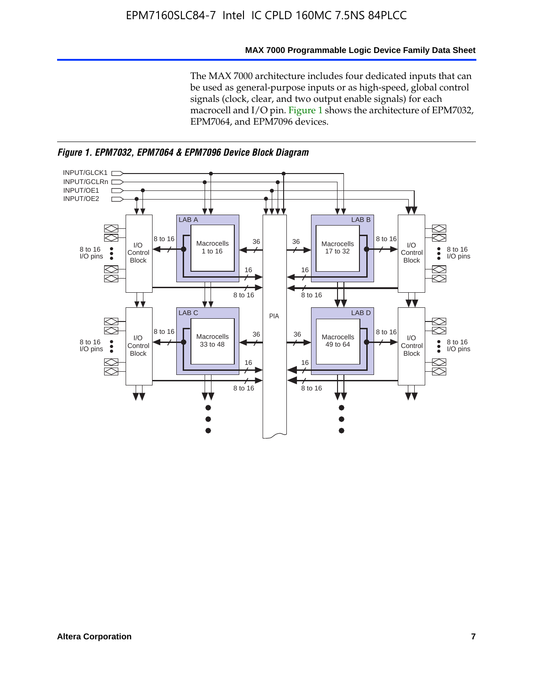#### **MAX 7000 Programmable Logic Device Family Data Sheet**

The MAX 7000 architecture includes four dedicated inputs that can be used as general-purpose inputs or as high-speed, global control signals (clock, clear, and two output enable signals) for each macrocell and I/O pin. Figure 1 shows the architecture of EPM7032, EPM7064, and EPM7096 devices.



*Figure 1. EPM7032, EPM7064 & EPM7096 Device Block Diagram*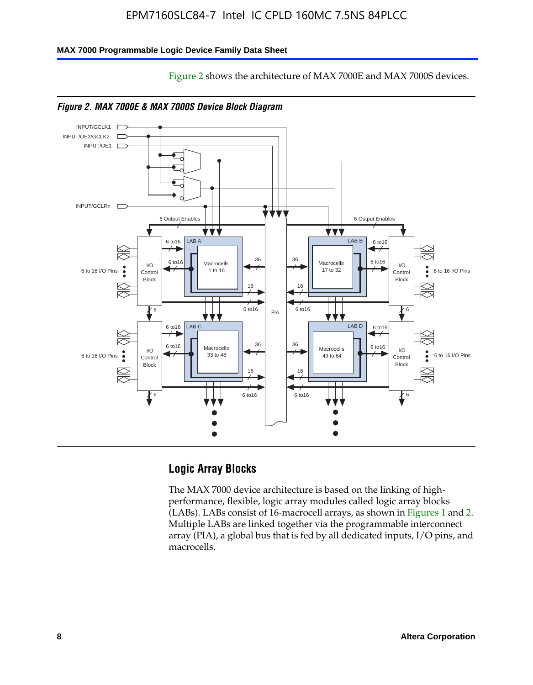Figure 2 shows the architecture of MAX 7000E and MAX 7000S devices.

#### **MAX 7000 Programmable Logic Device Family Data Sheet**





*Figure 2. MAX 7000E & MAX 7000S Device Block Diagram*

### **Logic Array Blocks**

The MAX 7000 device architecture is based on the linking of highperformance, flexible, logic array modules called logic array blocks (LABs). LABs consist of 16-macrocell arrays, as shown in Figures 1 and 2. Multiple LABs are linked together via the programmable interconnect array (PIA), a global bus that is fed by all dedicated inputs, I/O pins, and macrocells.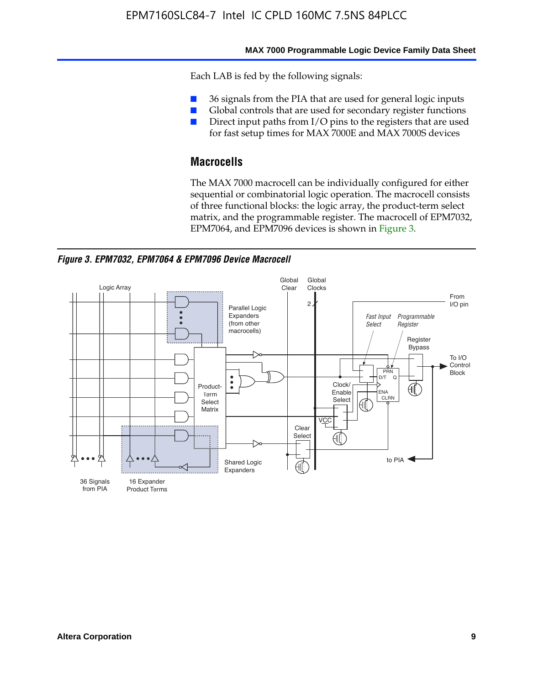#### **MAX 7000 Programmable Logic Device Family Data Sheet**

Each LAB is fed by the following signals:

- 36 signals from the PIA that are used for general logic inputs
- Global controls that are used for secondary register functions
- Direct input paths from I/O pins to the registers that are used for fast setup times for MAX 7000E and MAX 7000S devices

### **Macrocells**

The MAX 7000 macrocell can be individually configured for either sequential or combinatorial logic operation. The macrocell consists of three functional blocks: the logic array, the product-term select matrix, and the programmable register. The macrocell of EPM7032, EPM7064, and EPM7096 devices is shown in Figure 3.

*Figure 3. EPM7032, EPM7064 & EPM7096 Device Macrocell*

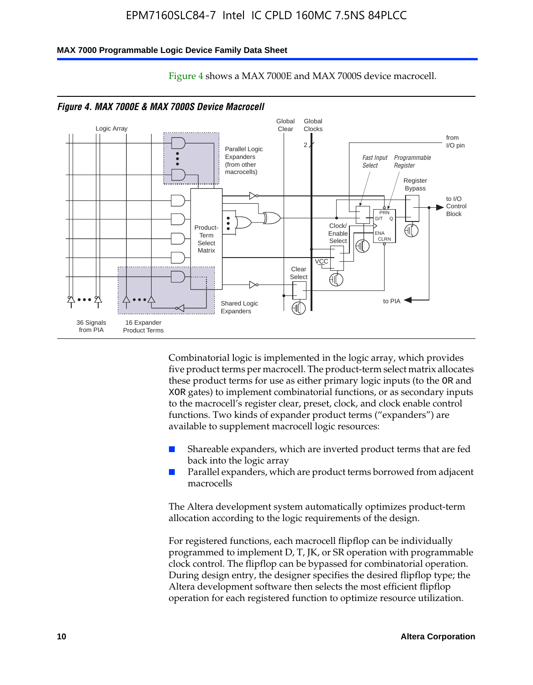#### **MAX 7000 Programmable Logic Device Family Data Sheet**



Figure 4 shows a MAX 7000E and MAX 7000S device macrocell.

Combinatorial logic is implemented in the logic array, which provides five product terms per macrocell. The product-term select matrix allocates these product terms for use as either primary logic inputs (to the OR and XOR gates) to implement combinatorial functions, or as secondary inputs to the macrocell's register clear, preset, clock, and clock enable control functions. Two kinds of expander product terms ("expanders") are available to supplement macrocell logic resources:

- Shareable expanders, which are inverted product terms that are fed back into the logic array
- Parallel expanders, which are product terms borrowed from adjacent macrocells

The Altera development system automatically optimizes product-term allocation according to the logic requirements of the design.

For registered functions, each macrocell flipflop can be individually programmed to implement D, T, JK, or SR operation with programmable clock control. The flipflop can be bypassed for combinatorial operation. During design entry, the designer specifies the desired flipflop type; the Altera development software then selects the most efficient flipflop operation for each registered function to optimize resource utilization.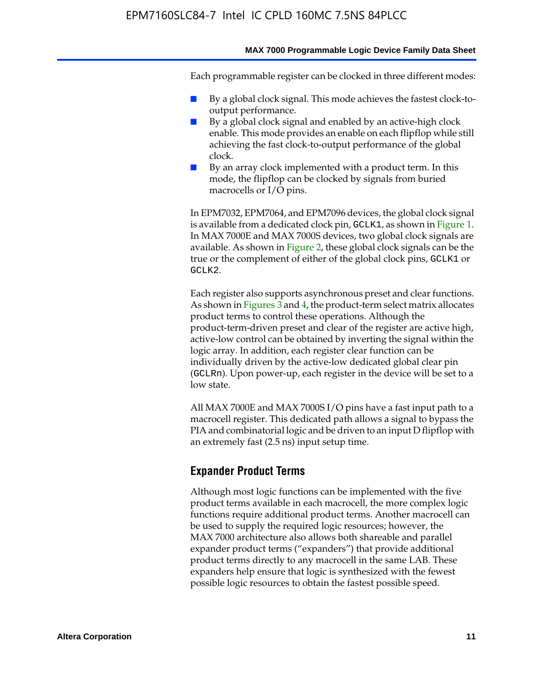#### **MAX 7000 Programmable Logic Device Family Data Sheet**

Each programmable register can be clocked in three different modes:

- By a global clock signal. This mode achieves the fastest clock-tooutput performance.
- By a global clock signal and enabled by an active-high clock enable. This mode provides an enable on each flipflop while still achieving the fast clock-to-output performance of the global clock.
- By an array clock implemented with a product term. In this mode, the flipflop can be clocked by signals from buried macrocells or I/O pins.

In EPM7032, EPM7064, and EPM7096 devices, the global clock signal is available from a dedicated clock pin, GCLK1, as shown in Figure 1. In MAX 7000E and MAX 7000S devices, two global clock signals are available. As shown in Figure 2, these global clock signals can be the true or the complement of either of the global clock pins, GCLK1 or GCLK2.

Each register also supports asynchronous preset and clear functions. As shown in Figures 3 and 4, the product-term select matrix allocates product terms to control these operations. Although the product-term-driven preset and clear of the register are active high, active-low control can be obtained by inverting the signal within the logic array. In addition, each register clear function can be individually driven by the active-low dedicated global clear pin (GCLRn). Upon power-up, each register in the device will be set to a low state.

All MAX 7000E and MAX 7000S I/O pins have a fast input path to a macrocell register. This dedicated path allows a signal to bypass the PIA and combinatorial logic and be driven to an input D flipflop with an extremely fast (2.5 ns) input setup time.

### **Expander Product Terms**

Although most logic functions can be implemented with the five product terms available in each macrocell, the more complex logic functions require additional product terms. Another macrocell can be used to supply the required logic resources; however, the MAX 7000 architecture also allows both shareable and parallel expander product terms ("expanders") that provide additional product terms directly to any macrocell in the same LAB. These expanders help ensure that logic is synthesized with the fewest possible logic resources to obtain the fastest possible speed.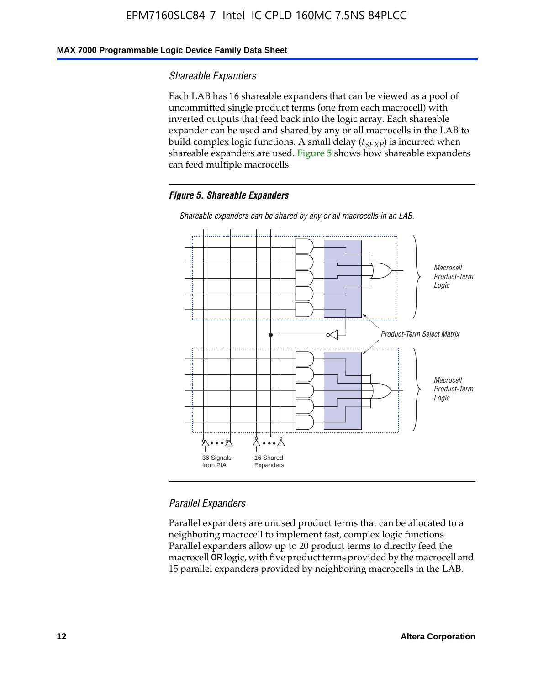### **MAX 7000 Programmable Logic Device Family Data Sheet**

#### *Shareable Expanders*

Each LAB has 16 shareable expanders that can be viewed as a pool of uncommitted single product terms (one from each macrocell) with inverted outputs that feed back into the logic array. Each shareable expander can be used and shared by any or all macrocells in the LAB to build complex logic functions. A small delay ( $t_{SEXP}$ ) is incurred when shareable expanders are used. Figure 5 shows how shareable expanders can feed multiple macrocells.

#### *Figure 5. Shareable Expanders*



*Shareable expanders can be shared by any or all macrocells in an LAB.*

### *Parallel Expanders*

Parallel expanders are unused product terms that can be allocated to a neighboring macrocell to implement fast, complex logic functions. Parallel expanders allow up to 20 product terms to directly feed the macrocell OR logic, with five product terms provided by the macrocell and 15 parallel expanders provided by neighboring macrocells in the LAB.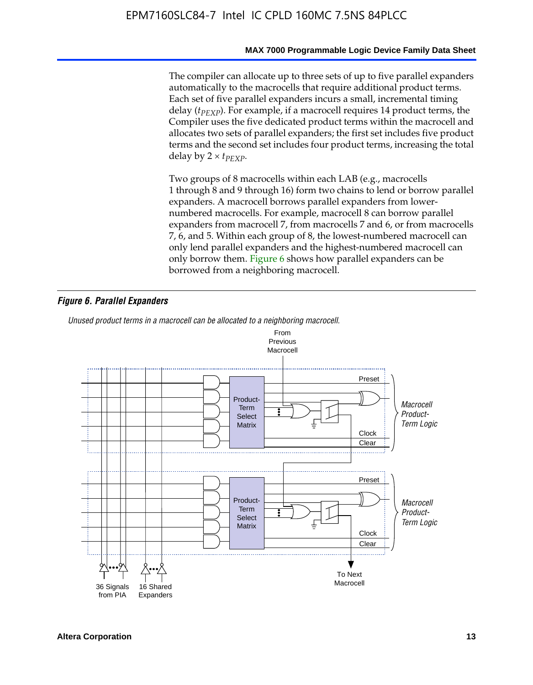#### **MAX 7000 Programmable Logic Device Family Data Sheet**

The compiler can allocate up to three sets of up to five parallel expanders automatically to the macrocells that require additional product terms. Each set of five parallel expanders incurs a small, incremental timing delay (*t<sub>PEXP</sub>*). For example, if a macrocell requires 14 product terms, the Compiler uses the five dedicated product terms within the macrocell and allocates two sets of parallel expanders; the first set includes five product terms and the second set includes four product terms, increasing the total delay by  $2 \times t_{PFXP}$ .

Two groups of 8 macrocells within each LAB (e.g., macrocells 1 through 8 and 9 through 16) form two chains to lend or borrow parallel expanders. A macrocell borrows parallel expanders from lowernumbered macrocells. For example, macrocell 8 can borrow parallel expanders from macrocell 7, from macrocells 7 and 6, or from macrocells 7, 6, and 5. Within each group of 8, the lowest-numbered macrocell can only lend parallel expanders and the highest-numbered macrocell can only borrow them. Figure 6 shows how parallel expanders can be borrowed from a neighboring macrocell.

#### *Figure 6. Parallel Expanders*

*Unused product terms in a macrocell can be allocated to a neighboring macrocell.*

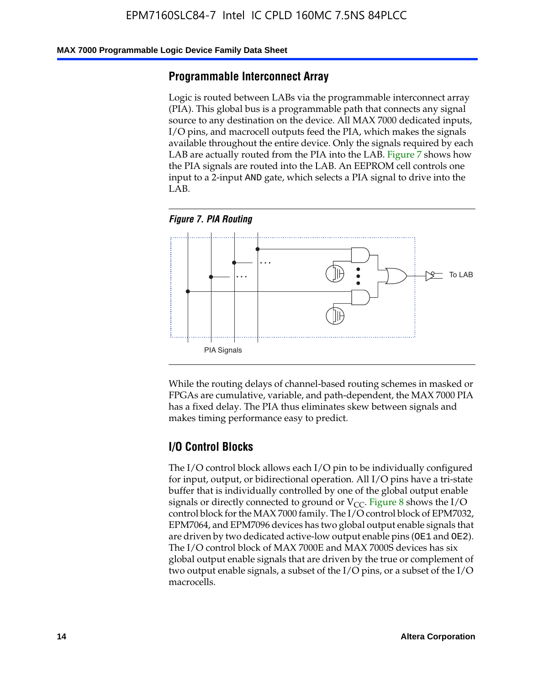#### **MAX 7000 Programmable Logic Device Family Data Sheet**

### **Programmable Interconnect Array**

Logic is routed between LABs via the programmable interconnect array (PIA). This global bus is a programmable path that connects any signal source to any destination on the device. All MAX 7000 dedicated inputs, I/O pins, and macrocell outputs feed the PIA, which makes the signals available throughout the entire device. Only the signals required by each LAB are actually routed from the PIA into the LAB. Figure 7 shows how the PIA signals are routed into the LAB. An EEPROM cell controls one input to a 2-input AND gate, which selects a PIA signal to drive into the LAB.





While the routing delays of channel-based routing schemes in masked or FPGAs are cumulative, variable, and path-dependent, the MAX 7000 PIA has a fixed delay. The PIA thus eliminates skew between signals and makes timing performance easy to predict.

### **I/O Control Blocks**

The I/O control block allows each I/O pin to be individually configured for input, output, or bidirectional operation. All I/O pins have a tri-state buffer that is individually controlled by one of the global output enable signals or directly connected to ground or  $V_{CC}$ . Figure 8 shows the I/O control block for the MAX 7000 family. The I/O control block of EPM7032, EPM7064, and EPM7096 devices has two global output enable signals that are driven by two dedicated active-low output enable pins (OE1 and OE2). The I/O control block of MAX 7000E and MAX 7000S devices has six global output enable signals that are driven by the true or complement of two output enable signals, a subset of the I/O pins, or a subset of the I/O macrocells.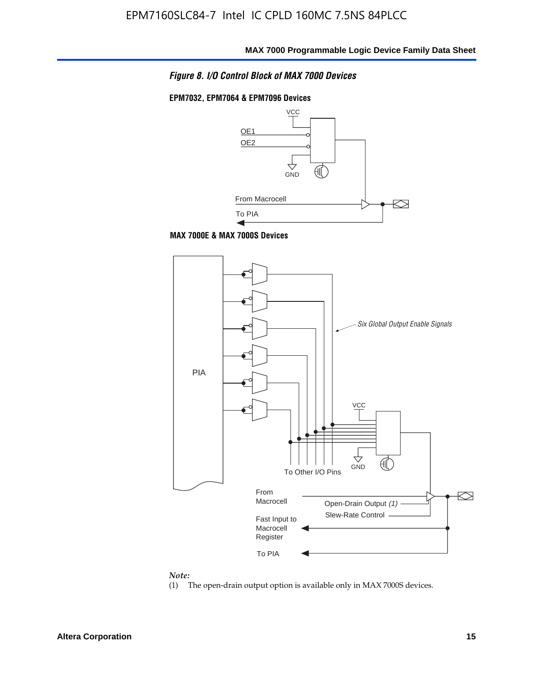

### **EPM7032, EPM7064 & EPM7096 Devices**







#### *Note:*

(1) The open-drain output option is available only in MAX 7000S devices.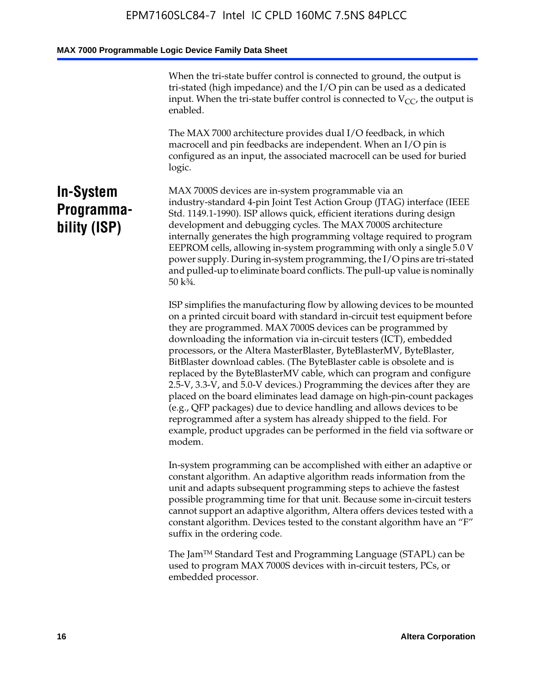When the tri-state buffer control is connected to ground, the output is tri-stated (high impedance) and the I/O pin can be used as a dedicated input. When the tri-state buffer control is connected to  $V_{CC}$ , the output is enabled.

The MAX 7000 architecture provides dual I/O feedback, in which macrocell and pin feedbacks are independent. When an I/O pin is configured as an input, the associated macrocell can be used for buried logic.

### **In-System Programmability (ISP)**

MAX 7000S devices are in-system programmable via an industry-standard 4-pin Joint Test Action Group (JTAG) interface (IEEE Std. 1149.1-1990). ISP allows quick, efficient iterations during design development and debugging cycles. The MAX 7000S architecture internally generates the high programming voltage required to program EEPROM cells, allowing in-system programming with only a single 5.0 V power supply. During in-system programming, the I/O pins are tri-stated and pulled-up to eliminate board conflicts. The pull-up value is nominally 50 k¾.

ISP simplifies the manufacturing flow by allowing devices to be mounted on a printed circuit board with standard in-circuit test equipment before they are programmed. MAX 7000S devices can be programmed by downloading the information via in-circuit testers (ICT), embedded processors, or the Altera MasterBlaster, ByteBlasterMV, ByteBlaster, BitBlaster download cables. (The ByteBlaster cable is obsolete and is replaced by the ByteBlasterMV cable, which can program and configure 2.5-V, 3.3-V, and 5.0-V devices.) Programming the devices after they are placed on the board eliminates lead damage on high-pin-count packages (e.g., QFP packages) due to device handling and allows devices to be reprogrammed after a system has already shipped to the field. For example, product upgrades can be performed in the field via software or modem.

In-system programming can be accomplished with either an adaptive or constant algorithm. An adaptive algorithm reads information from the unit and adapts subsequent programming steps to achieve the fastest possible programming time for that unit. Because some in-circuit testers cannot support an adaptive algorithm, Altera offers devices tested with a constant algorithm. Devices tested to the constant algorithm have an "F" suffix in the ordering code.

The Jam™ Standard Test and Programming Language (STAPL) can be used to program MAX 7000S devices with in-circuit testers, PCs, or embedded processor.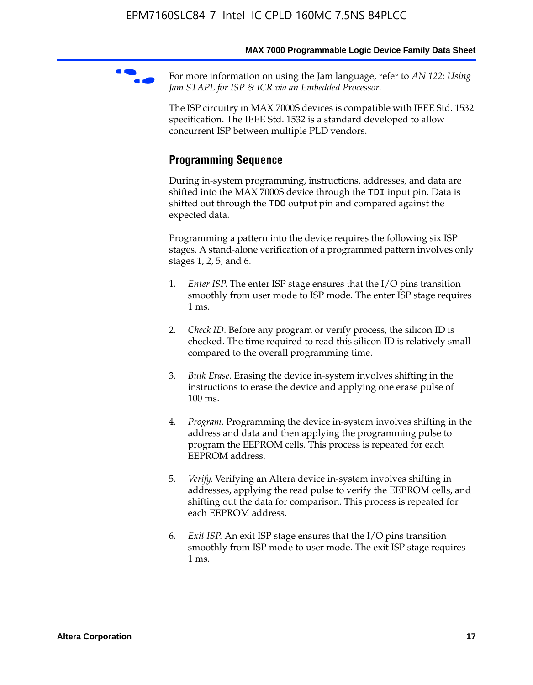For more information on using the Jam language, refer to *AN* 122: Using *Jam STAPL for ISP & ICR via an Embedded Processor*.

The ISP circuitry in MAX 7000S devices is compatible with IEEE Std. 1532 specification. The IEEE Std. 1532 is a standard developed to allow concurrent ISP between multiple PLD vendors.

### **Programming Sequence**

During in-system programming, instructions, addresses, and data are shifted into the MAX 7000S device through the TDI input pin. Data is shifted out through the TDO output pin and compared against the expected data.

Programming a pattern into the device requires the following six ISP stages. A stand-alone verification of a programmed pattern involves only stages 1, 2, 5, and 6.

- 1. *Enter ISP*. The enter ISP stage ensures that the I/O pins transition smoothly from user mode to ISP mode. The enter ISP stage requires 1 ms.
- 2. *Check ID*. Before any program or verify process, the silicon ID is checked. The time required to read this silicon ID is relatively small compared to the overall programming time.
- 3. *Bulk Erase*. Erasing the device in-system involves shifting in the instructions to erase the device and applying one erase pulse of 100 ms.
- 4. *Program*. Programming the device in-system involves shifting in the address and data and then applying the programming pulse to program the EEPROM cells. This process is repeated for each EEPROM address.
- 5. *Verify*. Verifying an Altera device in-system involves shifting in addresses, applying the read pulse to verify the EEPROM cells, and shifting out the data for comparison. This process is repeated for each EEPROM address.
- 6. *Exit ISP*. An exit ISP stage ensures that the I/O pins transition smoothly from ISP mode to user mode. The exit ISP stage requires 1 ms.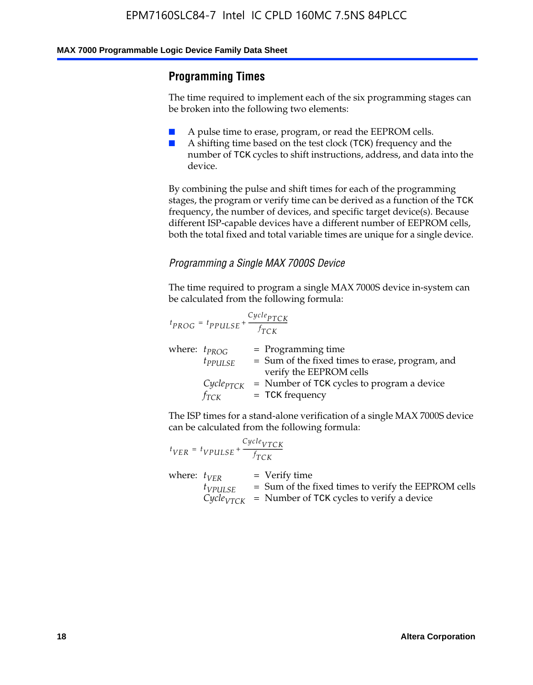### **Programming Times**

The time required to implement each of the six programming stages can be broken into the following two elements:

- A pulse time to erase, program, or read the EEPROM cells.
- A shifting time based on the test clock (TCK) frequency and the number of TCK cycles to shift instructions, address, and data into the device.

By combining the pulse and shift times for each of the programming stages, the program or verify time can be derived as a function of the TCK frequency, the number of devices, and specific target device(s). Because different ISP-capable devices have a different number of EEPROM cells, both the total fixed and total variable times are unique for a single device.

### *Programming a Single MAX 7000S Device*

The time required to program a single MAX 7000S device in-system can be calculated from the following formula:

$$
t_{PROG} = t_{PPULSE} + \frac{C_{ycle_{PTCK}}}{f_{TCK}}
$$
  
where:  $t_{PROG}$  = Programming time  
 $t_{PPULSE}$  = Sum of the fixed times to erase, program, and  
verify the EEPROM cells  
 $C_{ycle_{PTCK}}$  = Number of TCK cycles to program a device  
 $f_{TCK}$  = TCK frequency

The ISP times for a stand-alone verification of a single MAX 7000S device can be calculated from the following formula:

|                  | $t_{VER} = t_{VPULSE} + \frac{Cycle_{VTCK}}{f_{TCK}}$ |                                                                                                                                 |
|------------------|-------------------------------------------------------|---------------------------------------------------------------------------------------------------------------------------------|
| where: $t_{VFR}$ | $t_{VPULSE}$                                          | = Verify time<br>$=$ Sum of the fixed times to verify the EEPROM cells<br>$CycleVTCK$ = Number of TCK cycles to verify a device |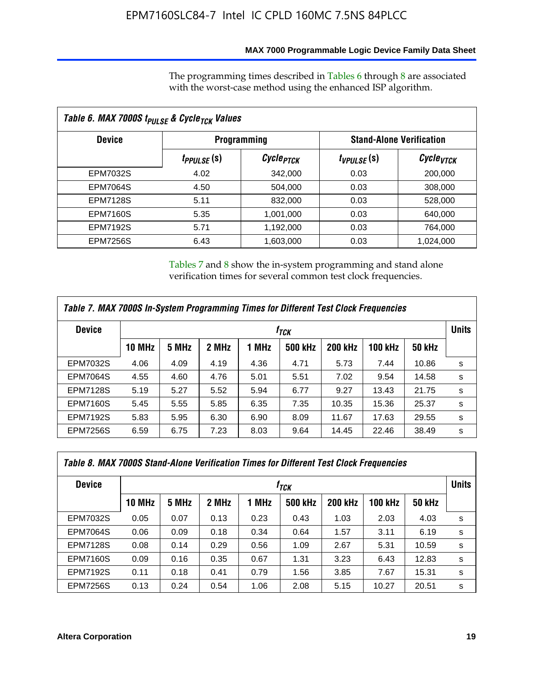### **MAX 7000 Programmable Logic Device Family Data Sheet**

The programming times described in Tables 6 through 8 are associated with the worst-case method using the enhanced ISP algorithm.

| Table 6. MAX 7000S t <sub>PULSE</sub> & Cycle <sub>TCK</sub> Values |                         |                       |                 |                                 |  |  |  |
|---------------------------------------------------------------------|-------------------------|-----------------------|-----------------|---------------------------------|--|--|--|
| <b>Device</b>                                                       |                         | <b>Programming</b>    |                 | <b>Stand-Alone Verification</b> |  |  |  |
|                                                                     | t <sub>PPULSE</sub> (S) | Cycle <sub>PTCK</sub> | $t_{VPULSE}(s)$ | $\mathcal C$ ycle $_{VTCK}$     |  |  |  |
| EPM7032S                                                            | 4.02                    | 342,000               | 0.03            | 200,000                         |  |  |  |
| <b>EPM7064S</b>                                                     | 4.50                    | 504,000               | 0.03            | 308,000                         |  |  |  |
| <b>EPM7128S</b>                                                     | 5.11                    | 832,000               | 0.03            | 528,000                         |  |  |  |
| <b>EPM7160S</b>                                                     | 5.35                    | 1,001,000             | 0.03            | 640,000                         |  |  |  |
| <b>EPM7192S</b>                                                     | 5.71                    | 1,192,000             | 0.03            | 764,000                         |  |  |  |
| <b>EPM7256S</b>                                                     | 6.43                    | 1,603,000             | 0.03            | 1,024,000                       |  |  |  |

Tables 7 and 8 show the in-system programming and stand alone verification times for several common test clock frequencies.

| Table 7. MAX 7000S In-System Programming Times for Different Test Clock Frequencies |                    |       |       |       |                |                |                |               |              |
|-------------------------------------------------------------------------------------|--------------------|-------|-------|-------|----------------|----------------|----------------|---------------|--------------|
| <b>Device</b>                                                                       | $t_{\textit{TCK}}$ |       |       |       |                |                |                |               | <b>Units</b> |
|                                                                                     | <b>10 MHz</b>      | 5 MHz | 2 MHz | 1 MHz | <b>500 kHz</b> | <b>200 kHz</b> | <b>100 kHz</b> | <b>50 kHz</b> |              |
| <b>EPM7032S</b>                                                                     | 4.06               | 4.09  | 4.19  | 4.36  | 4.71           | 5.73           | 7.44           | 10.86         | s            |
| <b>EPM7064S</b>                                                                     | 4.55               | 4.60  | 4.76  | 5.01  | 5.51           | 7.02           | 9.54           | 14.58         | s            |
| <b>EPM7128S</b>                                                                     | 5.19               | 5.27  | 5.52  | 5.94  | 6.77           | 9.27           | 13.43          | 21.75         | s            |
| <b>EPM7160S</b>                                                                     | 5.45               | 5.55  | 5.85  | 6.35  | 7.35           | 10.35          | 15.36          | 25.37         | s            |
| <b>EPM7192S</b>                                                                     | 5.83               | 5.95  | 6.30  | 6.90  | 8.09           | 11.67          | 17.63          | 29.55         | s            |
| <b>EPM7256S</b>                                                                     | 6.59               | 6.75  | 7.23  | 8.03  | 9.64           | 14.45          | 22.46          | 38.49         | s            |

| Table 8. MAX 7000S Stand-Alone Verification Times for Different Test Clock Frequencies |               |                  |       |       |                |                |                |               |              |
|----------------------------------------------------------------------------------------|---------------|------------------|-------|-------|----------------|----------------|----------------|---------------|--------------|
| <b>Device</b>                                                                          |               | † <sub>TCK</sub> |       |       |                |                |                |               | <b>Units</b> |
|                                                                                        | <b>10 MHz</b> | 5 MHz            | 2 MHz | 1 MHz | <b>500 kHz</b> | <b>200 kHz</b> | <b>100 kHz</b> | <b>50 kHz</b> |              |
| <b>EPM7032S</b>                                                                        | 0.05          | 0.07             | 0.13  | 0.23  | 0.43           | 1.03           | 2.03           | 4.03          | s            |
| <b>EPM7064S</b>                                                                        | 0.06          | 0.09             | 0.18  | 0.34  | 0.64           | 1.57           | 3.11           | 6.19          | s            |
| <b>EPM7128S</b>                                                                        | 0.08          | 0.14             | 0.29  | 0.56  | 1.09           | 2.67           | 5.31           | 10.59         | s            |
| <b>EPM7160S</b>                                                                        | 0.09          | 0.16             | 0.35  | 0.67  | 1.31           | 3.23           | 6.43           | 12.83         | s            |
| <b>EPM7192S</b>                                                                        | 0.11          | 0.18             | 0.41  | 0.79  | 1.56           | 3.85           | 7.67           | 15.31         | s            |
| <b>EPM7256S</b>                                                                        | 0.13          | 0.24             | 0.54  | 1.06  | 2.08           | 5.15           | 10.27          | 20.51         | s            |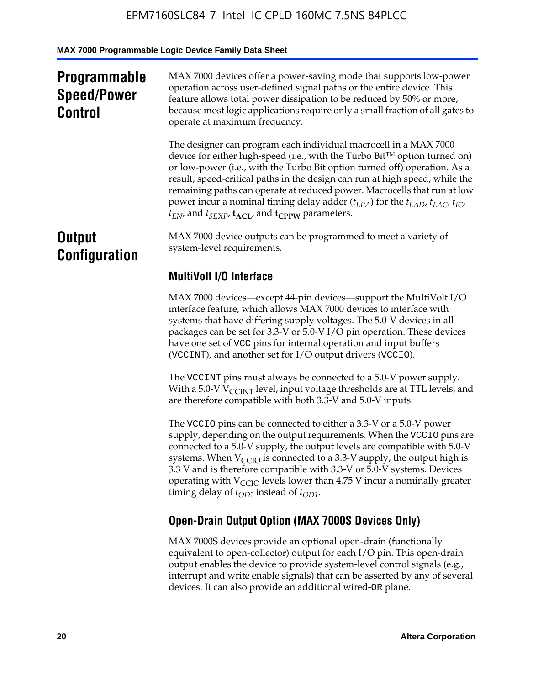## **Programmable Speed/Power Control**

MAX 7000 devices offer a power-saving mode that supports low-power operation across user-defined signal paths or the entire device. This feature allows total power dissipation to be reduced by 50% or more, because most logic applications require only a small fraction of all gates to operate at maximum frequency.

The designer can program each individual macrocell in a MAX 7000 device for either high-speed (i.e., with the Turbo  $Bit^{TM}$  option turned on) or low-power (i.e., with the Turbo Bit option turned off) operation. As a result, speed-critical paths in the design can run at high speed, while the remaining paths can operate at reduced power. Macrocells that run at low power incur a nominal timing delay adder  $(t_{LPA})$  for the  $t_{LAD}$ ,  $t_{LAC}$ ,  $t_{IC}$ ,  $t_{EN}$ , and  $t_{SEXP}$ ,  $t_{ACL}$ , and  $t_{CPPW}$  parameters.

### **Output Configuration**

MAX 7000 device outputs can be programmed to meet a variety of system-level requirements.

### **MultiVolt I/O Interface**

MAX 7000 devices—except 44-pin devices—support the MultiVolt I/O interface feature, which allows MAX 7000 devices to interface with systems that have differing supply voltages. The 5.0-V devices in all packages can be set for 3.3-V or 5.0-V I/O pin operation. These devices have one set of VCC pins for internal operation and input buffers (VCCINT), and another set for I/O output drivers (VCCIO).

The VCCINT pins must always be connected to a 5.0-V power supply. With a 5.0-V  $V_{\text{CCINT}}$  level, input voltage thresholds are at TTL levels, and are therefore compatible with both 3.3-V and 5.0-V inputs.

The VCCIO pins can be connected to either a 3.3-V or a 5.0-V power supply, depending on the output requirements. When the VCCIO pins are connected to a 5.0-V supply, the output levels are compatible with 5.0-V systems. When  $V_{\text{CGO}}$  is connected to a 3.3-V supply, the output high is 3.3 V and is therefore compatible with 3.3-V or 5.0-V systems. Devices operating with  $V_{\text{CCIO}}$  levels lower than 4.75 V incur a nominally greater timing delay of  $t_{OD2}$  instead of  $t_{OD1}$ .

### **Open-Drain Output Option (MAX 7000S Devices Only)**

MAX 7000S devices provide an optional open-drain (functionally equivalent to open-collector) output for each I/O pin. This open-drain output enables the device to provide system-level control signals (e.g., interrupt and write enable signals) that can be asserted by any of several devices. It can also provide an additional wired-OR plane.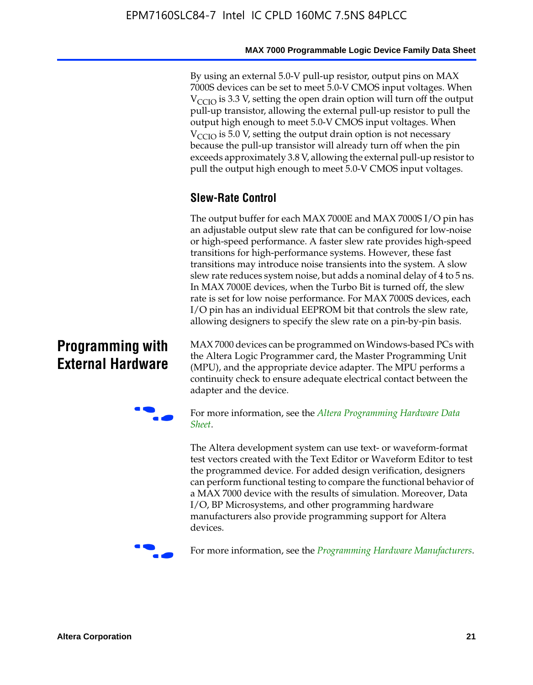By using an external 5.0-V pull-up resistor, output pins on MAX 7000S devices can be set to meet 5.0-V CMOS input voltages. When  $V<sub>CCIO</sub>$  is 3.3 V, setting the open drain option will turn off the output pull-up transistor, allowing the external pull-up resistor to pull the output high enough to meet 5.0-V CMOS input voltages. When  $V_{\text{CCIO}}$  is 5.0 V, setting the output drain option is not necessary because the pull-up transistor will already turn off when the pin exceeds approximately 3.8 V, allowing the external pull-up resistor to pull the output high enough to meet 5.0-V CMOS input voltages.

### **Slew-Rate Control**

The output buffer for each MAX 7000E and MAX 7000S I/O pin has an adjustable output slew rate that can be configured for low-noise or high-speed performance. A faster slew rate provides high-speed transitions for high-performance systems. However, these fast transitions may introduce noise transients into the system. A slow slew rate reduces system noise, but adds a nominal delay of 4 to 5 ns. In MAX 7000E devices, when the Turbo Bit is turned off, the slew rate is set for low noise performance. For MAX 7000S devices, each I/O pin has an individual EEPROM bit that controls the slew rate, allowing designers to specify the slew rate on a pin-by-pin basis.

### **Programming with External Hardware**

[MAX](http://www.altera.com/literature/ds/dspghd.pdf) 7000 devices can be prog[rammed on Windows-based PCs with](http://www.altera.com/literature/ds/dspghd.pdf)  the Altera Logic Programmer card, the Master Programming Unit (MPU), and the appropriate device adapter. The MPU performs a continuity check to ensure adequate electrical contact between the adapter and the device.



For more information, see the *Altera Programming Hardware Data Sheet*.

The Altera development system can use text- or waveform-format test vectors created with the Text Editor or Waveform Editor to test the programmed device. For added design verification, designers can perform functional testing to compare the functional behavior of a MAX 7000 device with the results of simulation. Moreover, Data I/O, BP Microsystems, and other programming hardware manufacturers also provide programming support for Altera devices.



For more information, see the *Programming Hardware Manufacturers*.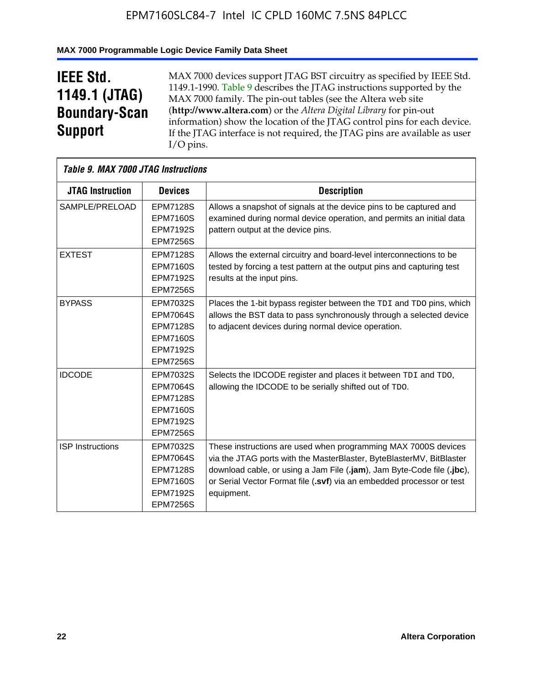### **MAX 7000 Programmable Logic Device Family Data Sheet**

## **IEEE Std. 1149.1 (JTAG) Boundary-Scan Support**

 $\mathsf{r}$ 

MAX 7000 devices support JTAG BST circuitry as specified by IEEE Std. 1149.1-1990. Table 9 describes the JTAG instructions supported by the MAX 7000 family. The pin-out tables (see the Altera web site (**http://www.altera.com**) or the *Altera Digital Library* for pin-out information) show the location of the JTAG control pins for each device. If the JTAG interface is not required, the JTAG pins are available as user I/O pins.

| Table 9. MAX 7000 JTAG Instructions |                                                                                                                |                                                                                                                                                                                                                                                                                                         |
|-------------------------------------|----------------------------------------------------------------------------------------------------------------|---------------------------------------------------------------------------------------------------------------------------------------------------------------------------------------------------------------------------------------------------------------------------------------------------------|
| <b>JTAG Instruction</b>             | <b>Devices</b>                                                                                                 | <b>Description</b>                                                                                                                                                                                                                                                                                      |
| SAMPLE/PRELOAD                      | <b>EPM7128S</b><br><b>EPM7160S</b><br><b>EPM7192S</b><br><b>EPM7256S</b>                                       | Allows a snapshot of signals at the device pins to be captured and<br>examined during normal device operation, and permits an initial data<br>pattern output at the device pins.                                                                                                                        |
| <b>EXTEST</b>                       | <b>EPM7128S</b><br><b>EPM7160S</b><br><b>EPM7192S</b><br><b>EPM7256S</b>                                       | Allows the external circuitry and board-level interconnections to be<br>tested by forcing a test pattern at the output pins and capturing test<br>results at the input pins.                                                                                                                            |
| <b>BYPASS</b>                       | EPM7032S<br><b>EPM7064S</b><br><b>EPM7128S</b><br><b>EPM7160S</b><br><b>EPM7192S</b><br><b>EPM7256S</b>        | Places the 1-bit bypass register between the TDI and TDO pins, which<br>allows the BST data to pass synchronously through a selected device<br>to adjacent devices during normal device operation.                                                                                                      |
| <b>IDCODE</b>                       | EPM7032S<br><b>EPM7064S</b><br><b>EPM7128S</b><br><b>EPM7160S</b><br><b>EPM7192S</b><br><b>EPM7256S</b>        | Selects the IDCODE register and places it between TDI and TDO,<br>allowing the IDCODE to be serially shifted out of TDO.                                                                                                                                                                                |
| <b>ISP</b> Instructions             | <b>EPM7032S</b><br><b>EPM7064S</b><br><b>EPM7128S</b><br><b>EPM7160S</b><br><b>EPM7192S</b><br><b>EPM7256S</b> | These instructions are used when programming MAX 7000S devices<br>via the JTAG ports with the MasterBlaster, ByteBlasterMV, BitBlaster<br>download cable, or using a Jam File (.jam), Jam Byte-Code file (.jbc),<br>or Serial Vector Format file (.svf) via an embedded processor or test<br>equipment. |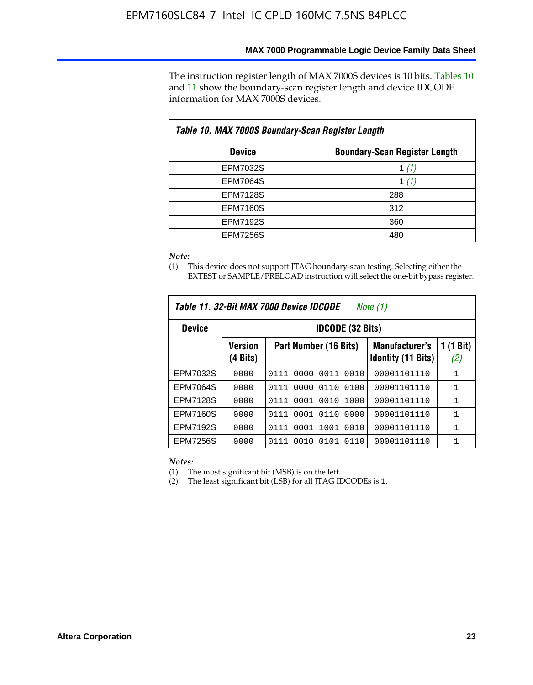The instruction register length of MAX 7000S devices is 10 bits. Tables 10 and 11 show the boundary-scan register length and device IDCODE information for MAX 7000S devices.

| Table 10. MAX 7000S Boundary-Scan Register Length |                                      |  |  |  |  |  |
|---------------------------------------------------|--------------------------------------|--|--|--|--|--|
| <b>Device</b>                                     | <b>Boundary-Scan Register Length</b> |  |  |  |  |  |
| <b>EPM7032S</b>                                   | 1 $(1)$                              |  |  |  |  |  |
| <b>EPM7064S</b>                                   | 1 $(1)$                              |  |  |  |  |  |
| <b>EPM7128S</b>                                   | 288                                  |  |  |  |  |  |
| <b>EPM7160S</b>                                   | 312                                  |  |  |  |  |  |
| <b>EPM7192S</b>                                   | 360                                  |  |  |  |  |  |
| <b>EPM7256S</b>                                   | 480                                  |  |  |  |  |  |

*Note:*

(1) This device does not support JTAG boundary-scan testing. Selecting either the EXTEST or SAMPLE/PRELOAD instruction will select the one-bit bypass register.

| Table 11, 32-Bit MAX 7000 Device IDCODE<br>Note (1) |                            |                              |                                                    |                  |  |  |  |
|-----------------------------------------------------|----------------------------|------------------------------|----------------------------------------------------|------------------|--|--|--|
| <b>Device</b>                                       |                            | <b>IDCODE (32 Bits)</b>      |                                                    |                  |  |  |  |
|                                                     | <b>Version</b><br>(4 Bits) | Part Number (16 Bits)        | <b>Manufacturer's</b><br><b>Identity (11 Bits)</b> | 1 (1 Bit)<br>(2) |  |  |  |
| EPM7032S                                            | 0000                       | 0011<br>0010<br>0111<br>0000 | 00001101110                                        | 1                |  |  |  |
| <b>EPM7064S</b>                                     | 0000                       | 0110<br>0000<br>0100<br>0111 | 00001101110                                        | 1                |  |  |  |
| <b>EPM7128S</b>                                     | 0000                       | 0001 0010<br>1000<br>0111    | 00001101110                                        | $\mathbf{1}$     |  |  |  |
| <b>EPM7160S</b>                                     | 0000                       | 0110<br>0001<br>0000<br>0111 | 00001101110                                        | 1                |  |  |  |
| <b>EPM7192S</b>                                     | 0000                       | 1001<br>0010<br>0111<br>0001 | 00001101110                                        | 1                |  |  |  |
| <b>EPM7256S</b>                                     | 0000                       | 0111<br>0010<br>0101<br>0110 | 00001101110                                        | 1                |  |  |  |

*Notes:*

(1) The most significant bit (MSB) is on the left.

(2) The least significant bit (LSB) for all JTAG IDCODEs is 1.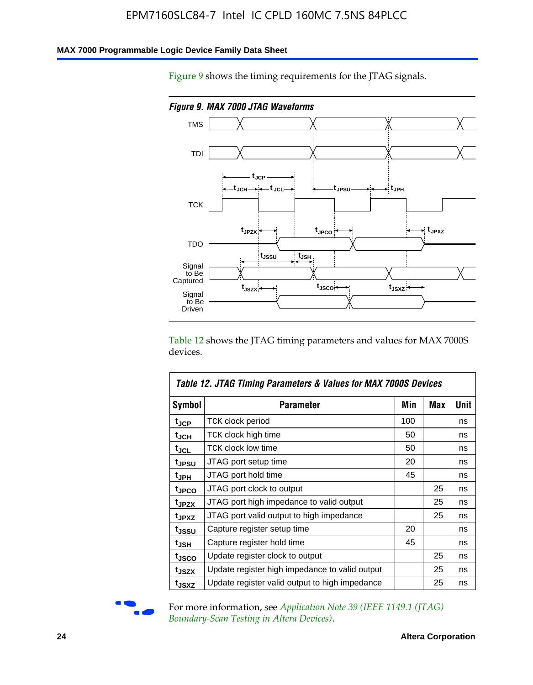### **MAX 7000 Programmable Logic Device Family Data Sheet**

Figure 9 shows the timing requirements for the JTAG signals.



Table 12 shows the JTAG timing parameters and values for MAX 7000S devices.

|                   | Table 12. JTAG Timing Parameters & Values for MAX 7000S Devices |     |     |             |
|-------------------|-----------------------------------------------------------------|-----|-----|-------------|
| <b>Symbol</b>     | Parameter                                                       | Min | Max | <b>Unit</b> |
| t <sub>JCP</sub>  | TCK clock period                                                | 100 |     | ns          |
| t <sub>JCH</sub>  | TCK clock high time                                             | 50  |     | ns          |
| $t_{\sf JCL}$     | <b>TCK clock low time</b>                                       | 50  |     | ns          |
| tjpsu             | JTAG port setup time                                            | 20  |     | ns          |
| t <sub>JPH</sub>  | JTAG port hold time                                             | 45  |     | ns          |
| tjpco             | JTAG port clock to output                                       |     | 25  | ns          |
| t <sub>JPZX</sub> | JTAG port high impedance to valid output                        |     | 25  | ns          |
| t <sub>JPXZ</sub> | JTAG port valid output to high impedance                        |     | 25  | ns          |
| t <sub>JSSU</sub> | Capture register setup time                                     | 20  |     | ns          |
| t <sub>JSH</sub>  | Capture register hold time                                      | 45  |     | ns          |
| tjsco             | Update register clock to output                                 |     | 25  | ns          |
| t <sub>JSZX</sub> | Update register high impedance to valid output                  |     | 25  | ns          |
| tjsxz             | Update register valid output to high impedance                  |     | 25  | ns          |



For more information, see *Application Note 39 (IEEE 1149.1 (JTAG) Boundary-Scan Testing in Altera Devices)*.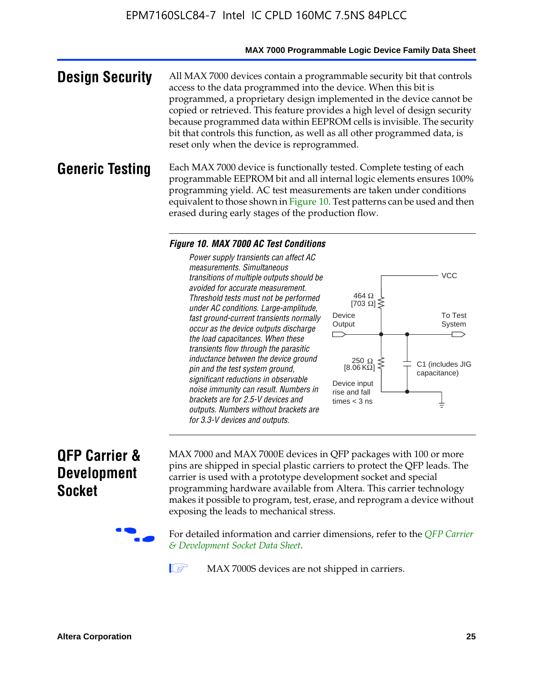#### **MAX 7000 Programmable Logic Device Family Data Sheet**

**Design Security** All MAX 7000 devices contain a programmable security bit that controls access to the data programmed into the device. When this bit is programmed, a proprietary design implemented in the device cannot be copied or retrieved. This feature provides a high level of design security because programmed data within EEPROM cells is invisible. The security bit that controls this function, as well as all other programmed data, is reset only when the device is reprogrammed.

### **Generic Testing** Each MAX 7000 device is functionally tested. Complete testing of each programmable EEPROM bit and all internal logic elements ensures 100% programming yield. AC test measurements are taken under conditions equivalent to those shown in Figure 10. Test patterns can be used and then erased during early stages of the production flow.

#### *Figure 10. MAX 7000 AC Test Conditions*

*Power supply transients can affect AC measurements. Simultaneous transitions of multiple outputs should be avoided for accurate measurement. Threshold tests must not be performed under AC conditions. Large-amplitude, fast ground-current transients normally occur as the device outputs discharge the load capacitances. When these transients flow through the parasitic inductance between the device ground pin and the test system ground, significant reductions in observable noise immunity can result. Numbers in brackets are for 2.5-V devices and outputs. Numbers without brackets are for 3.3-V devices and outputs.*



### **QFP Carrier & Development Socket**

MAX 7000 and MAX 7000E devices in QFP packages with 10[0 or more](http://www.altera.com/literature/ds/dsqfp.pdf)  [pins are shipped in special plas](http://www.altera.com/literature/ds/dsqfp.pdf)tic carriers to protect the QFP leads. The carrier is used with a prototype development socket and special programming hardware available from Altera. This carrier technology makes it possible to program, test, erase, and reprogram a device without exposing the leads to mechanical stress.

For detailed information and carrier dimensions, refer to the *QFP Carrier & Development Socket Data Sheet*.

MAX 7000S devices are not shipped in carriers.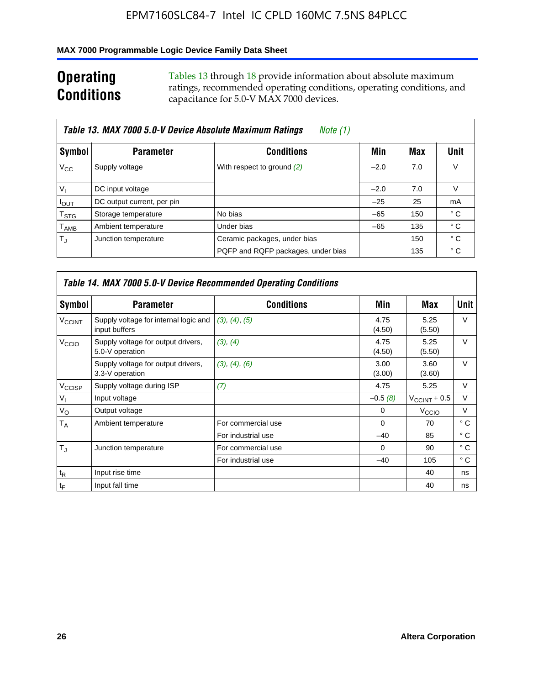### **MAX 7000 Programmable Logic Device Family Data Sheet**

## **Operating Conditions**

Tables 13 through 18 provide information about absolute maximum ratings, recommended operating conditions, operating conditions, and capacitance for 5.0-V MAX 7000 devices.

|                             | Table 13. MAX 7000 5.0-V Device Absolute Maximum Ratings | Note (1)                           |        |     |                |
|-----------------------------|----------------------------------------------------------|------------------------------------|--------|-----|----------------|
| Symbol                      | <b>Parameter</b>                                         | <b>Conditions</b>                  | Min    | Max | Unit           |
| $V_{\rm CC}$                | Supply voltage                                           | With respect to ground (2)         | $-2.0$ | 7.0 | V              |
| $V_{1}$                     | DC input voltage                                         |                                    | $-2.0$ | 7.0 | V              |
| $I_{OUT}$                   | DC output current, per pin                               |                                    | $-25$  | 25  | m <sub>A</sub> |
| $\mathsf{T}_{\textsf{STG}}$ | Storage temperature                                      | No bias                            | $-65$  | 150 | ° C            |
| $\mathsf{T}_{\mathsf{AMB}}$ | Ambient temperature                                      | Under bias                         | $-65$  | 135 | ° C            |
| $T_{\rm J}$                 | Junction temperature                                     | Ceramic packages, under bias       |        | 150 | $^{\circ}$ C   |
|                             |                                                          | PQFP and RQFP packages, under bias |        | 135 | ° C            |

|                          |                                                        | Table 14. MAX 7000 5.0-V Device Recommended Operating Conditions |                |                          |              |
|--------------------------|--------------------------------------------------------|------------------------------------------------------------------|----------------|--------------------------|--------------|
| Symbol                   | <b>Parameter</b>                                       | <b>Conditions</b>                                                | Min            | Max                      | Unit         |
| <b>V<sub>CCINT</sub></b> | Supply voltage for internal logic and<br>input buffers | (3), (4), (5)                                                    | 4.75<br>(4.50) | 5.25<br>(5.50)           | $\vee$       |
| V <sub>CCIO</sub>        | Supply voltage for output drivers,<br>5.0-V operation  | (3), (4)                                                         | 4.75<br>(4.50) | 5.25<br>(5.50)           | $\vee$       |
|                          | Supply voltage for output drivers,<br>3.3-V operation  | (3), (4), (6)                                                    | 3.00<br>(3.00) | 3.60<br>(3.60)           | $\vee$       |
| V <sub>CCISP</sub>       | Supply voltage during ISP                              | (7)                                                              | 4.75           | 5.25                     | V            |
| $V_{1}$                  | Input voltage                                          |                                                                  | $-0.5(8)$      | $V_{\text{CCINT}} + 0.5$ | $\vee$       |
| $V_{\rm O}$              | Output voltage                                         |                                                                  | 0              | V <sub>CCIO</sub>        | V            |
| T <sub>A</sub>           | Ambient temperature                                    | For commercial use                                               | $\Omega$       | 70                       | $^{\circ}$ C |
|                          |                                                        | For industrial use                                               | $-40$          | 85                       | °C           |
| $T_{\rm d}$              | Junction temperature                                   | For commercial use                                               | $\Omega$       | 90                       | ° C          |
|                          |                                                        | For industrial use                                               | $-40$          | 105                      | $^{\circ}$ C |
| $t_{R}$                  | Input rise time                                        |                                                                  |                | 40                       | ns           |
| $t_F$                    | Input fall time                                        |                                                                  |                | 40                       | ns           |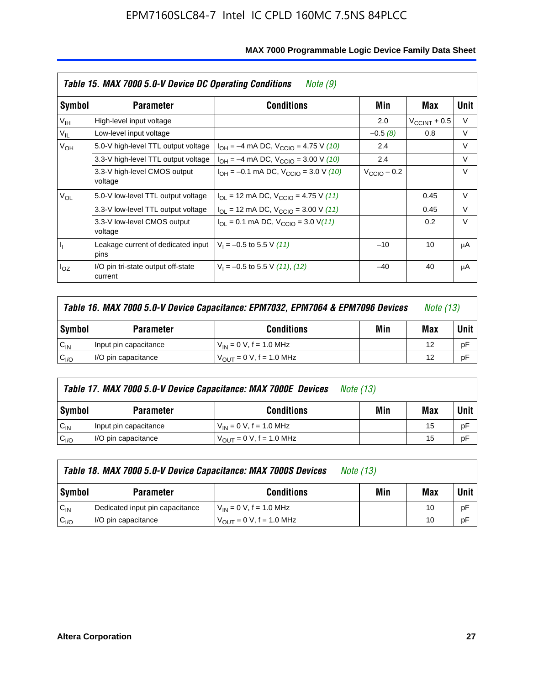|                 | Table 15. MAX 7000 5.0-V Device DC Operating Conditions | Note (9)                                                                  |                      |                          |        |
|-----------------|---------------------------------------------------------|---------------------------------------------------------------------------|----------------------|--------------------------|--------|
| Symbol          | <b>Parameter</b>                                        | <b>Conditions</b>                                                         | Min                  | Max                      | Unit   |
| V <sub>IH</sub> | High-level input voltage                                |                                                                           | 2.0                  | $V_{\text{CCINT}} + 0.5$ | V      |
| $V_{IL}$        | Low-level input voltage                                 |                                                                           | $-0.5(8)$            | 0.8                      | V      |
| $V_{OH}$        | 5.0-V high-level TTL output voltage                     | $I_{OH} = -4$ mA DC, $V_{CClO} = 4.75$ V (10)                             | 2.4                  |                          | V      |
|                 | 3.3-V high-level TTL output voltage                     | $I_{OH} = -4$ mA DC, $V_{CClO} = 3.00$ V (10)                             | 2.4                  |                          | $\vee$ |
|                 | 3.3-V high-level CMOS output<br>voltage                 | $I_{OH} = -0.1$ mA DC, $V_{CClO} = 3.0$ V (10)                            | $V_{\rm CClO}$ – 0.2 |                          | $\vee$ |
| $V_{OL}$        | 5.0-V low-level TTL output voltage                      | $I_{\text{OI}}$ = 12 mA DC, $V_{\text{CCIO}}$ = 4.75 V (11)               |                      | 0.45                     | V      |
|                 | 3.3-V low-level TTL output voltage                      | $I_{OL}$ = 12 mA DC, $V_{CCIO}$ = 3.00 V (11)                             |                      | 0.45                     | $\vee$ |
|                 | 3.3-V low-level CMOS output<br>voltage                  | $I_{\text{OI}} = 0.1 \text{ mA DC}, V_{\text{CCIO}} = 3.0 \text{ V} (11)$ |                      | 0.2                      | $\vee$ |
| I <sub>I</sub>  | Leakage current of dedicated input<br>pins              | $V_1 = -0.5$ to 5.5 V (11)                                                | $-10$                | 10                       | μA     |
| $I_{OZ}$        | I/O pin tri-state output off-state<br>current           | $V_1 = -0.5$ to 5.5 V (11), (12)                                          | $-40$                | 40                       | μA     |

|                  | Table 16. MAX 7000 5.0-V Device Capacitance: EPM7032, EPM7064 & EPM7096 Devices<br><i>Note (13)</i> |                                     |  |    |      |
|------------------|-----------------------------------------------------------------------------------------------------|-------------------------------------|--|----|------|
| Symbol           | Min<br><b>Conditions</b><br><b>Parameter</b>                                                        |                                     |  |    | Unit |
| $C_{IN}$         | Input pin capacitance                                                                               | $V_{IN} = 0 V$ , f = 1.0 MHz        |  | 12 | рF   |
| C <sub>I/O</sub> | I/O pin capacitance                                                                                 | $V_{\text{OUT}} = 0$ V, f = 1.0 MHz |  | 12 | рF   |

|                  | Table 17. MAX 7000 5.0-V Device Capacitance: MAX 7000E Devices | <i>Note (13)</i>               |     |     |        |
|------------------|----------------------------------------------------------------|--------------------------------|-----|-----|--------|
| Symbol           | <b>Parameter</b>                                               | <b>Conditions</b>              | Min | Max | Unit I |
| $C_{IN}$         | Input pin capacitance                                          | $V_{1N} = 0 V$ , f = 1.0 MHz   |     | 15  | pF     |
| C <sub>I/O</sub> | I/O pin capacitance                                            | $V_{OIII} = 0 V$ , f = 1.0 MHz |     | 15  | pF     |

|                  | Table 18. MAX 7000 5.0-V Device Capacitance: MAX 7000S Devices | <i>Note (13)</i>                    |     |     |        |
|------------------|----------------------------------------------------------------|-------------------------------------|-----|-----|--------|
| Symbol           | <b>Parameter</b>                                               | <b>Conditions</b>                   | Min | Max | Unit I |
| $C_{IN}$         | Dedicated input pin capacitance                                | $V_{IN} = 0 V$ , f = 1.0 MHz        |     | 10  | pF     |
| C <sub>I/O</sub> | I/O pin capacitance                                            | $V_{\text{OUT}} = 0$ V, f = 1.0 MHz |     | 10  | pF     |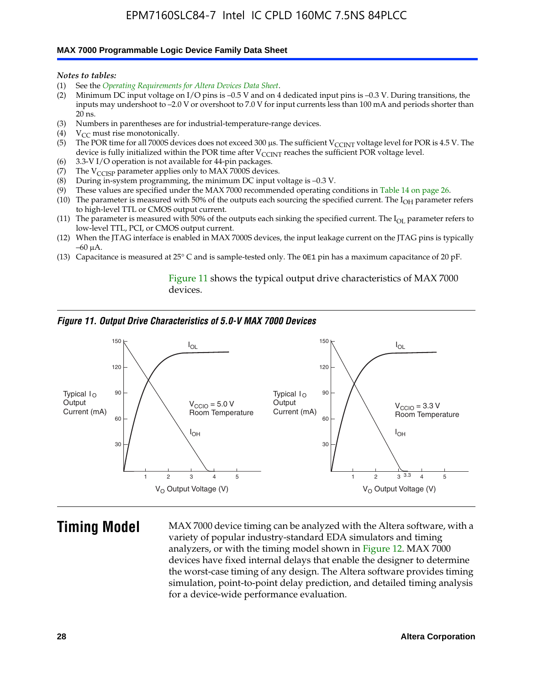#### **MAX 7000 Programmable Logic Device Family Data Sheet**

*Notes to tables:*

- (1) See the *Operating Requirements for Altera Devices Data Sheet*.
- (2) Minimum DC input voltage on I/O pins is –0.5 V and on 4 dedicated input pins is –0.3 V. During transitions, the inputs may undershoot to –2.0 V or overshoot to 7.0 V for input currents less than 100 mA and periods shorter than  $20$  ns.
- (3) Numbers in parentheses are for industrial-temperature-range devices.<br>(4)  $V_{CC}$  must rise monotonically.
- $V_{CC}$  must rise monotonically.
- (5) The POR time for all 7000S devices does not exceed 300 µs. The sufficient V<sub>CCINT</sub> voltage level for POR is 4.5 V. The device is fully initialized within the POR time after  $V_{\text{CCINT}}$  reaches the sufficient POR voltage level.
- (6) 3.3-V I/O operation is not available for 44-pin packages.
- (7) The  $V_{\text{CCISP}}$  parameter applies only to MAX 7000S devices.
- (8) During in-system programming, the minimum DC input voltage is –0.3 V.
- (9) These values are specified under the MAX 7000 recommended operating conditions in Table 14 on page 26.
- (10) The parameter is measured with 50% of the outputs each sourcing the specified current. The  $I_{OH}$  parameter refers to high-level TTL or CMOS output current.
- (11) The parameter is measured with 50% of the outputs each sinking the specified current. The  $I_{OL}$  parameter refers to low-level TTL, PCI, or CMOS output current.
- (12) When the JTAG interface is enabled in MAX 7000S devices, the input leakage current on the JTAG pins is typically –60 μA.
- (13) Capacitance is measured at 25° C and is sample-tested only. The OE1 pin has a maximum capacitance of 20 pF.

Figure 11 shows the typical output drive characteristics of MAX 7000 devices.

#### *Figure 11. Output Drive Characteristics of 5.0-V MAX 7000 Devices*



**Timing Model** MAX 7000 device timing can be analyzed with the Altera software, with a variety of popular industry-standard EDA simulators and timing analyzers, or with the timing model shown in Figure 12. MAX 7000 devices have fixed internal delays that enable the designer to determine the worst-case timing of any design. The Altera software provides timing simulation, point-to-point delay prediction, and detailed timing analysis for a device-wide performance evaluation.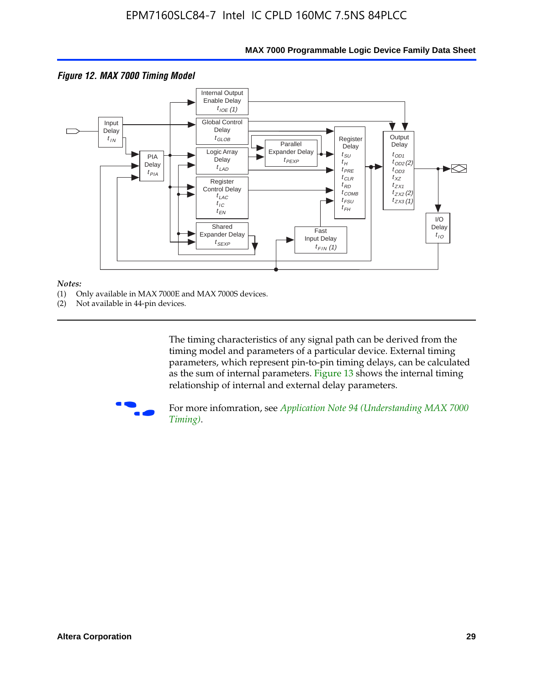

#### **MAX 7000 Programmable Logic Device Family Data Sheet**

#### *Notes:*

- (1) Only available in MAX 7000E and MAX 7000S devices.
- (2) Not available in 44-pin devices.

[The tim](http://www.altera.com/literature/an/an094.pdf)ing characteristics [of any signal path can be derived from the](http://www.altera.com/literature/an/an094.pdf)  timing model and parameters of a particular device. External timing parameters, which represent pin-to-pin timing delays, can be calculated as the sum of internal parameters. Figure 13 shows the internal timing relationship of internal and external delay parameters.



For more infomration, see *Application Note 94 (Understanding MAX 7000 Timing)*.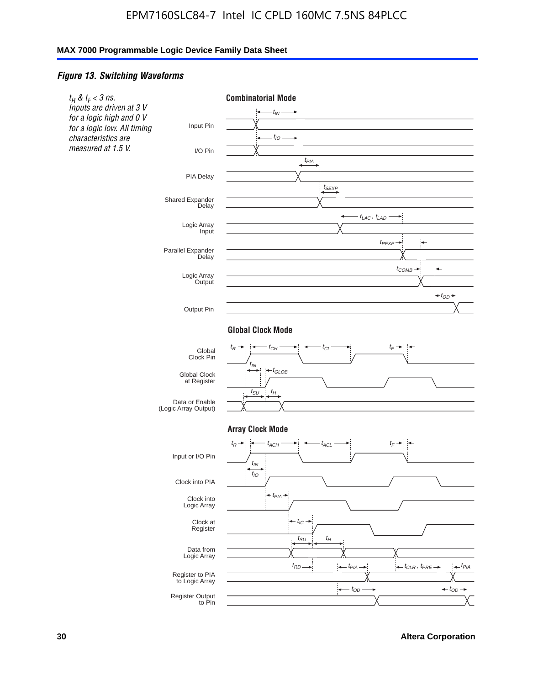### *Figure 13. Switching Waveforms*

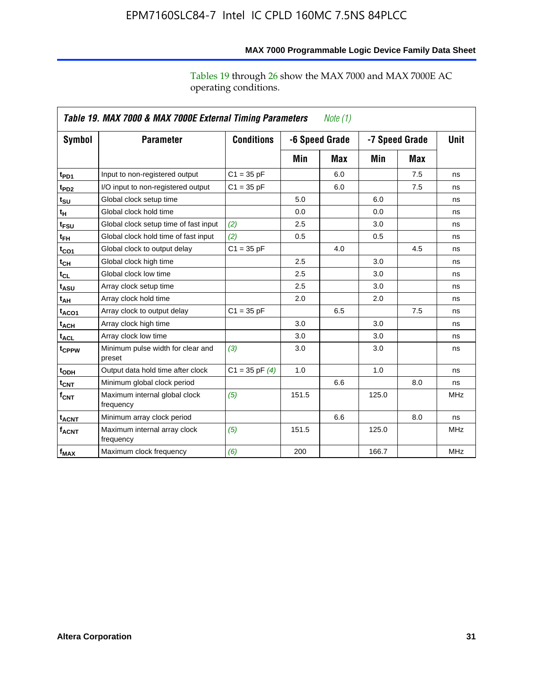operating conditions.

|                            | Table 19. MAX 7000 & MAX 7000E External Timing Parameters<br><i>Note</i> $(1)$ |                    |       |                                  |       |             |            |  |
|----------------------------|--------------------------------------------------------------------------------|--------------------|-------|----------------------------------|-------|-------------|------------|--|
| Symbol                     | <b>Parameter</b>                                                               | <b>Conditions</b>  |       | -7 Speed Grade<br>-6 Speed Grade |       | <b>Unit</b> |            |  |
|                            |                                                                                |                    | Min   | Max                              | Min   | Max         |            |  |
| t <sub>PD1</sub>           | Input to non-registered output                                                 | $C1 = 35 pF$       |       | 6.0                              |       | 7.5         | ns         |  |
| t <sub>PD2</sub>           | I/O input to non-registered output                                             | $C1 = 35 pF$       |       | 6.0                              |       | 7.5         | ns         |  |
| t <sub>su</sub>            | Global clock setup time                                                        |                    | 5.0   |                                  | 6.0   |             | ns         |  |
| tμ                         | Global clock hold time                                                         |                    | 0.0   |                                  | 0.0   |             | ns         |  |
| t <sub>FSU</sub>           | Global clock setup time of fast input                                          | (2)                | 2.5   |                                  | 3.0   |             | ns         |  |
| t <sub>FH</sub>            | Global clock hold time of fast input                                           | (2)                | 0.5   |                                  | 0.5   |             | ns         |  |
| t <sub>CO1</sub>           | Global clock to output delay                                                   | $C1 = 35 pF$       |       | 4.0                              |       | 4.5         | ns         |  |
| $t_{\mathsf{CH}}$          | Global clock high time                                                         |                    | 2.5   |                                  | 3.0   |             | ns         |  |
| $t_{CL}$                   | Global clock low time                                                          |                    | 2.5   |                                  | 3.0   |             | ns         |  |
| t <sub>ASU</sub>           | Array clock setup time                                                         |                    | 2.5   |                                  | 3.0   |             | ns         |  |
| $t_{\mathsf{A}\mathsf{H}}$ | Array clock hold time                                                          |                    | 2.0   |                                  | 2.0   |             | ns         |  |
| t <sub>ACO1</sub>          | Array clock to output delay                                                    | $C1 = 35 pF$       |       | 6.5                              |       | 7.5         | ns         |  |
| t <sub>АСН</sub>           | Array clock high time                                                          |                    | 3.0   |                                  | 3.0   |             | ns         |  |
| t <sub>ACL</sub>           | Array clock low time                                                           |                    | 3.0   |                                  | 3.0   |             | ns         |  |
| t <sub>CPPW</sub>          | Minimum pulse width for clear and<br>preset                                    | (3)                | 3.0   |                                  | 3.0   |             | ns         |  |
| t <sub>ODH</sub>           | Output data hold time after clock                                              | $C1 = 35$ pF $(4)$ | 1.0   |                                  | 1.0   |             | ns         |  |
| $t_{\mathsf{CNT}}$         | Minimum global clock period                                                    |                    |       | 6.6                              |       | 8.0         | ns         |  |
| $f_{\mathsf{CNT}}$         | Maximum internal global clock<br>frequency                                     | (5)                | 151.5 |                                  | 125.0 |             | <b>MHz</b> |  |
| <b>t<sub>ACNT</sub></b>    | Minimum array clock period                                                     |                    |       | 6.6                              |       | 8.0         | ns         |  |
| <b>f<sub>ACNT</sub></b>    | Maximum internal array clock<br>frequency                                      | (5)                | 151.5 |                                  | 125.0 |             | <b>MHz</b> |  |
| $f_{MAX}$                  | Maximum clock frequency                                                        | (6)                | 200   |                                  | 166.7 |             | <b>MHz</b> |  |

### **MAX 7000 Programmable Logic Device Family Data Sheet**

Tables 19 through 26 show the MAX 7000 and MAX 7000E AC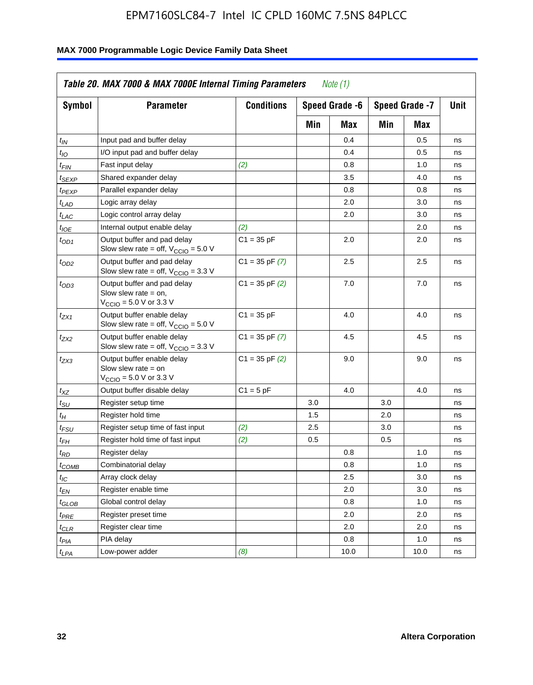| Symbol                      | <b>Parameter</b>                                                                                             | <b>Conditions</b>  |     | Speed Grade -6<br>Speed Grade -7 |     |      | Unit |
|-----------------------------|--------------------------------------------------------------------------------------------------------------|--------------------|-----|----------------------------------|-----|------|------|
|                             |                                                                                                              |                    | Min | Max                              | Min | Max  |      |
| $t_{IN}$                    | Input pad and buffer delay                                                                                   |                    |     | 0.4                              |     | 0.5  | ns   |
| $t_{IO}$                    | I/O input pad and buffer delay                                                                               |                    |     | 0.4                              |     | 0.5  | ns   |
| $t_{\textit{FIN}}$          | Fast input delay                                                                                             | (2)                |     | 0.8                              |     | 1.0  | ns   |
| <sup>t</sup> SEXP           | Shared expander delay                                                                                        |                    |     | 3.5                              |     | 4.0  | ns   |
| t <sub>PEXP</sub>           | Parallel expander delay                                                                                      |                    |     | 0.8                              |     | 0.8  | ns   |
| t <sub>LAD</sub>            | Logic array delay                                                                                            |                    |     | 2.0                              |     | 3.0  | ns   |
| $t_{LAC}$                   | Logic control array delay                                                                                    |                    |     | 2.0                              |     | 3.0  | ns   |
| $t_{IOE}$                   | Internal output enable delay                                                                                 | (2)                |     |                                  |     | 2.0  | ns   |
| $t_{OD1}$                   | Output buffer and pad delay<br>Slow slew rate = off, $V_{\text{CCIO}} = 5.0 V$                               | $C1 = 35$ pF       |     | 2.0                              |     | 2.0  | ns   |
| $t_{OD2}$                   | Output buffer and pad delay<br>Slow slew rate = off, $V_{\text{CCIO}} = 3.3$ V                               | $C1 = 35$ pF $(7)$ |     | 2.5                              |     | 2.5  | ns   |
| $t_{OD3}$                   | Output buffer and pad delay<br>Slow slew rate $=$ on,<br>$V_{\text{CCIO}} = 5.0 \text{ V or } 3.3 \text{ V}$ | $C1 = 35$ pF $(2)$ |     | 7.0                              |     | 7.0  | ns   |
| $t_{ZX1}$                   | Output buffer enable delay<br>Slow slew rate = off, $V_{\text{CCIO}} = 5.0 V$                                | $C1 = 35 pF$       |     | 4.0                              |     | 4.0  | ns   |
| $t_{ZX2}$                   | Output buffer enable delay<br>Slow slew rate = off, $V_{\text{CCIO}} = 3.3$ V                                | $C1 = 35$ pF $(7)$ |     | 4.5                              |     | 4.5  | ns   |
| tzx3                        | Output buffer enable delay<br>Slow slew rate $=$ on<br>$V_{\text{CCIO}} = 5.0 \text{ V or } 3.3 \text{ V}$   | $C1 = 35$ pF $(2)$ |     | 9.0                              |     | 9.0  | ns   |
| $t_{\mathsf{XZ}}$           | Output buffer disable delay                                                                                  | $C1 = 5pF$         |     | 4.0                              |     | 4.0  | ns   |
| $t_{\scriptstyle\text{SU}}$ | Register setup time                                                                                          |                    | 3.0 |                                  | 3.0 |      | ns   |
| t <sub>Η</sub>              | Register hold time                                                                                           |                    | 1.5 |                                  | 2.0 |      | ns   |
| $t_{\mathsf{FSU}}$          | Register setup time of fast input                                                                            | (2)                | 2.5 |                                  | 3.0 |      | ns   |
| $t_{FH}$                    | Register hold time of fast input                                                                             | (2)                | 0.5 |                                  | 0.5 |      | ns   |
| t <sub>RD</sub>             | Register delay                                                                                               |                    |     | 0.8                              |     | 1.0  | ns   |
| $t_{COMB}$                  | Combinatorial delay                                                                                          |                    |     | 0.8                              |     | 1.0  | ns   |
| $t_{\mathcal{IC}}$          | Array clock delay                                                                                            |                    |     | 2.5                              |     | 3.0  | ns   |
| $t_{EN}$                    | Register enable time                                                                                         |                    |     | 2.0                              |     | 3.0  | ns   |
| $t_{GLOB}$                  | Global control delay                                                                                         |                    |     | 0.8                              |     | 1.0  | ns   |
| $t_{PRE}$                   | Register preset time                                                                                         |                    |     | 2.0                              |     | 2.0  | ns   |
| $t_{\sf CLR}$               | Register clear time                                                                                          |                    |     | 2.0                              |     | 2.0  | ns   |
| t <sub>PIA</sub>            | PIA delay                                                                                                    |                    |     | 0.8                              |     | 1.0  | ns   |
| $t_{LPA}$                   | Low-power adder                                                                                              | (8)                |     | 10.0                             |     | 10.0 | ns   |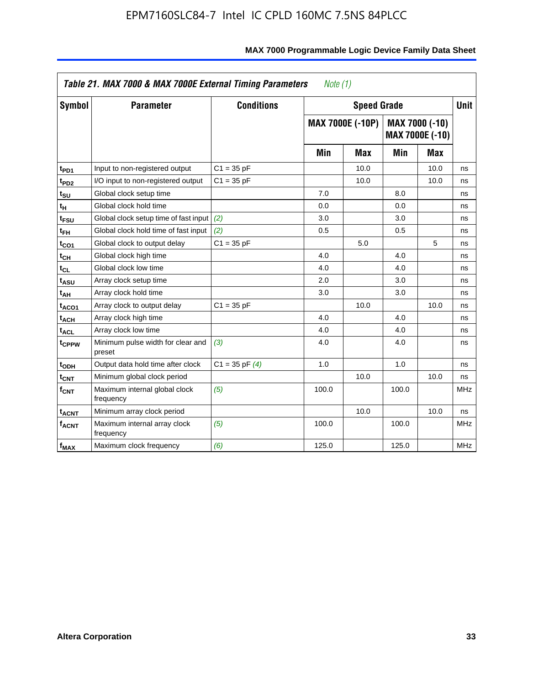|                         | Table 21. MAX 7000 & MAX 7000E External Timing Parameters<br>Note $(1)$ |                    |       |                         |       |                                   |             |  |
|-------------------------|-------------------------------------------------------------------------|--------------------|-------|-------------------------|-------|-----------------------------------|-------------|--|
| Symbol                  | <b>Parameter</b>                                                        | <b>Conditions</b>  |       | <b>Speed Grade</b>      |       |                                   | <b>Unit</b> |  |
|                         |                                                                         |                    |       | <b>MAX 7000E (-10P)</b> |       | MAX 7000 (-10)<br>MAX 7000E (-10) |             |  |
|                         |                                                                         |                    | Min   | <b>Max</b>              | Min   | Max                               |             |  |
| t <sub>PD1</sub>        | Input to non-registered output                                          | $C1 = 35 pF$       |       | 10.0                    |       | 10.0                              | ns          |  |
| t <sub>PD2</sub>        | I/O input to non-registered output                                      | $C1 = 35 pF$       |       | 10.0                    |       | 10.0                              | ns          |  |
| $t_{\text{SU}}$         | Global clock setup time                                                 |                    | 7.0   |                         | 8.0   |                                   | ns          |  |
| tμ                      | Global clock hold time                                                  |                    | 0.0   |                         | 0.0   |                                   | ns          |  |
| t <sub>FSU</sub>        | Global clock setup time of fast input                                   | (2)                | 3.0   |                         | 3.0   |                                   | ns          |  |
| t <sub>FH</sub>         | Global clock hold time of fast input                                    | (2)                | 0.5   |                         | 0.5   |                                   | ns          |  |
| t <sub>CO1</sub>        | Global clock to output delay                                            | $C1 = 35 pF$       |       | 5.0                     |       | 5                                 | ns          |  |
| $t_{\mathsf{CH}}$       | Global clock high time                                                  |                    | 4.0   |                         | 4.0   |                                   | ns          |  |
| $t_{CL}$                | Global clock low time                                                   |                    | 4.0   |                         | 4.0   |                                   | ns          |  |
| t <sub>ASU</sub>        | Array clock setup time                                                  |                    | 2.0   |                         | 3.0   |                                   | ns          |  |
| t <sub>АН</sub>         | Array clock hold time                                                   |                    | 3.0   |                         | 3.0   |                                   | ns          |  |
| t <sub>ACO1</sub>       | Array clock to output delay                                             | $C1 = 35 pF$       |       | 10.0                    |       | 10.0                              | ns          |  |
| <b>t<sub>ACH</sub></b>  | Array clock high time                                                   |                    | 4.0   |                         | 4.0   |                                   | ns          |  |
| $t_{\sf ACL}$           | Array clock low time                                                    |                    | 4.0   |                         | 4.0   |                                   | ns          |  |
| t <sub>CPPW</sub>       | Minimum pulse width for clear and<br>preset                             | (3)                | 4.0   |                         | 4.0   |                                   | ns          |  |
| t <sub>ODH</sub>        | Output data hold time after clock                                       | $C1 = 35$ pF $(4)$ | 1.0   |                         | 1.0   |                                   | ns          |  |
| $t_{\mathsf{CNT}}$      | Minimum global clock period                                             |                    |       | 10.0                    |       | 10.0                              | ns          |  |
| $f_{\mathsf{CNT}}$      | Maximum internal global clock<br>frequency                              | (5)                | 100.0 |                         | 100.0 |                                   | <b>MHz</b>  |  |
| <b>t<sub>ACNT</sub></b> | Minimum array clock period                                              |                    |       | 10.0                    |       | 10.0                              | ns          |  |
| $f_{\sf ACNT}$          | Maximum internal array clock<br>frequency                               | (5)                | 100.0 |                         | 100.0 |                                   | <b>MHz</b>  |  |
| $f_{MAX}$               | Maximum clock frequency                                                 | (6)                | 125.0 |                         | 125.0 |                                   | <b>MHz</b>  |  |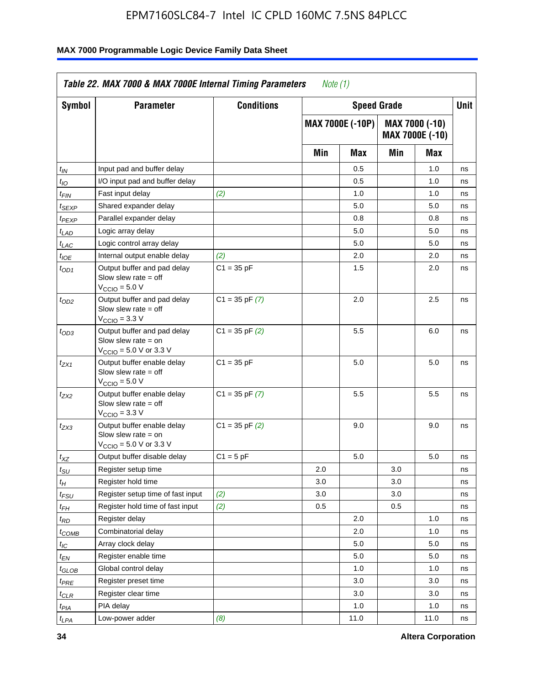| Symbol            | <b>Parameter</b>                                                                                            | <b>Conditions</b>  |     | <b>Speed Grade</b>      |     |                                   | Unit |
|-------------------|-------------------------------------------------------------------------------------------------------------|--------------------|-----|-------------------------|-----|-----------------------------------|------|
|                   |                                                                                                             |                    |     | <b>MAX 7000E (-10P)</b> |     | MAX 7000 (-10)<br>MAX 7000E (-10) |      |
|                   |                                                                                                             |                    | Min | Max                     | Min | Max                               |      |
| $t_{IN}$          | Input pad and buffer delay                                                                                  |                    |     | 0.5                     |     | 1.0                               | ns   |
| $t_{IO}$          | I/O input pad and buffer delay                                                                              |                    |     | 0.5                     |     | 1.0                               | ns   |
| t <sub>FIN</sub>  | Fast input delay                                                                                            | (2)                |     | 1.0                     |     | 1.0                               | ns   |
| <sup>t</sup> SEXP | Shared expander delay                                                                                       |                    |     | 5.0                     |     | 5.0                               | ns   |
| t <sub>PEXP</sub> | Parallel expander delay                                                                                     |                    |     | 0.8                     |     | 0.8                               | ns   |
| $t_{LAD}$         | Logic array delay                                                                                           |                    |     | 5.0                     |     | 5.0                               | ns   |
| $t_{LAC}$         | Logic control array delay                                                                                   |                    |     | 5.0                     |     | 5.0                               | ns   |
| $t_{IOE}$         | Internal output enable delay                                                                                | (2)                |     | 2.0                     |     | 2.0                               | ns   |
| $t_{OD1}$         | Output buffer and pad delay<br>Slow slew rate $=$ off<br>$VCCIO = 5.0 V$                                    | $C1 = 35 pF$       |     | 1.5                     |     | 2.0                               | ns   |
| $t_{OD2}$         | Output buffer and pad delay<br>Slow slew rate = off<br>$VCCIO = 3.3 V$                                      | $C1 = 35$ pF $(7)$ |     | 2.0                     |     | 2.5                               | ns   |
| $t_{OD3}$         | Output buffer and pad delay<br>Slow slew rate $=$ on<br>$V_{\text{CCIO}} = 5.0 \text{ V or } 3.3 \text{ V}$ | $C1 = 35$ pF $(2)$ |     | 5.5                     |     | 6.0                               | ns   |
| $t_{ZX1}$         | Output buffer enable delay<br>Slow slew rate $=$ off<br>$VCCIO = 5.0 V$                                     | $C1 = 35 pF$       |     | 5.0                     |     | 5.0                               | ns   |
| $t_{ZX2}$         | Output buffer enable delay<br>Slow slew rate $=$ off<br>$V_{\text{CCIO}} = 3.3 \text{ V}$                   | $C1 = 35$ pF $(7)$ |     | 5.5                     |     | 5.5                               | ns   |
| t <sub>ZX3</sub>  | Output buffer enable delay<br>Slow slew rate $=$ on<br>$V_{\text{CCIO}} = 5.0 \text{ V or } 3.3 \text{ V}$  | $C1 = 35$ pF $(2)$ |     | 9.0                     |     | 9.0                               | ns   |
| $t_{XZ}$          | Output buffer disable delay                                                                                 | $C1 = 5$ pF        |     | 5.0                     |     | 5.0                               | ns   |
| $t_{\sf SU}$      | Register setup time                                                                                         |                    | 2.0 |                         | 3.0 |                                   | ns   |
| $t_H$             | Register hold time                                                                                          |                    | 3.0 |                         | 3.0 |                                   | ns   |
| t <sub>FSU</sub>  | Register setup time of fast input                                                                           | (2)                | 3.0 |                         | 3.0 |                                   | ns   |
| $t_{FH}$          | Register hold time of fast input                                                                            | (2)                | 0.5 |                         | 0.5 |                                   | ns   |
| $t_{RD}$          | Register delay                                                                                              |                    |     | 2.0                     |     | 1.0                               | ns   |
| $t_{COMB}$        | Combinatorial delay                                                                                         |                    |     | 2.0                     |     | 1.0                               | ns   |
| $I_{\textrm{IC}}$ | Array clock delay                                                                                           |                    |     | 5.0                     |     | $5.0\,$                           | ns   |
| $t_{EN}$          | Register enable time                                                                                        |                    |     | 5.0                     |     | 5.0                               | ns   |
| $t_{GLOB}$        | Global control delay                                                                                        |                    |     | 1.0                     |     | 1.0                               | ns   |
| $t_{PRE}$         | Register preset time                                                                                        |                    |     | 3.0                     |     | 3.0                               | ns   |
| $t_{CLR}$         | Register clear time                                                                                         |                    |     | 3.0                     |     | 3.0                               | ns   |
| $t_{PIA}$         | PIA delay                                                                                                   |                    |     | 1.0                     |     | 1.0                               | ns   |
| $t_{LPA}$         | Low-power adder                                                                                             | (8)                |     | 11.0                    |     | 11.0                              | ns   |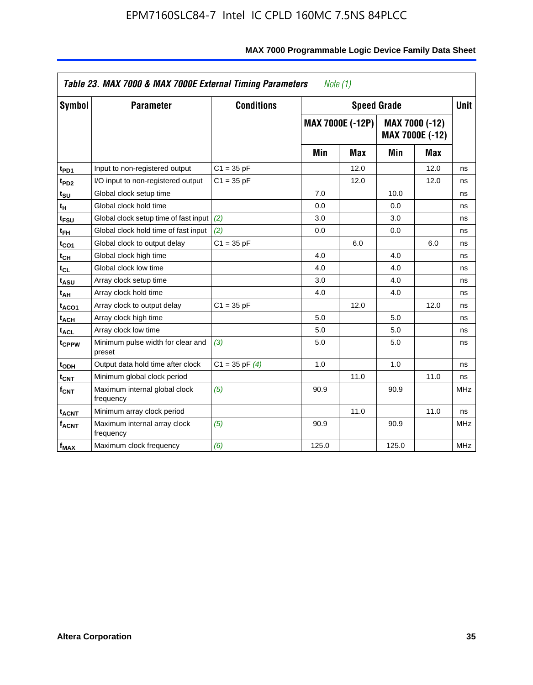|                              | Table 23. MAX 7000 & MAX 7000E External Timing Parameters |                    | Note (1) |                         |                |                 |             |
|------------------------------|-----------------------------------------------------------|--------------------|----------|-------------------------|----------------|-----------------|-------------|
| Symbol                       | <b>Parameter</b>                                          | <b>Conditions</b>  |          | <b>Speed Grade</b>      |                |                 | <b>Unit</b> |
|                              |                                                           |                    |          | <b>MAX 7000E (-12P)</b> | MAX 7000 (-12) | MAX 7000E (-12) |             |
|                              |                                                           |                    | Min      | <b>Max</b>              | Min            | <b>Max</b>      |             |
| t <sub>PD1</sub>             | Input to non-registered output                            | $C1 = 35 pF$       |          | 12.0                    |                | 12.0            | ns          |
| t <sub>PD2</sub>             | I/O input to non-registered output                        | $C1 = 35 pF$       |          | 12.0                    |                | 12.0            | ns          |
| t <sub>su</sub>              | Global clock setup time                                   |                    | 7.0      |                         | 10.0           |                 | ns          |
| tμ                           | Global clock hold time                                    |                    | 0.0      |                         | 0.0            |                 | ns          |
| t <sub>FSU</sub>             | Global clock setup time of fast input                     | (2)                | 3.0      |                         | 3.0            |                 | ns          |
| t <sub>FH</sub>              | Global clock hold time of fast input                      | (2)                | 0.0      |                         | 0.0            |                 | ns          |
| t <sub>CO1</sub>             | Global clock to output delay                              | $C1 = 35 pF$       |          | 6.0                     |                | 6.0             | ns          |
| $\mathfrak{t}_{\textsf{CH}}$ | Global clock high time                                    |                    | 4.0      |                         | 4.0            |                 | ns          |
| $t_{CL}$                     | Global clock low time                                     |                    | 4.0      |                         | 4.0            |                 | ns          |
| t <sub>ASU</sub>             | Array clock setup time                                    |                    | 3.0      |                         | 4.0            |                 | ns          |
| t <sub>АН</sub>              | Array clock hold time                                     |                    | 4.0      |                         | 4.0            |                 | ns          |
| t <sub>ACO1</sub>            | Array clock to output delay                               | $C1 = 35 pF$       |          | 12.0                    |                | 12.0            | ns          |
| t <sub>ACH</sub>             | Array clock high time                                     |                    | 5.0      |                         | 5.0            |                 | ns          |
| $t_{\sf ACL}$                | Array clock low time                                      |                    | 5.0      |                         | 5.0            |                 | ns          |
| t <sub>CPPW</sub>            | Minimum pulse width for clear and<br>preset               | (3)                | 5.0      |                         | 5.0            |                 | ns          |
| t <sub>ODH</sub>             | Output data hold time after clock                         | $C1 = 35$ pF $(4)$ | 1.0      |                         | 1.0            |                 | ns          |
| $t_{\mathsf{CNT}}$           | Minimum global clock period                               |                    |          | 11.0                    |                | 11.0            | ns          |
| $\mathsf{f}_{\mathsf{CNT}}$  | Maximum internal global clock<br>frequency                | (5)                | 90.9     |                         | 90.9           |                 | <b>MHz</b>  |
| <b>t<sub>ACNT</sub></b>      | Minimum array clock period                                |                    |          | 11.0                    |                | 11.0            | ns          |
| f <sub>ACNT</sub>            | Maximum internal array clock<br>frequency                 | (5)                | 90.9     |                         | 90.9           |                 | <b>MHz</b>  |
| $f_{MAX}$                    | Maximum clock frequency                                   | (6)                | 125.0    |                         | 125.0          |                 | MHz         |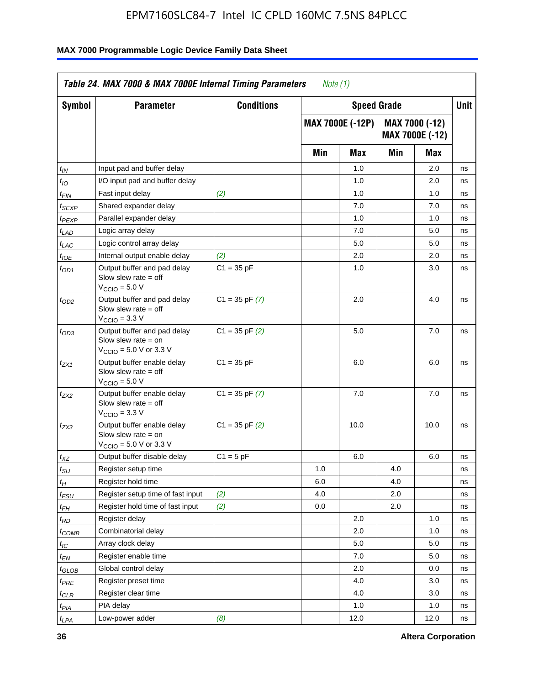| <b>Symbol</b>               | <b>Parameter</b>                                                                                           | <b>Conditions</b>  |     | <b>Speed Grade</b>      |     |                                          | <b>Unit</b> |
|-----------------------------|------------------------------------------------------------------------------------------------------------|--------------------|-----|-------------------------|-----|------------------------------------------|-------------|
|                             |                                                                                                            |                    |     | <b>MAX 7000E (-12P)</b> |     | MAX 7000 (-12)<br><b>MAX 7000E (-12)</b> |             |
|                             |                                                                                                            |                    | Min | Max                     | Min | Max                                      |             |
| $t_{\mathsf{IN}}$           | Input pad and buffer delay                                                                                 |                    |     | 1.0                     |     | 2.0                                      | ns          |
| $t_{IO}$                    | I/O input pad and buffer delay                                                                             |                    |     | 1.0                     |     | 2.0                                      | ns          |
| $t_{\sf FIN}$               | Fast input delay                                                                                           | (2)                |     | 1.0                     |     | 1.0                                      | ns          |
| t <sub>SEXP</sub>           | Shared expander delay                                                                                      |                    |     | 7.0                     |     | 7.0                                      | ns          |
| t <sub>PEXP</sub>           | Parallel expander delay                                                                                    |                    |     | 1.0                     |     | 1.0                                      | ns          |
| t <sub>LAD</sub>            | Logic array delay                                                                                          |                    |     | 7.0                     |     | 5.0                                      | ns          |
| $t_{LAC}$                   | Logic control array delay                                                                                  |                    |     | 5.0                     |     | 5.0                                      | ns          |
| $t_{IOE}$                   | Internal output enable delay                                                                               | (2)                |     | 2.0                     |     | 2.0                                      | ns          |
| $t_{OD1}$                   | Output buffer and pad delay<br>Slow slew rate $=$ off<br>$V_{\text{CCIO}} = 5.0 V$                         | $C1 = 35 pF$       |     | 1.0                     |     | 3.0                                      | ns          |
| $t_{OD2}$                   | Output buffer and pad delay<br>Slow slew rate $=$ off<br>V <sub>CCIO</sub> = 3.3 V                         | $C1 = 35$ pF $(7)$ |     | 2.0                     |     | 4.0                                      | ns          |
| $t_{OD3}$                   | Output buffer and pad delay<br>Slow slew rate = on<br>$V_{\text{CCIO}} = 5.0 \text{ V or } 3.3 \text{ V}$  | $C1 = 35$ pF $(2)$ |     | 5.0                     |     | 7.0                                      | ns          |
| $t_{ZX1}$                   | Output buffer enable delay<br>Slow slew rate $=$ off<br>$V_{\text{CCIO}} = 5.0 V$                          | $C1 = 35 pF$       |     | 6.0                     |     | 6.0                                      | ns          |
| t <sub>ZX2</sub>            | Output buffer enable delay<br>Slow slew rate $=$ off<br>$V_{\text{CCIO}} = 3.3 \text{ V}$                  | $C1 = 35$ pF $(7)$ |     | 7.0                     |     | 7.0                                      | ns          |
| $t_{ZX3}$                   | Output buffer enable delay<br>Slow slew rate $=$ on<br>$V_{\text{CCIO}} = 5.0 \text{ V or } 3.3 \text{ V}$ | $C1 = 35$ pF $(2)$ |     | 10.0                    |     | 10.0                                     | ns          |
| $t_{\mathsf{XZ}}$           | Output buffer disable delay                                                                                | $C1 = 5 pF$        |     | 6.0                     |     | 6.0                                      | ns          |
| $t_{\scriptstyle\text{SU}}$ | Register setup time                                                                                        |                    | 1.0 |                         | 4.0 |                                          | ns          |
| t <sub>Η</sub>              | Register hold time                                                                                         |                    | 6.0 |                         | 4.0 |                                          | ns          |
| $t_{\mathit{FSU}}$          | Register setup time of fast input                                                                          | (2)                | 4.0 |                         | 2.0 |                                          | ns          |
| t <sub>FН</sub>             | Register hold time of fast input                                                                           | (2)                | 0.0 |                         | 2.0 |                                          | ns          |
| $t_{RD}$                    | Register delay                                                                                             |                    |     | 2.0                     |     | 1.0                                      | ns          |
| $t_{COMB}$                  | Combinatorial delay                                                                                        |                    |     | 2.0                     |     | 1.0                                      | ns          |
| ЧC                          | Array clock delay                                                                                          |                    |     | $5.0\,$                 |     | 5.0                                      | 115         |
| $t_{EN}$                    | Register enable time                                                                                       |                    |     | 7.0                     |     | 5.0                                      | ns          |
| $t_{GLOB}$                  | Global control delay                                                                                       |                    |     | 2.0                     |     | 0.0                                      | ns          |
| t <sub>PRE</sub>            | Register preset time                                                                                       |                    |     | 4.0                     |     | 3.0                                      | ns          |
| $t_{CLR}$                   | Register clear time                                                                                        |                    |     | 4.0                     |     | 3.0                                      | ns          |
| t <sub>PIA</sub>            | PIA delay                                                                                                  |                    |     | 1.0                     |     | 1.0                                      | ns          |
| $t_{LPA}$                   | Low-power adder                                                                                            | (8)                |     | 12.0                    |     | 12.0                                     | ns          |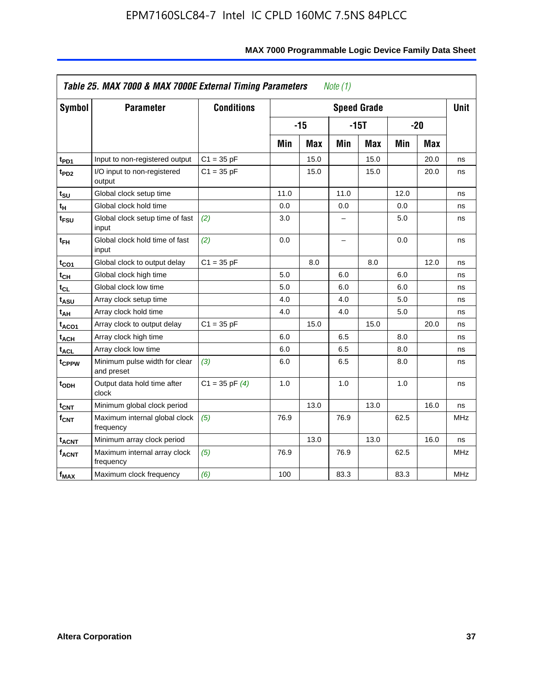| <b>Symbol</b>           | <b>Parameter</b>                            | <b>Conditions</b>  |      |            |                          | <b>Speed Grade</b> |      |            | <b>Unit</b> |
|-------------------------|---------------------------------------------|--------------------|------|------------|--------------------------|--------------------|------|------------|-------------|
|                         |                                             |                    |      | $-15$      |                          | $-15T$             |      | $-20$      |             |
|                         |                                             |                    | Min  | <b>Max</b> | Min                      | <b>Max</b>         | Min  | <b>Max</b> |             |
| t <sub>PD1</sub>        | Input to non-registered output              | $C1 = 35 pF$       |      | 15.0       |                          | 15.0               |      | 20.0       | ns          |
| t <sub>PD2</sub>        | I/O input to non-registered<br>output       | $C1 = 35 pF$       |      | 15.0       |                          | 15.0               |      | 20.0       | ns          |
| tsu                     | Global clock setup time                     |                    | 11.0 |            | 11.0                     |                    | 12.0 |            | ns          |
| $t_H$                   | Global clock hold time                      |                    | 0.0  |            | 0.0                      |                    | 0.0  |            | ns          |
| t <sub>FSU</sub>        | Global clock setup time of fast<br>input    | (2)                | 3.0  |            | -                        |                    | 5.0  |            | ns          |
| $t_{FH}$                | Global clock hold time of fast<br>input     | (2)                | 0.0  |            | $\overline{\phantom{0}}$ |                    | 0.0  |            | ns          |
| $t_{CO1}$               | Global clock to output delay                | $C1 = 35 pF$       |      | 8.0        |                          | 8.0                |      | 12.0       | ns          |
| $t_{\mathsf{CH}}$       | Global clock high time                      |                    | 5.0  |            | 6.0                      |                    | 6.0  |            | ns          |
| t <sub>CL</sub>         | Global clock low time                       |                    | 5.0  |            | 6.0                      |                    | 6.0  |            | ns          |
| t <sub>ASU</sub>        | Array clock setup time                      |                    | 4.0  |            | 4.0                      |                    | 5.0  |            | ns          |
| t <sub>АН</sub>         | Array clock hold time                       |                    | 4.0  |            | 4.0                      |                    | 5.0  |            | ns          |
| t <sub>ACO1</sub>       | Array clock to output delay                 | $C1 = 35 pF$       |      | 15.0       |                          | 15.0               |      | 20.0       | ns          |
| $t_{\sf ACH}$           | Array clock high time                       |                    | 6.0  |            | 6.5                      |                    | 8.0  |            | ns          |
| t <sub>ACL</sub>        | Array clock low time                        |                    | 6.0  |            | 6.5                      |                    | 8.0  |            | ns          |
| t <sub>CPPW</sub>       | Minimum pulse width for clear<br>and preset | (3)                | 6.0  |            | 6.5                      |                    | 8.0  |            | ns          |
| $t_{ODH}$               | Output data hold time after<br>clock        | $C1 = 35$ pF $(4)$ | 1.0  |            | 1.0                      |                    | 1.0  |            | ns          |
| $t_{\mathsf{CNT}}$      | Minimum global clock period                 |                    |      | 13.0       |                          | 13.0               |      | 16.0       | ns          |
| f <sub>CNT</sub>        | Maximum internal global clock<br>frequency  | (5)                | 76.9 |            | 76.9                     |                    | 62.5 |            | <b>MHz</b>  |
| <b>t<sub>ACNT</sub></b> | Minimum array clock period                  |                    |      | 13.0       |                          | 13.0               |      | 16.0       | ns          |
| <b>fACNT</b>            | Maximum internal array clock<br>frequency   | (5)                | 76.9 |            | 76.9                     |                    | 62.5 |            | <b>MHz</b>  |
| $f_{MAX}$               | Maximum clock frequency                     | (6)                | 100  |            | 83.3                     |                    | 83.3 |            | MHz         |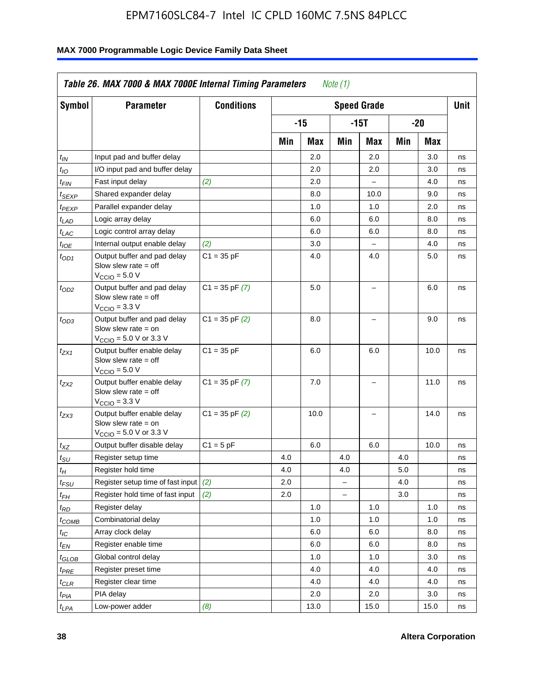| Symbol                        | <b>Parameter</b>                                                                                            | <b>Conditions</b>  |     |       |                | <b>Speed Grade</b>       |     |      | <b>Unit</b> |
|-------------------------------|-------------------------------------------------------------------------------------------------------------|--------------------|-----|-------|----------------|--------------------------|-----|------|-------------|
|                               |                                                                                                             |                    |     | $-15$ |                | $-15T$                   |     | -20  |             |
|                               |                                                                                                             |                    | Min | Max   | Min            | Max                      | Min | Max  |             |
| $t_{IN}$                      | Input pad and buffer delay                                                                                  |                    |     | 2.0   |                | 2.0                      |     | 3.0  | ns          |
| $t_{IO}$                      | I/O input pad and buffer delay                                                                              |                    |     | 2.0   |                | 2.0                      |     | 3.0  | ns          |
| $t_{\textsf{FIN}}$            | Fast input delay                                                                                            | (2)                |     | 2.0   |                | $\overline{a}$           |     | 4.0  | ns          |
| $t_{SEXP}$                    | Shared expander delay                                                                                       |                    |     | 8.0   |                | 10.0                     |     | 9.0  | ns          |
| $t_{PEXP}$                    | Parallel expander delay                                                                                     |                    |     | 1.0   |                | 1.0                      |     | 2.0  | ns          |
| $t_{LAD}$                     | Logic array delay                                                                                           |                    |     | 6.0   |                | 6.0                      |     | 8.0  | ns          |
| $t_{LAC}$                     | Logic control array delay                                                                                   |                    |     | 6.0   |                | 6.0                      |     | 8.0  | ns          |
| $t_{IOE}$                     | Internal output enable delay                                                                                | (2)                |     | 3.0   |                | $\overline{\phantom{0}}$ |     | 4.0  | ns          |
| $t_{OD1}$                     | Output buffer and pad delay<br>Slow slew rate $=$ off<br>$VCCIO = 5.0 V$                                    | $C1 = 35 pF$       |     | 4.0   |                | 4.0                      |     | 5.0  | ns          |
| $t_{OD2}$                     | Output buffer and pad delay<br>Slow slew rate $=$ off<br>$VCClO = 3.3 V$                                    | $C1 = 35$ pF $(7)$ |     | 5.0   |                | L,                       |     | 6.0  | ns          |
| $t_{OD3}$                     | Output buffer and pad delay<br>Slow slew rate $=$ on<br>$V_{\text{CCIO}} = 5.0 \text{ V or } 3.3 \text{ V}$ | $C1 = 35$ pF $(2)$ |     | 8.0   |                | $\equiv$                 |     | 9.0  | ns          |
| $t_{ZX1}$                     | Output buffer enable delay<br>Slow slew rate $=$ off<br>$VCCIO = 5.0 V$                                     | $C1 = 35 pF$       |     | 6.0   |                | 6.0                      |     | 10.0 | ns          |
| $t_{ZX2}$                     | Output buffer enable delay<br>Slow slew rate $=$ off<br>$V_{\text{CCIO}} = 3.3 \text{ V}$                   | $C1 = 35$ pF $(7)$ |     | 7.0   |                | L.                       |     | 11.0 | ns          |
| t <sub>ZX3</sub>              | Output buffer enable delay<br>Slow slew rate $=$ on<br>$V_{\text{CCIO}} = 5.0 \text{ V or } 3.3 \text{ V}$  | $C1 = 35$ pF $(2)$ |     | 10.0  |                | $\overline{\phantom{0}}$ |     | 14.0 | ns          |
| $t_{\mathsf{XZ}}$             | Output buffer disable delay                                                                                 | $C1 = 5pF$         |     | 6.0   |                | 6.0                      |     | 10.0 | ns          |
| $t_{\text{SU}}$               | Register setup time                                                                                         |                    | 4.0 |       | 4.0            |                          | 4.0 |      | ns          |
| $t_H$                         | Register hold time                                                                                          |                    | 4.0 |       | 4.0            |                          | 5.0 |      | ns          |
| $t_{\mathit{FSU}}$            | Register setup time of fast input                                                                           | (2)                | 2.0 |       | $=$            |                          | 4.0 |      | ns          |
| $t_{FH}$                      | Register hold time of fast input                                                                            | (2)                | 2.0 |       | $\overline{a}$ |                          | 3.0 |      | ns          |
| $t_{RD}$                      | Register delay                                                                                              |                    |     | 1.0   |                | 1.0                      |     | 1.0  | ns          |
| $t_{COMB}$                    | Combinatorial delay                                                                                         |                    |     | 1.0   |                | 1.0                      |     | 1.0  | ns          |
| $t_{\text{IC}}$               | Array clock delay                                                                                           |                    |     | 6.0   |                | 6.0                      |     | 8.0  | ns          |
| $t_{EN}$                      | Register enable time                                                                                        |                    |     | 6.0   |                | 6.0                      |     | 8.0  | ns          |
| $t_{\scriptstyle\text{GLOB}}$ | Global control delay                                                                                        |                    |     | 1.0   |                | 1.0                      |     | 3.0  | ns          |
| t <sub>PRE</sub>              | Register preset time                                                                                        |                    |     | 4.0   |                | 4.0                      |     | 4.0  | ns          |
| $t_{\sf CLR}$                 | Register clear time                                                                                         |                    |     | 4.0   |                | 4.0                      |     | 4.0  | ns          |
| $t_{PIA}$                     | PIA delay                                                                                                   |                    |     | 2.0   |                | 2.0                      |     | 3.0  | ns          |
| $t_{LPA}$                     | Low-power adder                                                                                             | (8)                |     | 13.0  |                | 15.0                     |     | 15.0 | ns          |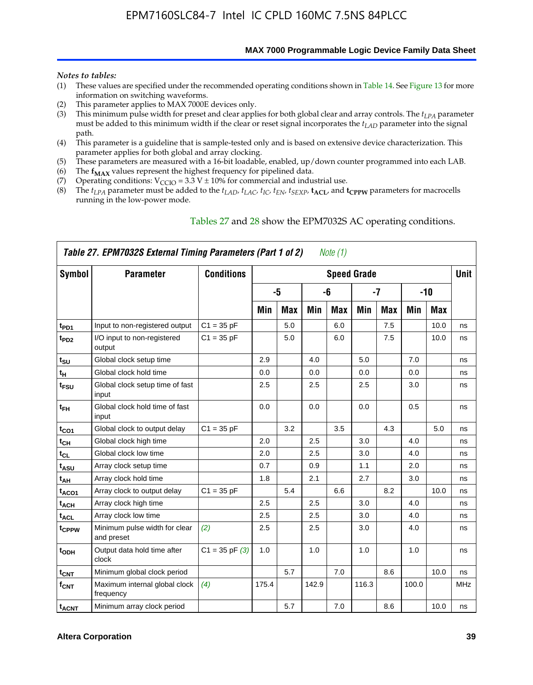**MAX 7000 Programmable Logic Device Family Data Sheet**

#### *Notes to tables:*

- (1) These values are specified under the recommended operating conditions shown in Table 14. See Figure 13 for more information on switching waveforms.
- (2) This parameter applies to MAX 7000E devices only.
- (3) This minimum pulse width for preset and clear applies for both global clear and array controls. The *tLPA* parameter must be added to this minimum width if the clear or reset signal incorporates the  $t_{LAD}$  parameter into the signal path.
- (4) This parameter is a guideline that is sample-tested only and is based on extensive device characterization. This parameter applies for both global and array clocking.
- (5) These parameters are measured with a 16-bit loadable, enabled, up/down counter programmed into each LAB.
- (6) The  $f_{MAX}$  values represent the highest frequency for pipelined data.
- (7) Operating conditions:  $V_{\text{CCIO}} = 3.3 \text{ V} \pm 10\%$  for commercial and industrial use.
- (8) The  $t_{LPA}$  parameter must be added to the  $t_{LAD}$ ,  $t_{LAC}$ ,  $t_{IC}$ ,  $t_{EN}$ ,  $t_{SEXP}$ ,  $t_{ACL}$ , and  $t_{CPPW}$  parameters for macrocells running in the low-power mode.

|                    | Table 27. EPM7032S External Timing Parameters (Part 1 of 2) |                    |       |            |       | Note (1)   |                    |            |       |       |             |
|--------------------|-------------------------------------------------------------|--------------------|-------|------------|-------|------------|--------------------|------------|-------|-------|-------------|
| Symbol             | <b>Parameter</b>                                            | <b>Conditions</b>  |       |            |       |            | <b>Speed Grade</b> |            |       |       | <b>Unit</b> |
|                    |                                                             |                    |       | -5         |       | -6         |                    | -7         |       | $-10$ |             |
|                    |                                                             |                    | Min   | <b>Max</b> | Min   | <b>Max</b> | Min                | <b>Max</b> | Min   | Max   |             |
| t <sub>PD1</sub>   | Input to non-registered output                              | $C1 = 35 pF$       |       | 5.0        |       | 6.0        |                    | 7.5        |       | 10.0  | ns          |
| $t_{PD2}$          | I/O input to non-registered<br>output                       | $C1 = 35 pF$       |       | 5.0        |       | 6.0        |                    | 7.5        |       | 10.0  | ns          |
| tsu                | Global clock setup time                                     |                    | 2.9   |            | 4.0   |            | 5.0                |            | 7.0   |       | ns          |
| $t_H$              | Global clock hold time                                      |                    | 0.0   |            | 0.0   |            | 0.0                |            | 0.0   |       | ns          |
| t <sub>FSU</sub>   | Global clock setup time of fast<br>input                    |                    | 2.5   |            | 2.5   |            | 2.5                |            | 3.0   |       | ns          |
| $t_{FH}$           | Global clock hold time of fast<br>input                     |                    | 0.0   |            | 0.0   |            | 0.0                |            | 0.5   |       | ns          |
| t <sub>CO1</sub>   | Global clock to output delay                                | $C1 = 35 pF$       |       | 3.2        |       | 3.5        |                    | 4.3        |       | 5.0   | ns          |
| $t_{CH}$           | Global clock high time                                      |                    | 2.0   |            | 2.5   |            | 3.0                |            | 4.0   |       | ns          |
| $t_{CL}$           | Global clock low time                                       |                    | 2.0   |            | 2.5   |            | 3.0                |            | 4.0   |       | ns          |
| t <sub>ASU</sub>   | Array clock setup time                                      |                    | 0.7   |            | 0.9   |            | 1.1                |            | 2.0   |       | ns          |
| t <sub>АН</sub>    | Array clock hold time                                       |                    | 1.8   |            | 2.1   |            | 2.7                |            | 3.0   |       | ns          |
| t <sub>ACO1</sub>  | Array clock to output delay                                 | $C1 = 35 pF$       |       | 5.4        |       | 6.6        |                    | 8.2        |       | 10.0  | ns          |
| t <sub>ACH</sub>   | Array clock high time                                       |                    | 2.5   |            | 2.5   |            | 3.0                |            | 4.0   |       | ns          |
| $t_{\sf ACL}$      | Array clock low time                                        |                    | 2.5   |            | 2.5   |            | 3.0                |            | 4.0   |       | ns          |
| tcppw              | Minimum pulse width for clear<br>and preset                 | (2)                | 2.5   |            | 2.5   |            | 3.0                |            | 4.0   |       | ns          |
| $t_{ODH}$          | Output data hold time after<br>clock                        | $C1 = 35$ pF $(3)$ | 1.0   |            | 1.0   |            | 1.0                |            | 1.0   |       | ns          |
| $t_{\mathsf{CNT}}$ | Minimum global clock period                                 |                    |       | 5.7        |       | 7.0        |                    | 8.6        |       | 10.0  | ns          |
| $f_{\mathsf{CNT}}$ | Maximum internal global clock<br>frequency                  | (4)                | 175.4 |            | 142.9 |            | 116.3              |            | 100.0 |       | MHz         |
| t <sub>ACNT</sub>  | Minimum array clock period                                  |                    |       | 5.7        |       | 7.0        |                    | 8.6        |       | 10.0  | ns          |

#### Tables 27 and 28 show the EPM7032S AC operating conditions.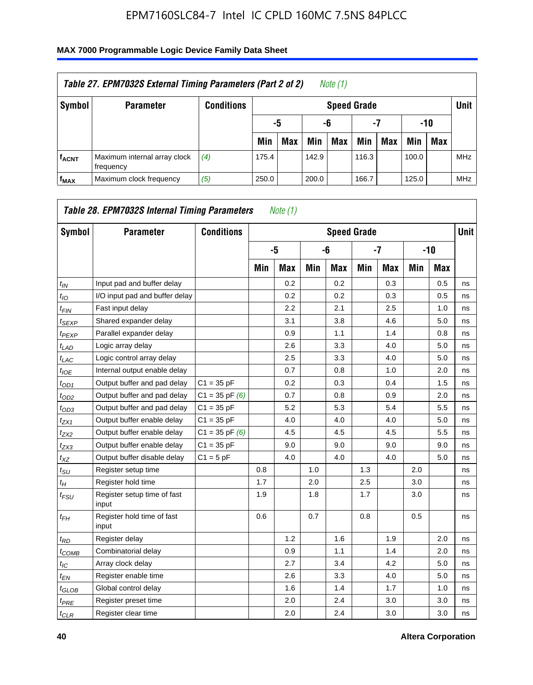| Table 27. EPM7032S External Timing Parameters (Part 2 of 2)<br>Note $(1)$ |                                           |                   |       |                       |       |                    |       |            |       |            |            |  |  |
|---------------------------------------------------------------------------|-------------------------------------------|-------------------|-------|-----------------------|-------|--------------------|-------|------------|-------|------------|------------|--|--|
| Symbol                                                                    | <b>Parameter</b>                          | <b>Conditions</b> |       |                       |       | <b>Speed Grade</b> |       |            |       |            | Unit       |  |  |
|                                                                           |                                           |                   |       | -7<br>-5<br>-10<br>-6 |       |                    |       |            |       |            |            |  |  |
|                                                                           |                                           |                   | Min   | Max                   | Min   | Max                | Min   | <b>Max</b> | Min   | <b>Max</b> |            |  |  |
| <b>f<sub>ACNT</sub></b>                                                   | Maximum internal array clock<br>frequency | (4)               | 175.4 |                       | 142.9 |                    | 116.3 |            | 100.0 |            | <b>MHz</b> |  |  |
| f <sub>MAX</sub>                                                          | Maximum clock frequency                   | (5)               | 250.0 |                       | 200.0 |                    | 166.7 |            | 125.0 |            | <b>MHz</b> |  |  |

| Symbol                        | <b>Parameter</b>                     | <b>Conditions</b>  |     |            |     |            | <b>Speed Grade</b> |            |     |            | <b>Unit</b> |
|-------------------------------|--------------------------------------|--------------------|-----|------------|-----|------------|--------------------|------------|-----|------------|-------------|
|                               |                                      |                    |     | -5         |     | -6         |                    | $-7$       |     | $-10$      |             |
|                               |                                      |                    | Min | <b>Max</b> | Min | <b>Max</b> | Min                | <b>Max</b> | Min | <b>Max</b> |             |
| $t_{IN}$                      | Input pad and buffer delay           |                    |     | 0.2        |     | 0.2        |                    | 0.3        |     | 0.5        | ns          |
| $t_{IO}$                      | I/O input pad and buffer delay       |                    |     | 0.2        |     | 0.2        |                    | 0.3        |     | 0.5        | ns          |
| $t_{\sf FIN}$                 | Fast input delay                     |                    |     | 2.2        |     | 2.1        |                    | 2.5        |     | 1.0        | ns          |
| t <sub>SEXP</sub>             | Shared expander delay                |                    |     | 3.1        |     | 3.8        |                    | 4.6        |     | 5.0        | ns          |
| t <sub>PEXP</sub>             | Parallel expander delay              |                    |     | 0.9        |     | 1.1        |                    | 1.4        |     | 0.8        | ns          |
| $t_{LAD}$                     | Logic array delay                    |                    |     | 2.6        |     | 3.3        |                    | 4.0        |     | 5.0        | ns          |
| $t_{LAC}$                     | Logic control array delay            |                    |     | 2.5        |     | 3.3        |                    | 4.0        |     | 5.0        | ns          |
| $t_{IOE}$                     | Internal output enable delay         |                    |     | 0.7        |     | 0.8        |                    | 1.0        |     | 2.0        | ns          |
| $t_{OD1}$                     | Output buffer and pad delay          | $C1 = 35 pF$       |     | 0.2        |     | 0.3        |                    | 0.4        |     | 1.5        | ns          |
| $t_{OD2}$                     | Output buffer and pad delay          | $C1 = 35$ pF $(6)$ |     | 0.7        |     | 0.8        |                    | 0.9        |     | 2.0        | ns          |
| $t_{OD3}$                     | Output buffer and pad delay          | $C1 = 35 pF$       |     | 5.2        |     | 5.3        |                    | 5.4        |     | 5.5        | ns          |
| $t_{ZX1}$                     | Output buffer enable delay           | $C1 = 35 pF$       |     | 4.0        |     | 4.0        |                    | 4.0        |     | 5.0        | ns          |
| tzx2                          | Output buffer enable delay           | $C1 = 35$ pF $(6)$ |     | 4.5        |     | 4.5        |                    | 4.5        |     | 5.5        | ns          |
| $t_{ZX3}$                     | Output buffer enable delay           | $C1 = 35 pF$       |     | 9.0        |     | 9.0        |                    | 9.0        |     | 9.0        | ns          |
| $t_{XZ}$                      | Output buffer disable delay          | $C1 = 5pF$         |     | 4.0        |     | 4.0        |                    | 4.0        |     | 5.0        | ns          |
| $t_{\text{SU}}$               | Register setup time                  |                    | 0.8 |            | 1.0 |            | 1.3                |            | 2.0 |            | ns          |
| $t_H$                         | Register hold time                   |                    | 1.7 |            | 2.0 |            | 2.5                |            | 3.0 |            | ns          |
| $t_{\mathit{FSU}}$            | Register setup time of fast<br>input |                    | 1.9 |            | 1.8 |            | 1.7                |            | 3.0 |            | ns          |
| t <sub>FH</sub>               | Register hold time of fast<br>input  |                    | 0.6 |            | 0.7 |            | 0.8                |            | 0.5 |            | ns          |
| $t_{RD}$                      | Register delay                       |                    |     | 1.2        |     | 1.6        |                    | 1.9        |     | 2.0        | ns          |
| $t_{COMB}$                    | Combinatorial delay                  |                    |     | 0.9        |     | 1.1        |                    | 1.4        |     | 2.0        | ns          |
| $t_{IC}$                      | Array clock delay                    |                    |     | 2.7        |     | 3.4        |                    | 4.2        |     | 5.0        | ns          |
| $t_{EN}$                      | Register enable time                 |                    |     | 2.6        |     | 3.3        |                    | 4.0        |     | 5.0        | ns          |
| $t_{\scriptstyle\text{GLOB}}$ | Global control delay                 |                    |     | 1.6        |     | 1.4        |                    | 1.7        |     | 1.0        | ns          |
| $t_{PRE}$                     | Register preset time                 |                    |     | 2.0        |     | 2.4        |                    | 3.0        |     | 3.0        | ns          |
| $t_{CLR}$                     | Register clear time                  |                    |     | 2.0        |     | 2.4        |                    | 3.0        |     | 3.0        | ns          |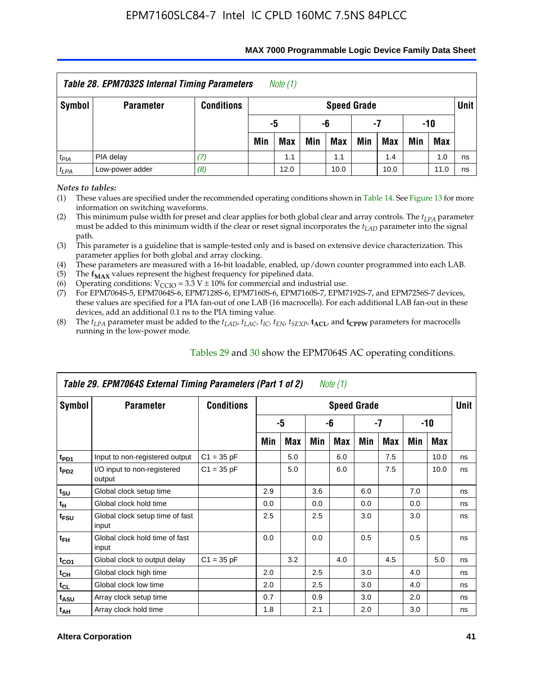| <b>Table 28. EPM7032S Internal Timing Parameters</b><br>Note $(1)$ |                                                                    |                   |                          |                       |     |                    |     |     |     |            |      |  |  |
|--------------------------------------------------------------------|--------------------------------------------------------------------|-------------------|--------------------------|-----------------------|-----|--------------------|-----|-----|-----|------------|------|--|--|
| <b>Symbol</b>                                                      | <b>Parameter</b>                                                   | <b>Conditions</b> |                          |                       |     | <b>Speed Grade</b> |     |     |     |            | Unit |  |  |
|                                                                    |                                                                    |                   |                          | -10<br>-5<br>-6<br>-7 |     |                    |     |     |     |            |      |  |  |
|                                                                    |                                                                    |                   | Min                      | <b>Max</b>            | Min | <b>Max</b>         | Min | Max | Min | <b>Max</b> |      |  |  |
| $t_{PIA}$                                                          | PIA delay                                                          | 7)                | 1.0<br>1.1<br>1.4<br>1.1 |                       |     |                    |     |     |     |            |      |  |  |
| $t_{LPA}$                                                          | ns<br>Low-power adder<br>(8)<br>12.0<br>10.0<br>11.0<br>10.0<br>ns |                   |                          |                       |     |                    |     |     |     |            |      |  |  |

#### **MAX 7000 Programmable Logic Device Family Data Sheet**

*Notes to tables:*

(1) These values are specified under the recommended operating conditions shown in Table 14. See Figure 13 for more information on switching waveforms.

(2) This minimum pulse width for preset and clear applies for both global clear and array controls. The  $t_{LPA}$  parameter must be added to this minimum width if the clear or reset signal incorporates the *tLAD* parameter into the signal path.

(3) This parameter is a guideline that is sample-tested only and is based on extensive device characterization. This parameter applies for both global and array clocking.

(4) These parameters are measured with a 16-bit loadable, enabled, up/down counter programmed into each LAB.

(5) The  $f_{MAX}$  values represent the highest frequency for pipelined data.

(6) Operating conditions:  $V_{\text{CCIO}} = 3.3 \text{ V} \pm 10\%$  for commercial and industrial use.

(7) For EPM7064S-5, EPM7064S-6, EPM7128S-6, EPM7160S-6, EPM7160S-7, EPM7192S-7, and EPM7256S-7 devices, these values are specified for a PIA fan-out of one LAB (16 macrocells). For each additional LAB fan-out in these devices, add an additional 0.1 ns to the PIA timing value.

(8) The  $t_{LPA}$  parameter must be added to the  $t_{LAD}$ ,  $t_{LAC}$ ,  $t_{IC}$ ,  $t_{EN}$ ,  $t_{SEXP}$ ,  $t_{ACL}$ , and  $t_{CPPW}$  parameters for macrocells running in the low-power mode.

|                  | Table 29. EPM7064S External Timing Parameters (Part 1 of 2) |                   |     |     |     | Note (1)           |     |     |     |      |      |
|------------------|-------------------------------------------------------------|-------------------|-----|-----|-----|--------------------|-----|-----|-----|------|------|
| Symbol           | <b>Parameter</b>                                            | <b>Conditions</b> |     |     |     | <b>Speed Grade</b> |     |     |     |      | Unit |
|                  |                                                             |                   |     | -5  |     | -6                 |     | -7  |     | -10  |      |
|                  |                                                             |                   | Min | Max | Min | Max                | Min | Max | Min | Max  |      |
| t <sub>PD1</sub> | Input to non-registered output                              | $C1 = 35 pF$      |     | 5.0 |     | 6.0                |     | 7.5 |     | 10.0 | ns   |
| t <sub>PD2</sub> | I/O input to non-registered<br>output                       | $C1 = 35 pF$      |     | 5.0 |     | 6.0                |     | 7.5 |     | 10.0 | ns   |
| $t_{\text{SU}}$  | Global clock setup time                                     |                   | 2.9 |     | 3.6 |                    | 6.0 |     | 7.0 |      | ns   |
| $t_H$            | Global clock hold time                                      |                   | 0.0 |     | 0.0 |                    | 0.0 |     | 0.0 |      | ns   |
| t <sub>FSU</sub> | Global clock setup time of fast<br>input                    |                   | 2.5 |     | 2.5 |                    | 3.0 |     | 3.0 |      | ns   |
| $t_{FH}$         | Global clock hold time of fast<br>input                     |                   | 0.0 |     | 0.0 |                    | 0.5 |     | 0.5 |      | ns   |
| $t_{CO1}$        | Global clock to output delay                                | $C1 = 35 pF$      |     | 3.2 |     | 4.0                |     | 4.5 |     | 5.0  | ns   |
| $t_{CH}$         | Global clock high time                                      |                   | 2.0 |     | 2.5 |                    | 3.0 |     | 4.0 |      | ns   |
| $t_{CL}$         | Global clock low time                                       |                   | 2.0 |     | 2.5 |                    | 3.0 |     | 4.0 |      | ns   |
| $t_{ASU}$        | Array clock setup time                                      |                   | 0.7 |     | 0.9 |                    | 3.0 |     | 2.0 |      | ns   |
| $t_{AH}$         | Array clock hold time                                       |                   | 1.8 |     | 2.1 |                    | 2.0 |     | 3.0 |      | ns   |

Tables 29 and 30 show the EPM7064S AC operating conditions.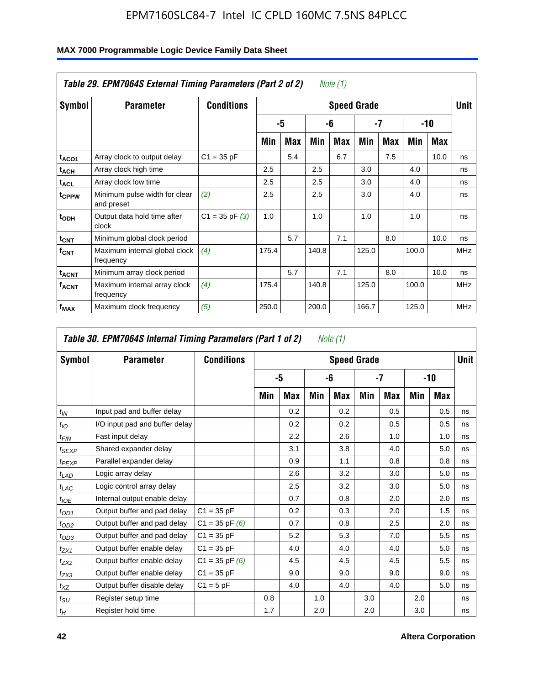|                         | Table 29. EPM7064S External Timing Parameters (Part 2 of 2) |                    |       |            |       | Note (1)   |                    |            |       |      |             |
|-------------------------|-------------------------------------------------------------|--------------------|-------|------------|-------|------------|--------------------|------------|-------|------|-------------|
| Symbol                  | <b>Parameter</b>                                            | <b>Conditions</b>  |       |            |       |            | <b>Speed Grade</b> |            |       |      | <b>Unit</b> |
|                         |                                                             |                    |       | -5         |       | -6         |                    | -7         |       | -10  |             |
|                         |                                                             |                    | Min   | <b>Max</b> | Min   | <b>Max</b> | Min                | <b>Max</b> | Min   | Max  |             |
| t <sub>ACO1</sub>       | Array clock to output delay                                 | $C1 = 35 pF$       |       | 5.4        |       | 6.7        |                    | 7.5        |       | 10.0 | ns          |
| $t_{ACH}$               | Array clock high time                                       |                    | 2.5   |            | 2.5   |            | 3.0                |            | 4.0   |      | ns          |
| <sup>t</sup> ACL        | Array clock low time                                        |                    | 2.5   |            | 2.5   |            | 3.0                |            | 4.0   |      | ns          |
| t <sub>CPPW</sub>       | Minimum pulse width for clear<br>and preset                 | (2)                | 2.5   |            | 2.5   |            | 3.0                |            | 4.0   |      | ns          |
| t <sub>ODH</sub>        | Output data hold time after<br>clock                        | $C1 = 35$ pF $(3)$ | 1.0   |            | 1.0   |            | 1.0                |            | 1.0   |      | ns          |
| $t_{CNT}$               | Minimum global clock period                                 |                    |       | 5.7        |       | 7.1        |                    | 8.0        |       | 10.0 | ns          |
| $f_{\text{CNT}}$        | Maximum internal global clock<br>frequency                  | (4)                | 175.4 |            | 140.8 |            | 125.0              |            | 100.0 |      | <b>MHz</b>  |
| <b>t<sub>ACNT</sub></b> | Minimum array clock period                                  |                    |       | 5.7        |       | 7.1        |                    | 8.0        |       | 10.0 | ns          |
| <b>f<sub>ACNT</sub></b> | Maximum internal array clock<br>frequency                   | (4)                | 175.4 |            | 140.8 |            | 125.0              |            | 100.0 |      | <b>MHz</b>  |
| f <sub>MAX</sub>        | Maximum clock frequency                                     | (5)                | 250.0 |            | 200.0 |            | 166.7              |            | 125.0 |      | <b>MHz</b>  |

|                  | Table 30. EPM7064S Internal Timing Parameters (Part 1 of 2) |                    |     |            |     | Note (1)           |     |            |     |     |             |
|------------------|-------------------------------------------------------------|--------------------|-----|------------|-----|--------------------|-----|------------|-----|-----|-------------|
| Symbol           | <b>Parameter</b>                                            | <b>Conditions</b>  |     |            |     | <b>Speed Grade</b> |     |            |     |     | <b>Unit</b> |
|                  |                                                             |                    |     | -5         |     | -6                 |     | -7         |     | -10 |             |
|                  |                                                             |                    | Min | <b>Max</b> | Min | Max                | Min | <b>Max</b> | Min | Max |             |
| $t_{IN}$         | Input pad and buffer delay                                  |                    |     | 0.2        |     | 0.2                |     | 0.5        |     | 0.5 | ns          |
| $t_{IO}$         | I/O input pad and buffer delay                              |                    |     | 0.2        |     | 0.2                |     | 0.5        |     | 0.5 | ns          |
| t <sub>FIN</sub> | Fast input delay                                            |                    |     | 2.2        |     | 2.6                |     | 1.0        |     | 1.0 | ns          |
| $t_{SEXP}$       | Shared expander delay                                       |                    |     | 3.1        |     | 3.8                |     | 4.0        |     | 5.0 | ns          |
| $t_{PEXP}$       | Parallel expander delay                                     |                    |     | 0.9        |     | 1.1                |     | 0.8        |     | 0.8 | ns          |
| $t_{LAD}$        | Logic array delay                                           |                    |     | 2.6        |     | 3.2                |     | 3.0        |     | 5.0 | ns          |
| $t_{LAC}$        | Logic control array delay                                   |                    |     | 2.5        |     | 3.2                |     | 3.0        |     | 5.0 | ns          |
| $t_{IOE}$        | Internal output enable delay                                |                    |     | 0.7        |     | 0.8                |     | 2.0        |     | 2.0 | ns          |
| $t_{OD1}$        | Output buffer and pad delay                                 | $C1 = 35 pF$       |     | 0.2        |     | 0.3                |     | 2.0        |     | 1.5 | ns          |
| $t_{OD2}$        | Output buffer and pad delay                                 | $C1 = 35 pF(6)$    |     | 0.7        |     | 0.8                |     | 2.5        |     | 2.0 | ns          |
| $t_{OD3}$        | Output buffer and pad delay                                 | $C1 = 35 pF$       |     | 5.2        |     | 5.3                |     | 7.0        |     | 5.5 | ns          |
| $t_{ZX1}$        | Output buffer enable delay                                  | $C1 = 35 pF$       |     | 4.0        |     | 4.0                |     | 4.0        |     | 5.0 | ns          |
| $t_{ZX2}$        | Output buffer enable delay                                  | $C1 = 35$ pF $(6)$ |     | 4.5        |     | 4.5                |     | 4.5        |     | 5.5 | ns          |
| $t_{ZX3}$        | Output buffer enable delay                                  | $C1 = 35 pF$       |     | 9.0        |     | 9.0                |     | 9.0        |     | 9.0 | ns          |
| $t_{XZ}$         | Output buffer disable delay                                 | $C1 = 5pF$         |     | 4.0        |     | 4.0                |     | 4.0        |     | 5.0 | ns          |
| $t_{\text{SU}}$  | Register setup time                                         |                    | 0.8 |            | 1.0 |                    | 3.0 |            | 2.0 |     | ns          |
| $t_H$            | Register hold time                                          |                    | 1.7 |            | 2.0 |                    | 2.0 |            | 3.0 |     | ns          |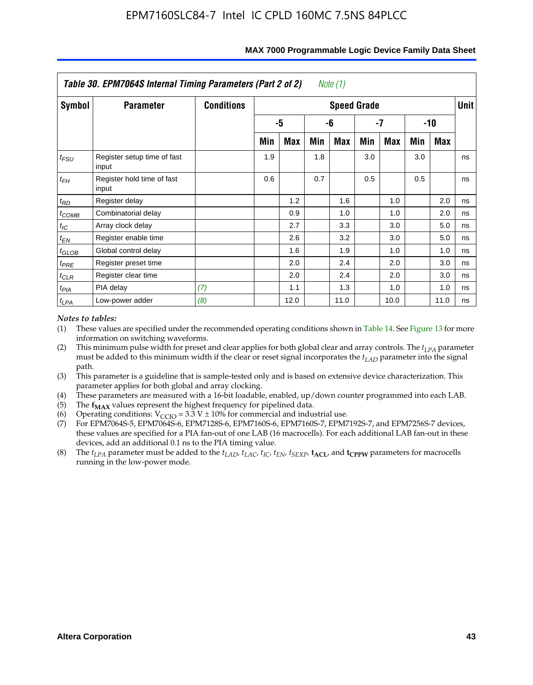|            | Table 30. EPM7064S Internal Timing Parameters (Part 2 of 2) |                   |     |      |     | Note (1)           |     |            |     |      |        |
|------------|-------------------------------------------------------------|-------------------|-----|------|-----|--------------------|-----|------------|-----|------|--------|
| Symbol     | <b>Parameter</b>                                            | <b>Conditions</b> |     |      |     | <b>Speed Grade</b> |     |            |     |      | Unit I |
|            |                                                             |                   |     | -5   |     | -6                 |     | -7         |     | -10  |        |
|            |                                                             |                   | Min | Max  | Min | <b>Max</b>         | Min | <b>Max</b> | Min | Max  |        |
| $t_{FSU}$  | Register setup time of fast<br>input                        |                   | 1.9 |      | 1.8 |                    | 3.0 |            | 3.0 |      | ns     |
| $t_{FH}$   | Register hold time of fast<br>input                         |                   | 0.6 |      | 0.7 |                    | 0.5 |            | 0.5 |      | ns     |
| $t_{RD}$   | Register delay                                              |                   |     | 1.2  |     | 1.6                |     | 1.0        |     | 2.0  | ns     |
| $t_{COMB}$ | Combinatorial delay                                         |                   |     | 0.9  |     | 1.0                |     | 1.0        |     | 2.0  | ns     |
| $t_{IC}$   | Array clock delay                                           |                   |     | 2.7  |     | 3.3                |     | 3.0        |     | 5.0  | ns     |
| $t_{EN}$   | Register enable time                                        |                   |     | 2.6  |     | 3.2                |     | 3.0        |     | 5.0  | ns     |
| $t_{GLOB}$ | Global control delay                                        |                   |     | 1.6  |     | 1.9                |     | 1.0        |     | 1.0  | ns     |
| $t_{PRE}$  | Register preset time                                        |                   |     | 2.0  |     | 2.4                |     | 2.0        |     | 3.0  | ns     |
| $t_{CLR}$  | Register clear time                                         |                   |     | 2.0  |     | 2.4                |     | 2.0        |     | 3.0  | ns     |
| $t_{PIA}$  | PIA delay                                                   | (7)               |     | 1.1  |     | 1.3                |     | 1.0        |     | 1.0  | ns     |
| $t_{LPA}$  | Low-power adder                                             | (8)               |     | 12.0 |     | 11.0               |     | 10.0       |     | 11.0 | ns     |

#### **MAX 7000 Programmable Logic Device Family Data Sheet**

#### *Notes to tables:*

- (1) These values are specified under the recommended operating conditions shown in Table 14. See Figure 13 for more information on switching waveforms.
- (2) This minimum pulse width for preset and clear applies for both global clear and array controls. The  $t_{LPA}$  parameter must be added to this minimum width if the clear or reset signal incorporates the *t<sub>LAD</sub>* parameter into the signal path.
- (3) This parameter is a guideline that is sample-tested only and is based on extensive device characterization. This parameter applies for both global and array clocking.
- (4) These parameters are measured with a 16-bit loadable, enabled, up/down counter programmed into each LAB. (5) The  $f_{MAX}$  values represent the highest frequency for pipelined data.
- 
- (6) Operating conditions:  $V_{\text{CCIO}} = 3.3 \text{ V} \pm 10\%$  for commercial and industrial use.
- (7) For EPM7064S-5, EPM7064S-6, EPM7128S-6, EPM7160S-6, EPM7160S-7, EPM7192S-7, and EPM7256S-7 devices, these values are specified for a PIA fan-out of one LAB (16 macrocells). For each additional LAB fan-out in these devices, add an additional 0.1 ns to the PIA timing value.
- (8) The  $t_{LPA}$  parameter must be added to the  $t_{LAD}$ ,  $t_{LAC}$ ,  $t_{IC}$ ,  $t_{EN}$ ,  $t_{SEXP}$ ,  $t_{ACL}$ , and  $t_{CPPW}$  parameters for macrocells running in the low-power mode.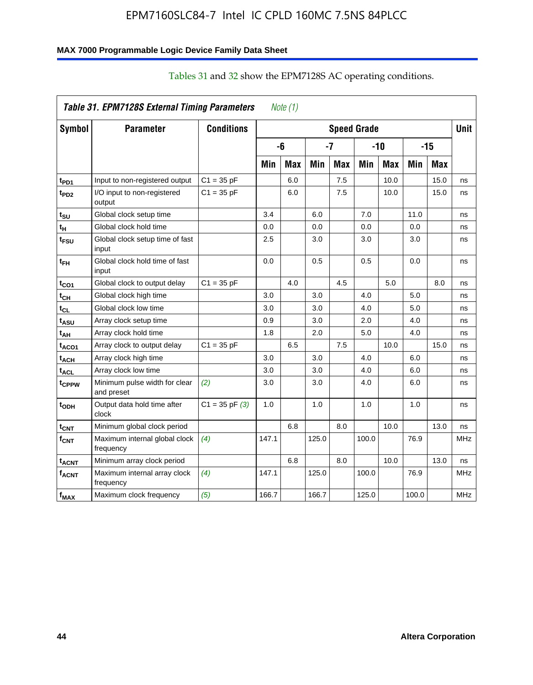### **MAX 7000 Programmable Logic Device Family Data Sheet**

|                         | Table 31. EPM7128S External Timing Parameters |                    |       | Note $(1)$ |       |            |                    |            |       |            |             |
|-------------------------|-----------------------------------------------|--------------------|-------|------------|-------|------------|--------------------|------------|-------|------------|-------------|
| <b>Symbol</b>           | <b>Parameter</b>                              | <b>Conditions</b>  |       |            |       |            | <b>Speed Grade</b> |            |       |            | <b>Unit</b> |
|                         |                                               |                    |       | -6         |       | -7         |                    | $-10$      |       | $-15$      |             |
|                         |                                               |                    | Min   | <b>Max</b> | Min   | <b>Max</b> | Min                | <b>Max</b> | Min   | <b>Max</b> |             |
| t <sub>PD1</sub>        | Input to non-registered output                | $C1 = 35 pF$       |       | 6.0        |       | 7.5        |                    | 10.0       |       | 15.0       | ns          |
| $t_{PD2}$               | I/O input to non-registered<br>output         | $C1 = 35 pF$       |       | 6.0        |       | 7.5        |                    | 10.0       |       | 15.0       | ns          |
| t <sub>SU</sub>         | Global clock setup time                       |                    | 3.4   |            | 6.0   |            | 7.0                |            | 11.0  |            | ns          |
| t <sub>H</sub>          | Global clock hold time                        |                    | 0.0   |            | 0.0   |            | 0.0                |            | 0.0   |            | ns          |
| t <sub>FSU</sub>        | Global clock setup time of fast<br>input      |                    | 2.5   |            | 3.0   |            | 3.0                |            | 3.0   |            | ns          |
| $t_{FH}$                | Global clock hold time of fast<br>input       |                    | 0.0   |            | 0.5   |            | 0.5                |            | 0.0   |            | ns          |
| $t_{CO1}$               | Global clock to output delay                  | $C1 = 35 pF$       |       | 4.0        |       | 4.5        |                    | 5.0        |       | 8.0        | ns          |
| $t_{CH}$                | Global clock high time                        |                    | 3.0   |            | 3.0   |            | 4.0                |            | 5.0   |            | ns          |
| $t_{CL}$                | Global clock low time                         |                    | 3.0   |            | 3.0   |            | 4.0                |            | 5.0   |            | ns          |
| t <sub>ASU</sub>        | Array clock setup time                        |                    | 0.9   |            | 3.0   |            | 2.0                |            | 4.0   |            | ns          |
| t <sub>АН</sub>         | Array clock hold time                         |                    | 1.8   |            | 2.0   |            | 5.0                |            | 4.0   |            | ns          |
| t <sub>ACO1</sub>       | Array clock to output delay                   | $C1 = 35 pF$       |       | 6.5        |       | 7.5        |                    | 10.0       |       | 15.0       | ns          |
| $t_{ACH}$               | Array clock high time                         |                    | 3.0   |            | 3.0   |            | 4.0                |            | 6.0   |            | ns          |
| $t_{\sf ACL}$           | Array clock low time                          |                    | 3.0   |            | 3.0   |            | 4.0                |            | 6.0   |            | ns          |
| t <sub>CPPW</sub>       | Minimum pulse width for clear<br>and preset   | (2)                | 3.0   |            | 3.0   |            | 4.0                |            | 6.0   |            | ns          |
| t <sub>ODH</sub>        | Output data hold time after<br>clock          | $C1 = 35$ pF $(3)$ | 1.0   |            | 1.0   |            | 1.0                |            | 1.0   |            | ns          |
| $t_{\text{CNT}}$        | Minimum global clock period                   |                    |       | 6.8        |       | 8.0        |                    | 10.0       |       | 13.0       | ns          |
| f <sub>CNT</sub>        | Maximum internal global clock<br>frequency    | (4)                | 147.1 |            | 125.0 |            | 100.0              |            | 76.9  |            | <b>MHz</b>  |
| <b>t<sub>ACNT</sub></b> | Minimum array clock period                    |                    |       | 6.8        |       | 8.0        |                    | 10.0       |       | 13.0       | ns          |
| f <sub>ACNT</sub>       | Maximum internal array clock<br>frequency     | (4)                | 147.1 |            | 125.0 |            | 100.0              |            | 76.9  |            | <b>MHz</b>  |
| $f_{MAX}$               | Maximum clock frequency                       | (5)                | 166.7 |            | 166.7 |            | 125.0              |            | 100.0 |            | <b>MHz</b>  |

### Tables 31 and 32 show the EPM7128S AC operating conditions.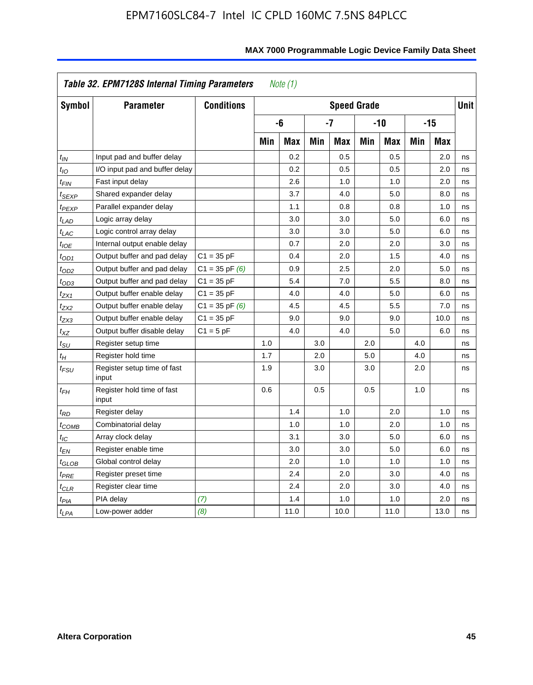|                            | Table 32. EPM7128S Internal Timing Parameters |                    |     | <i>Note</i> $(1)$ |     |                    |     |            |     |            |      |
|----------------------------|-----------------------------------------------|--------------------|-----|-------------------|-----|--------------------|-----|------------|-----|------------|------|
| <b>Symbol</b>              | <b>Parameter</b>                              | <b>Conditions</b>  |     |                   |     | <b>Speed Grade</b> |     |            |     |            | Unit |
|                            |                                               |                    |     | -6                |     | $-7$               |     | $-10$      |     | $-15$      |      |
|                            |                                               |                    | Min | <b>Max</b>        | Min | <b>Max</b>         | Min | <b>Max</b> | Min | <b>Max</b> |      |
| $t_{IN}$                   | Input pad and buffer delay                    |                    |     | 0.2               |     | 0.5                |     | 0.5        |     | 2.0        | ns   |
| $t_{IO}$                   | I/O input pad and buffer delay                |                    |     | 0.2               |     | 0.5                |     | 0.5        |     | 2.0        | ns   |
| $t_{\textit{FIN}}$         | Fast input delay                              |                    |     | 2.6               |     | 1.0                |     | 1.0        |     | 2.0        | ns   |
| <sup>t</sup> SEXP          | Shared expander delay                         |                    |     | 3.7               |     | 4.0                |     | 5.0        |     | 8.0        | ns   |
| t <sub>PEXP</sub>          | Parallel expander delay                       |                    |     | 1.1               |     | 0.8                |     | 0.8        |     | 1.0        | ns   |
| t <sub>LAD</sub>           | Logic array delay                             |                    |     | 3.0               |     | 3.0                |     | 5.0        |     | 6.0        | ns   |
| $t_{LAC}$                  | Logic control array delay                     |                    |     | 3.0               |     | 3.0                |     | 5.0        |     | 6.0        | ns   |
| $t_{IOE}$                  | Internal output enable delay                  |                    |     | 0.7               |     | 2.0                |     | 2.0        |     | 3.0        | ns   |
| $t_{OD1}$                  | Output buffer and pad delay                   | $C1 = 35 pF$       |     | 0.4               |     | 2.0                |     | 1.5        |     | 4.0        | ns   |
| $t_{OD2}$                  | Output buffer and pad delay                   | $C1 = 35$ pF $(6)$ |     | 0.9               |     | 2.5                |     | 2.0        |     | 5.0        | ns   |
| $t_{OD3}$                  | Output buffer and pad delay                   | $C1 = 35 pF$       |     | 5.4               |     | 7.0                |     | 5.5        |     | 8.0        | ns   |
| $t_{ZX1}$                  | Output buffer enable delay                    | $C1 = 35 pF$       |     | 4.0               |     | 4.0                |     | 5.0        |     | 6.0        | ns   |
| t <sub>ZX2</sub>           | Output buffer enable delay                    | $C1 = 35$ pF $(6)$ |     | 4.5               |     | 4.5                |     | 5.5        |     | 7.0        | ns   |
| t <sub>ZX3</sub>           | Output buffer enable delay                    | $C1 = 35 pF$       |     | 9.0               |     | 9.0                |     | 9.0        |     | 10.0       | ns   |
| $t_{\mathsf{XZ}}$          | Output buffer disable delay                   | $C1 = 5pF$         |     | 4.0               |     | 4.0                |     | 5.0        |     | 6.0        | ns   |
| $t_{\rm SU}$               | Register setup time                           |                    | 1.0 |                   | 3.0 |                    | 2.0 |            | 4.0 |            | ns   |
| $t_H$                      | Register hold time                            |                    | 1.7 |                   | 2.0 |                    | 5.0 |            | 4.0 |            | ns   |
| $t_{\it FSU}$              | Register setup time of fast<br>input          |                    | 1.9 |                   | 3.0 |                    | 3.0 |            | 2.0 |            | ns   |
| t <sub>FН</sub>            | Register hold time of fast<br>input           |                    | 0.6 |                   | 0.5 |                    | 0.5 |            | 1.0 |            | ns   |
| $t_{RD}$                   | Register delay                                |                    |     | 1.4               |     | 1.0                |     | 2.0        |     | 1.0        | ns   |
| $t_{\mathsf{COMB}}$        | Combinatorial delay                           |                    |     | 1.0               |     | 1.0                |     | 2.0        |     | 1.0        | ns   |
| $t_{\text{IC}}$            | Array clock delay                             |                    |     | 3.1               |     | 3.0                |     | 5.0        |     | 6.0        | ns   |
| $t_{EN}$                   | Register enable time                          |                    |     | 3.0               |     | 3.0                |     | 5.0        |     | 6.0        | ns   |
| $t_{\scriptstyle\rm GLOB}$ | Global control delay                          |                    |     | 2.0               |     | 1.0                |     | 1.0        |     | 1.0        | ns   |
| $t_{PRE}$                  | Register preset time                          |                    |     | 2.4               |     | 2.0                |     | 3.0        |     | 4.0        | ns   |
| $t_{CLR}$                  | Register clear time                           |                    |     | 2.4               |     | 2.0                |     | 3.0        |     | 4.0        | ns   |
| t <sub>PIA</sub>           | PIA delay                                     | (7)                |     | 1.4               |     | 1.0                |     | 1.0        |     | 2.0        | ns   |
| t <sub>LPA</sub>           | Low-power adder                               | (8)                |     | 11.0              |     | 10.0               |     | 11.0       |     | 13.0       | ns   |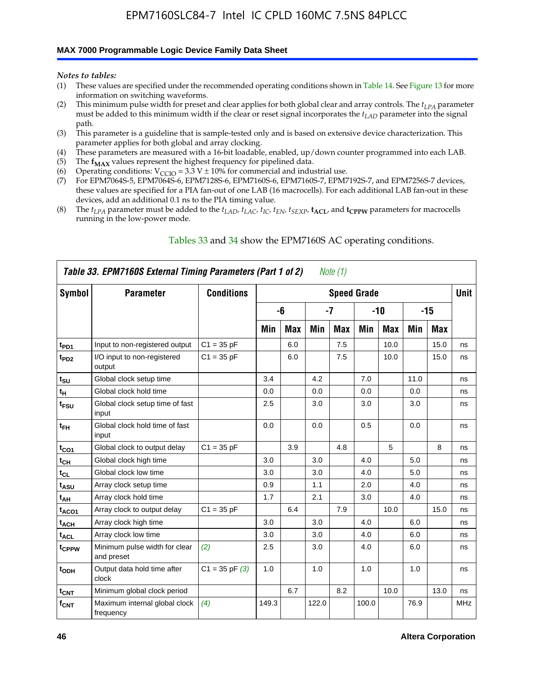### **MAX 7000 Programmable Logic Device Family Data Sheet**

*Notes to tables:*

- (1) These values are specified under the recommended operating conditions shown in Table 14. See Figure 13 for more information on switching waveforms.
- (2) This minimum pulse width for preset and clear applies for both global clear and array controls. The  $t_{LPA}$  parameter must be added to this minimum width if the clear or reset signal incorporates the *tLAD* parameter into the signal path.
- (3) This parameter is a guideline that is sample-tested only and is based on extensive device characterization. This parameter applies for both global and array clocking.
- (4) These parameters are measured with a 16-bit loadable, enabled, up/down counter programmed into each LAB.
- (5) The  $f_{MAX}$  values represent the highest frequency for pipelined data.
- (6) Operating conditions:  $V_{\text{CCIO}} = 3.3 \text{ V} \pm 10\%$  for commercial and industrial use.
- (7) For EPM7064S-5, EPM7064S-6, EPM7128S-6, EPM7160S-6, EPM7160S-7, EPM7192S-7, and EPM7256S-7 devices, these values are specified for a PIA fan-out of one LAB (16 macrocells). For each additional LAB fan-out in these devices, add an additional 0.1 ns to the PIA timing value.
- (8) The  $t_{LPA}$  parameter must be added to the  $t_{LAD}$ ,  $t_{LAC}$ ,  $t_{IC}$ ,  $t_{EN}$ ,  $t_{SEXP}$ ,  $t_{ACL}$ , and  $t_{CPPW}$  parameters for macrocells running in the low-power mode.

|                   | Table 33. EPM7160S External Timing Parameters (Part 1 of 2) |                    |       |            |       | Note (1) |                    |            |      |      |            |
|-------------------|-------------------------------------------------------------|--------------------|-------|------------|-------|----------|--------------------|------------|------|------|------------|
| Symbol            | <b>Parameter</b>                                            | <b>Conditions</b>  |       |            |       |          | <b>Speed Grade</b> |            |      |      | Unit       |
|                   |                                                             |                    |       | -6         |       | $-7$     |                    | $-10$      |      | -15  |            |
|                   |                                                             |                    | Min   | <b>Max</b> | Min   | Max      | Min                | <b>Max</b> | Min  | Max  |            |
| t <sub>PD1</sub>  | Input to non-registered output                              | $C1 = 35 pF$       |       | 6.0        |       | 7.5      |                    | 10.0       |      | 15.0 | ns         |
| $t_{PD2}$         | I/O input to non-registered<br>output                       | $C1 = 35 pF$       |       | 6.0        |       | 7.5      |                    | 10.0       |      | 15.0 | ns         |
| $t_{\text{SU}}$   | Global clock setup time                                     |                    | 3.4   |            | 4.2   |          | 7.0                |            | 11.0 |      | ns         |
| $t_H$             | Global clock hold time                                      |                    | 0.0   |            | 0.0   |          | 0.0                |            | 0.0  |      | ns         |
| t <sub>FSU</sub>  | Global clock setup time of fast<br>input                    |                    | 2.5   |            | 3.0   |          | 3.0                |            | 3.0  |      | ns         |
| $t_{FH}$          | Global clock hold time of fast<br>input                     |                    | 0.0   |            | 0.0   |          | 0.5                |            | 0.0  |      | ns         |
| $t_{CO1}$         | Global clock to output delay                                | $C1 = 35 pF$       |       | 3.9        |       | 4.8      |                    | 5          |      | 8    | ns         |
| $t_{CH}$          | Global clock high time                                      |                    | 3.0   |            | 3.0   |          | 4.0                |            | 5.0  |      | ns         |
| $t_{CL}$          | Global clock low time                                       |                    | 3.0   |            | 3.0   |          | 4.0                |            | 5.0  |      | ns         |
| t <sub>ASU</sub>  | Array clock setup time                                      |                    | 0.9   |            | 1.1   |          | 2.0                |            | 4.0  |      | ns         |
| t <sub>AH</sub>   | Array clock hold time                                       |                    | 1.7   |            | 2.1   |          | 3.0                |            | 4.0  |      | ns         |
| t <sub>ACO1</sub> | Array clock to output delay                                 | $C1 = 35 pF$       |       | 6.4        |       | 7.9      |                    | 10.0       |      | 15.0 | ns         |
| $t_{ACH}$         | Array clock high time                                       |                    | 3.0   |            | 3.0   |          | 4.0                |            | 6.0  |      | ns         |
| t <sub>ACL</sub>  | Array clock low time                                        |                    | 3.0   |            | 3.0   |          | 4.0                |            | 6.0  |      | ns         |
| tcppw             | Minimum pulse width for clear<br>and preset                 | (2)                | 2.5   |            | 3.0   |          | 4.0                |            | 6.0  |      | ns         |
| $t_{ODH}$         | Output data hold time after<br>clock                        | $C1 = 35$ pF $(3)$ | 1.0   |            | 1.0   |          | 1.0                |            | 1.0  |      | ns         |
| $t_{\text{CNT}}$  | Minimum global clock period                                 |                    |       | 6.7        |       | 8.2      |                    | 10.0       |      | 13.0 | ns         |
| $f_{\text{CNT}}$  | Maximum internal global clock<br>frequency                  | (4)                | 149.3 |            | 122.0 |          | 100.0              |            | 76.9 |      | <b>MHz</b> |

### Tables 33 and 34 show the EPM7160S AC operating conditions.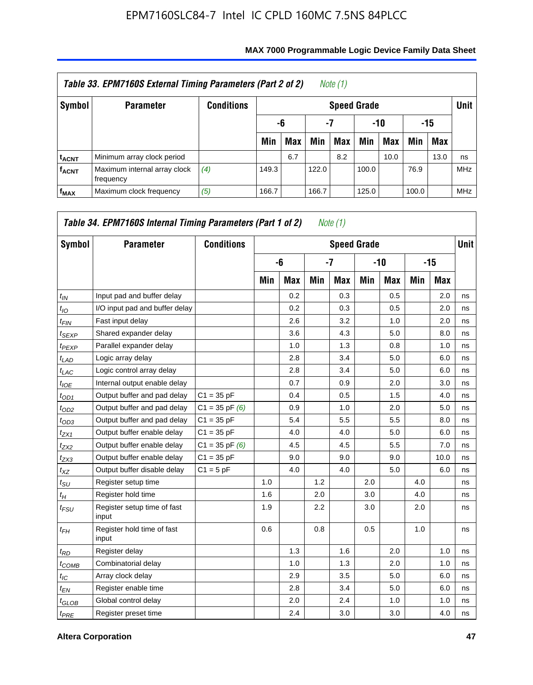|                         | Table 33. EPM7160S External Timing Parameters (Part 2 of 2) |                   |                    |                          |       | Note (1) |       |      |       |            |            |  |  |
|-------------------------|-------------------------------------------------------------|-------------------|--------------------|--------------------------|-------|----------|-------|------|-------|------------|------------|--|--|
| Symbol                  | <b>Parameter</b>                                            | <b>Conditions</b> | <b>Speed Grade</b> |                          |       |          |       |      |       |            |            |  |  |
|                         |                                                             |                   |                    | -7<br>$-10$<br>-15<br>-6 |       |          |       |      |       |            |            |  |  |
|                         |                                                             |                   | Min                | <b>Max</b>               | Min   | Max      | Min   | Max  | Min   | <b>Max</b> |            |  |  |
| <b>t<sub>ACNT</sub></b> | Minimum array clock period                                  |                   |                    | 6.7                      |       | 8.2      |       | 10.0 |       | 13.0       | ns         |  |  |
| <b>f<sub>ACNT</sub></b> | Maximum internal array clock<br>frequency                   | (4)               | 149.3              |                          | 122.0 |          | 100.0 |      | 76.9  |            | <b>MHz</b> |  |  |
| $f_{MAX}$               | Maximum clock frequency                                     | (5)               | 166.7              |                          | 166.7 |          | 125.0 |      | 100.0 |            | <b>MHz</b> |  |  |

| Symbol            | <b>Parameter</b>                     | <b>Conditions</b>  |     |            |     | <b>Speed Grade</b> |     |            |     |       | <b>Unit</b> |
|-------------------|--------------------------------------|--------------------|-----|------------|-----|--------------------|-----|------------|-----|-------|-------------|
|                   |                                      |                    |     | -6         |     | $-7$               |     | -10        |     | $-15$ |             |
|                   |                                      |                    | Min | <b>Max</b> | Min | <b>Max</b>         | Min | <b>Max</b> | Min | Max   |             |
| $t_{IN}$          | Input pad and buffer delay           |                    |     | 0.2        |     | 0.3                |     | 0.5        |     | 2.0   | ns          |
| $t_{IO}$          | I/O input pad and buffer delay       |                    |     | 0.2        |     | 0.3                |     | 0.5        |     | 2.0   | ns          |
| $t_{FIN}$         | Fast input delay                     |                    |     | 2.6        |     | 3.2                |     | 1.0        |     | 2.0   | ns          |
| $t_{SEXP}$        | Shared expander delay                |                    |     | 3.6        |     | 4.3                |     | 5.0        |     | 8.0   | ns          |
| <sup>t</sup> PEXP | Parallel expander delay              |                    |     | 1.0        |     | 1.3                |     | 0.8        |     | 1.0   | ns          |
| $t_{LAD}$         | Logic array delay                    |                    |     | 2.8        |     | 3.4                |     | 5.0        |     | 6.0   | ns          |
| $t_{LAC}$         | Logic control array delay            |                    |     | 2.8        |     | 3.4                |     | 5.0        |     | 6.0   | ns          |
| $t_{IOE}$         | Internal output enable delay         |                    |     | 0.7        |     | 0.9                |     | 2.0        |     | 3.0   | ns          |
| $t_{OD1}$         | Output buffer and pad delay          | $C1 = 35 pF$       |     | 0.4        |     | 0.5                |     | 1.5        |     | 4.0   | ns          |
| $t_{OD2}$         | Output buffer and pad delay          | $C1 = 35$ pF $(6)$ |     | 0.9        |     | 1.0                |     | 2.0        |     | 5.0   | ns          |
| $t_{OD3}$         | Output buffer and pad delay          | $C1 = 35 pF$       |     | 5.4        |     | 5.5                |     | 5.5        |     | 8.0   | ns          |
| $t_{ZX1}$         | Output buffer enable delay           | $C1 = 35 pF$       |     | 4.0        |     | 4.0                |     | 5.0        |     | 6.0   | ns          |
| $t_{ZX2}$         | Output buffer enable delay           | $C1 = 35$ pF $(6)$ |     | 4.5        |     | 4.5                |     | 5.5        |     | 7.0   | ns          |
| $t_{ZX3}$         | Output buffer enable delay           | $C1 = 35 pF$       |     | 9.0        |     | 9.0                |     | 9.0        |     | 10.0  | ns          |
| $t_{XZ}$          | Output buffer disable delay          | $C1 = 5pF$         |     | 4.0        |     | 4.0                |     | 5.0        |     | 6.0   | ns          |
| $t_{\rm SU}$      | Register setup time                  |                    | 1.0 |            | 1.2 |                    | 2.0 |            | 4.0 |       | ns          |
| $t_H$             | Register hold time                   |                    | 1.6 |            | 2.0 |                    | 3.0 |            | 4.0 |       | ns          |
| $t_{FSU}$         | Register setup time of fast<br>input |                    | 1.9 |            | 2.2 |                    | 3.0 |            | 2.0 |       | ns          |
| $t_{FH}$          | Register hold time of fast<br>input  |                    | 0.6 |            | 0.8 |                    | 0.5 |            | 1.0 |       | ns          |
| $t_{RD}$          | Register delay                       |                    |     | 1.3        |     | 1.6                |     | 2.0        |     | 1.0   | ns          |
| $t_{COMB}$        | Combinatorial delay                  |                    |     | 1.0        |     | 1.3                |     | 2.0        |     | 1.0   | ns          |
| $t_{\text{IC}}$   | Array clock delay                    |                    |     | 2.9        |     | 3.5                |     | 5.0        |     | 6.0   | ns          |
| $t_{EN}$          | Register enable time                 |                    |     | 2.8        |     | 3.4                |     | 5.0        |     | 6.0   | ns          |
| $t_{GLOB}$        | Global control delay                 |                    |     | 2.0        |     | 2.4                |     | 1.0        |     | 1.0   | ns          |
| $t_{PRE}$         | Register preset time                 |                    |     | 2.4        |     | 3.0                |     | 3.0        |     | 4.0   | ns          |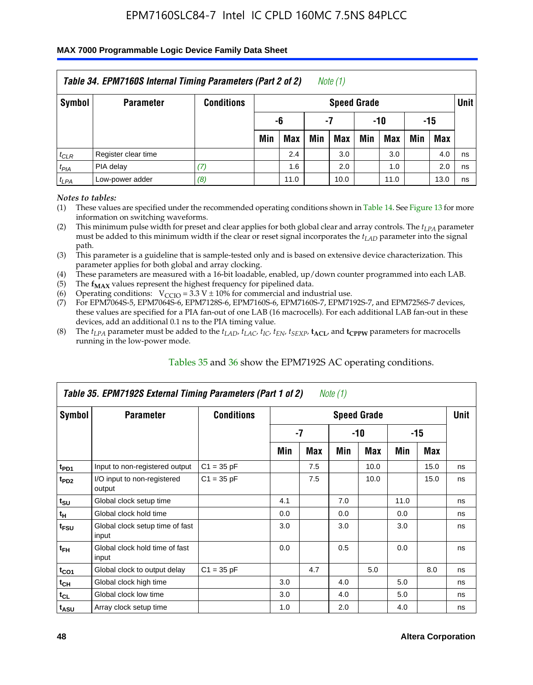#### **MAX 7000 Programmable Logic Device Family Data Sheet**

|           | Table 34. EPM7160S Internal Timing Parameters (Part 2 of 2) |                   |                        |      |     | Note (1)           |     |      |     |      |             |  |
|-----------|-------------------------------------------------------------|-------------------|------------------------|------|-----|--------------------|-----|------|-----|------|-------------|--|
| Symbol    | <b>Parameter</b>                                            | <b>Conditions</b> |                        |      |     | <b>Speed Grade</b> |     |      |     |      | <b>Unit</b> |  |
|           |                                                             |                   | -15<br>-6<br>-10<br>-7 |      |     |                    |     |      |     |      |             |  |
|           |                                                             |                   | Min                    | Max  | Min | <b>Max</b>         | Min | Max  | Min | Max  |             |  |
| $t_{CLR}$ | Register clear time                                         |                   |                        | 2.4  |     | 3.0                |     | 3.0  |     | 4.0  | ns          |  |
| $t_{PIA}$ | PIA delay                                                   | (7)               |                        | 1.6  |     | 2.0                |     | 1.0  |     | 2.0  | ns          |  |
| $t_{LPA}$ | Low-power adder                                             | (8)               |                        | 11.0 |     | 10.0               |     | 11.0 |     | 13.0 | ns          |  |

*Notes to tables:*

- (1) These values are specified under the recommended operating conditions shown in Table 14. See Figure 13 for more information on switching waveforms.
- (2) This minimum pulse width for preset and clear applies for both global clear and array controls. The  $t_{LPA}$  parameter must be added to this minimum width if the clear or reset signal incorporates the *t<sub>LAD</sub>* parameter into the signal path.
- (3) This parameter is a guideline that is sample-tested only and is based on extensive device characterization. This parameter applies for both global and array clocking.
- (4) These parameters are measured with a 16-bit loadable, enabled, up/down counter programmed into each LAB.
- (5) The  $f_{MAX}$  values represent the highest frequency for pipelined data.
- (6) Operating conditions:  $V_{\text{CCIO}} = 3.3 V \pm 10\%$  for commercial and industrial use.
- (7) For EPM7064S-5, EPM7064S-6, EPM7128S-6, EPM7160S-6, EPM7160S-7, EPM7192S-7, and EPM7256S-7 devices, these values are specified for a PIA fan-out of one LAB (16 macrocells). For each additional LAB fan-out in these devices, add an additional 0.1 ns to the PIA timing value.
- (8) The  $t_{LPA}$  parameter must be added to the  $t_{LAP}$ ,  $t_{LAC}$ ,  $t_{IC}$ ,  $t_{EN}$ ,  $t_{SEXP}$ ,  $t_{ACL}$ , and  $t_{CPPW}$  parameters for macrocells running in the low-power mode.

|                             | Table 35. EPM7192S External Timing Parameters (Part 1 of 2) |                   |     |     | Note (1) |                    |      |       |             |
|-----------------------------|-------------------------------------------------------------|-------------------|-----|-----|----------|--------------------|------|-------|-------------|
| Symbol                      | <b>Parameter</b>                                            | <b>Conditions</b> |     |     |          | <b>Speed Grade</b> |      |       | <b>Unit</b> |
|                             |                                                             |                   |     | -7  |          | -10                |      | $-15$ |             |
|                             |                                                             |                   | Min | Max | Min      | Max                | Min  | Max   |             |
| t <sub>PD1</sub>            | Input to non-registered output                              | $C1 = 35 pF$      |     | 7.5 |          | 10.0               |      | 15.0  | ns          |
| $t_{PD2}$                   | I/O input to non-registered<br>output                       | $C1 = 35 pF$      |     | 7.5 |          | 10.0               |      | 15.0  | ns          |
| $t_{\scriptstyle\text{SU}}$ | Global clock setup time                                     |                   | 4.1 |     | 7.0      |                    | 11.0 |       | ns          |
| $t_H$                       | Global clock hold time                                      |                   | 0.0 |     | 0.0      |                    | 0.0  |       | ns          |
| t <sub>FSU</sub>            | Global clock setup time of fast<br>input                    |                   | 3.0 |     | 3.0      |                    | 3.0  |       | ns          |
| $t_{FH}$                    | Global clock hold time of fast<br>input                     |                   | 0.0 |     | 0.5      |                    | 0.0  |       | ns          |
| $t_{CO1}$                   | Global clock to output delay                                | $C1 = 35 pF$      |     | 4.7 |          | 5.0                |      | 8.0   | ns          |
| $t_{CH}$                    | Global clock high time                                      |                   | 3.0 |     | 4.0      |                    | 5.0  |       | ns          |
| $t_{CL}$                    | Global clock low time                                       |                   | 3.0 |     | 4.0      |                    | 5.0  |       | ns          |
| t <sub>ASU</sub>            | Array clock setup time                                      |                   | 1.0 |     | 2.0      |                    | 4.0  |       | ns          |

### Tables 35 and 36 show the EPM7192S AC operating conditions.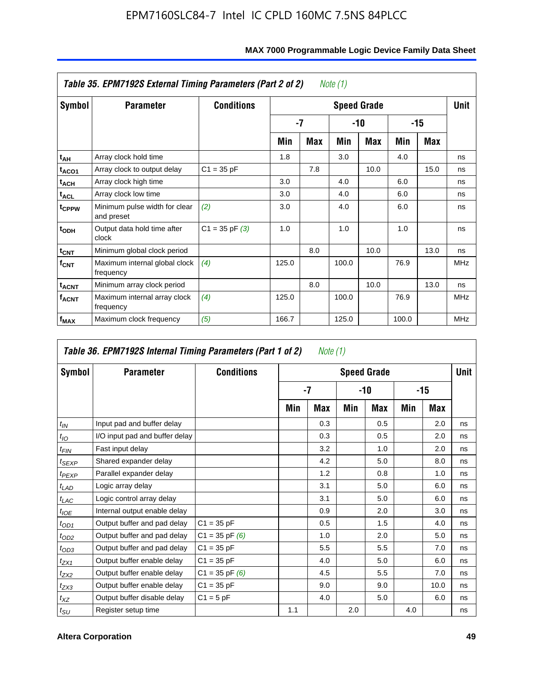|                         | Table 35. EPM7192S External Timing Parameters (Part 2 of 2) |                    |       |      | Note (1) |                    |       |      |            |
|-------------------------|-------------------------------------------------------------|--------------------|-------|------|----------|--------------------|-------|------|------------|
| Symbol                  | <b>Parameter</b>                                            | <b>Conditions</b>  |       |      |          | <b>Speed Grade</b> |       |      | Unit       |
|                         |                                                             |                    |       | $-7$ |          | -10                |       | -15  |            |
|                         |                                                             |                    | Min   | Max  | Min      | Max                | Min   | Max  |            |
| t <sub>АН</sub>         | Array clock hold time                                       |                    | 1.8   |      | 3.0      |                    | 4.0   |      | ns         |
| t <sub>ACO1</sub>       | Array clock to output delay                                 | $C1 = 35 pF$       |       | 7.8  |          | 10.0               |       | 15.0 | ns         |
| $t_{\sf ACH}$           | Array clock high time                                       |                    | 3.0   |      | 4.0      |                    | 6.0   |      | ns         |
| $t_{\sf ACL}$           | Array clock low time                                        |                    | 3.0   |      | 4.0      |                    | 6.0   |      | ns         |
| t <sub>CPPW</sub>       | Minimum pulse width for clear<br>and preset                 | (2)                | 3.0   |      | 4.0      |                    | 6.0   |      | ns         |
| $t_{ODH}$               | Output data hold time after<br>clock                        | $C1 = 35$ pF $(3)$ | 1.0   |      | 1.0      |                    | 1.0   |      | ns         |
| $t_{\mathsf{CNT}}$      | Minimum global clock period                                 |                    |       | 8.0  |          | 10.0               |       | 13.0 | ns         |
| $f_{\text{CNT}}$        | Maximum internal global clock<br>frequency                  | (4)                | 125.0 |      | 100.0    |                    | 76.9  |      | <b>MHz</b> |
| $t_{ACNT}$              | Minimum array clock period                                  |                    |       | 8.0  |          | 10.0               |       | 13.0 | ns         |
| <b>f<sub>ACNT</sub></b> | Maximum internal array clock<br>frequency                   | (4)                | 125.0 |      | 100.0    |                    | 76.9  |      | <b>MHz</b> |
| f <sub>MAX</sub>        | Maximum clock frequency                                     | (5)                | 166.7 |      | 125.0    |                    | 100.0 |      | <b>MHz</b> |

|                   | Table 36. EPM7192S Internal Timing Parameters (Part 1 of 2) |                    |     | Note (1) |     |                    |     |       |      |
|-------------------|-------------------------------------------------------------|--------------------|-----|----------|-----|--------------------|-----|-------|------|
| Symbol            | <b>Parameter</b>                                            | <b>Conditions</b>  |     |          |     | <b>Speed Grade</b> |     |       | Unit |
|                   |                                                             |                    |     | -7       |     | -10                |     | $-15$ |      |
|                   |                                                             |                    | Min | Max      | Min | <b>Max</b>         | Min | Max   |      |
| $t_{IN}$          | Input pad and buffer delay                                  |                    |     | 0.3      |     | 0.5                |     | 2.0   | ns   |
| $t_{IO}$          | I/O input pad and buffer delay                              |                    |     | 0.3      |     | 0.5                |     | 2.0   | ns   |
| $t_{FIN}$         | Fast input delay                                            |                    |     | 3.2      |     | 1.0                |     | 2.0   | ns   |
| t <sub>SEXP</sub> | Shared expander delay                                       |                    |     | 4.2      |     | 5.0                |     | 8.0   | ns   |
| $t_{PEXP}$        | Parallel expander delay                                     |                    |     | 1.2      |     | 0.8                |     | 1.0   | ns   |
| $t_{LAD}$         | Logic array delay                                           |                    |     | 3.1      |     | 5.0                |     | 6.0   | ns   |
| $t_{LAC}$         | Logic control array delay                                   |                    |     | 3.1      |     | 5.0                |     | 6.0   | ns   |
| $t_{IOE}$         | Internal output enable delay                                |                    |     | 0.9      |     | 2.0                |     | 3.0   | ns   |
| $t_{OD1}$         | Output buffer and pad delay                                 | $C1 = 35 pF$       |     | 0.5      |     | 1.5                |     | 4.0   | ns   |
| $t_{OD2}$         | Output buffer and pad delay                                 | $C1 = 35$ pF $(6)$ |     | 1.0      |     | 2.0                |     | 5.0   | ns   |
| $t_{OD3}$         | Output buffer and pad delay                                 | $C1 = 35 pF$       |     | 5.5      |     | 5.5                |     | 7.0   | ns   |
| $t_{ZX1}$         | Output buffer enable delay                                  | $C1 = 35 pF$       |     | 4.0      |     | 5.0                |     | 6.0   | ns   |
| $t_{ZX2}$         | Output buffer enable delay                                  | $C1 = 35$ pF $(6)$ |     | 4.5      |     | 5.5                |     | 7.0   | ns   |
| $t_{ZX3}$         | Output buffer enable delay                                  | $C1 = 35 pF$       |     | 9.0      |     | 9.0                |     | 10.0  | ns   |
| $t_{XZ}$          | Output buffer disable delay                                 | $C1 = 5pF$         |     | 4.0      |     | 5.0                |     | 6.0   | ns   |
| $t_{\text{SU}}$   | Register setup time                                         |                    | 1.1 |          | 2.0 |                    | 4.0 |       | ns   |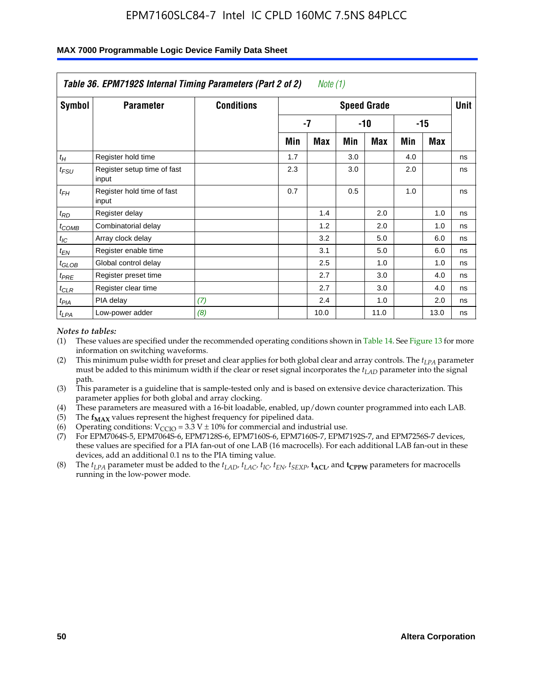|                    | Table 36. EPM7192S Internal Timing Parameters (Part 2 of 2) |                   |     | Note (1) |     |                    |     |       |      |
|--------------------|-------------------------------------------------------------|-------------------|-----|----------|-----|--------------------|-----|-------|------|
| Symbol             | <b>Parameter</b>                                            | <b>Conditions</b> |     |          |     | <b>Speed Grade</b> |     |       | Unit |
|                    |                                                             |                   |     | -7       |     | -10                |     | $-15$ |      |
|                    |                                                             |                   | Min | Max      | Min | Max                | Min | Max   |      |
| $t_H$              | Register hold time                                          |                   | 1.7 |          | 3.0 |                    | 4.0 |       | ns   |
| $t_{\mathit{FSU}}$ | Register setup time of fast<br>input                        |                   | 2.3 |          | 3.0 |                    | 2.0 |       | ns   |
| $t_{FH}$           | Register hold time of fast<br>input                         |                   | 0.7 |          | 0.5 |                    | 1.0 |       | ns   |
| $t_{RD}$           | Register delay                                              |                   |     | 1.4      |     | 2.0                |     | 1.0   | ns   |
| $t_{\text{COMB}}$  | Combinatorial delay                                         |                   |     | 1.2      |     | 2.0                |     | 1.0   | ns   |
| $t_{IC}$           | Array clock delay                                           |                   |     | 3.2      |     | 5.0                |     | 6.0   | ns   |
| $t_{EN}$           | Register enable time                                        |                   |     | 3.1      |     | 5.0                |     | 6.0   | ns   |
| $t_{GLOB}$         | Global control delay                                        |                   |     | 2.5      |     | 1.0                |     | 1.0   | ns   |
| $t_{PRE}$          | Register preset time                                        |                   |     | 2.7      |     | 3.0                |     | 4.0   | ns   |
| $t_{CLR}$          | Register clear time                                         |                   |     | 2.7      |     | 3.0                |     | 4.0   | ns   |
| t <sub>PIA</sub>   | PIA delay                                                   | (7)               |     | 2.4      |     | 1.0                |     | 2.0   | ns   |
| $t_{LPA}$          | Low-power adder                                             | (8)               |     | 10.0     |     | 11.0               |     | 13.0  | ns   |

#### **MAX 7000 Programmable Logic Device Family Data Sheet**

#### *Notes to tables:*

- (1) These values are specified under the recommended operating conditions shown in Table 14. See Figure 13 for more information on switching waveforms.
- (2) This minimum pulse width for preset and clear applies for both global clear and array controls. The *tLPA* parameter must be added to this minimum width if the clear or reset signal incorporates the *t<sub>LAD</sub>* parameter into the signal path.
- (3) This parameter is a guideline that is sample-tested only and is based on extensive device characterization. This parameter applies for both global and array clocking.
- (4) These parameters are measured with a 16-bit loadable, enabled, up/down counter programmed into each LAB.
- (5) The  $f_{MAX}$  values represent the highest frequency for pipelined data.
- (6) Operating conditions:  $V_{\text{CCIO}} = 3.3 \text{ V} \pm 10\%$  for commercial and industrial use.
- (7) For EPM7064S-5, EPM7064S-6, EPM7128S-6, EPM7160S-6, EPM7160S-7, EPM7192S-7, and EPM7256S-7 devices, these values are specified for a PIA fan-out of one LAB (16 macrocells). For each additional LAB fan-out in these devices, add an additional 0.1 ns to the PIA timing value.
- (8) The  $t_{LPA}$  parameter must be added to the  $t_{LAD}$ ,  $t_{LAC}$ ,  $t_{IC}$ ,  $t_{EN}$ ,  $t_{SIX}$ ,  $t_{ACL}$ , and  $t_{CPW}$  parameters for macrocells running in the low-power mode.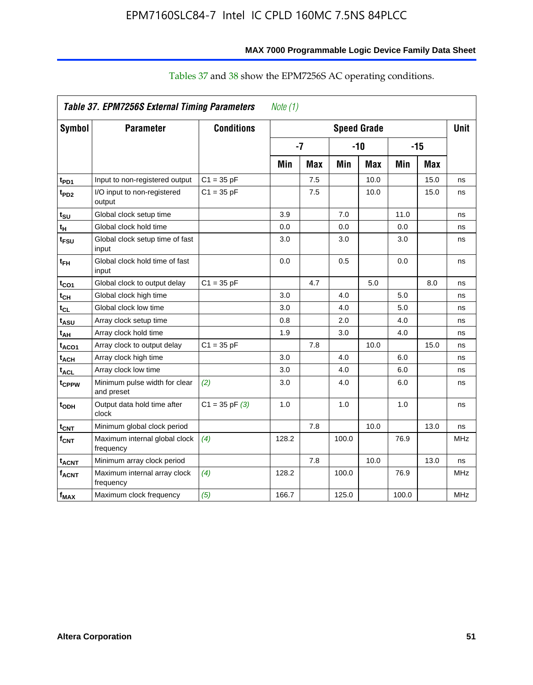|                         | Table 37. EPM7256S External Timing Parameters |                    | Note $(1)$ |            |       |                    |       |            |             |
|-------------------------|-----------------------------------------------|--------------------|------------|------------|-------|--------------------|-------|------------|-------------|
| Symbol                  | <b>Parameter</b>                              | <b>Conditions</b>  |            |            |       | <b>Speed Grade</b> |       |            | <b>Unit</b> |
|                         |                                               |                    |            | $-7$       |       | $-10$              |       | -15        |             |
|                         |                                               |                    | Min        | <b>Max</b> | Min   | <b>Max</b>         | Min   | <b>Max</b> |             |
| t <sub>PD1</sub>        | Input to non-registered output                | $C1 = 35 pF$       |            | 7.5        |       | 10.0               |       | 15.0       | ns          |
| $t_{PD2}$               | I/O input to non-registered<br>output         | $C1 = 35 pF$       |            | 7.5        |       | 10.0               |       | 15.0       | ns          |
| t <sub>su</sub>         | Global clock setup time                       |                    | 3.9        |            | 7.0   |                    | 11.0  |            | ns          |
| tμ                      | Global clock hold time                        |                    | 0.0        |            | 0.0   |                    | 0.0   |            | ns          |
| t <sub>FSU</sub>        | Global clock setup time of fast<br>input      |                    | 3.0        |            | 3.0   |                    | 3.0   |            | ns          |
| $t_{FH}$                | Global clock hold time of fast<br>input       |                    | 0.0        |            | 0.5   |                    | 0.0   |            | ns          |
| $t_{CO1}$               | Global clock to output delay                  | $C1 = 35 pF$       |            | 4.7        |       | 5.0                |       | 8.0        | ns          |
| $t_{\mathsf{CH}}$       | Global clock high time                        |                    | 3.0        |            | 4.0   |                    | 5.0   |            | ns          |
| $t_{CL}$                | Global clock low time                         |                    | 3.0        |            | 4.0   |                    | 5.0   |            | ns          |
| t <sub>ASU</sub>        | Array clock setup time                        |                    | 0.8        |            | 2.0   |                    | 4.0   |            | ns          |
| t <sub>AH</sub>         | Array clock hold time                         |                    | 1.9        |            | 3.0   |                    | 4.0   |            | ns          |
| $t_{ACO1}$              | Array clock to output delay                   | $C1 = 35 pF$       |            | 7.8        |       | 10.0               |       | 15.0       | ns          |
| <b>t<sub>ACH</sub></b>  | Array clock high time                         |                    | 3.0        |            | 4.0   |                    | 6.0   |            | ns          |
| t <sub>ACL</sub>        | Array clock low time                          |                    | 3.0        |            | 4.0   |                    | 6.0   |            | ns          |
| t <sub>CPPW</sub>       | Minimum pulse width for clear<br>and preset   | (2)                | 3.0        |            | 4.0   |                    | 6.0   |            | ns          |
| t <sub>ODH</sub>        | Output data hold time after<br>clock          | $C1 = 35$ pF $(3)$ | 1.0        |            | 1.0   |                    | 1.0   |            | ns          |
| $t_{\text{CNT}}$        | Minimum global clock period                   |                    |            | 7.8        |       | 10.0               |       | 13.0       | ns          |
| $f_{CNT}$               | Maximum internal global clock<br>frequency    | (4)                | 128.2      |            | 100.0 |                    | 76.9  |            | <b>MHz</b>  |
| <b>t<sub>ACNT</sub></b> | Minimum array clock period                    |                    |            | 7.8        |       | 10.0               |       | 13.0       | ns          |
| <b>fACNT</b>            | Maximum internal array clock<br>frequency     | (4)                | 128.2      |            | 100.0 |                    | 76.9  |            | <b>MHz</b>  |
| $f_{MAX}$               | Maximum clock frequency                       | (5)                | 166.7      |            | 125.0 |                    | 100.0 |            | <b>MHz</b>  |

### Tables 37 and 38 show the EPM7256S AC operating conditions.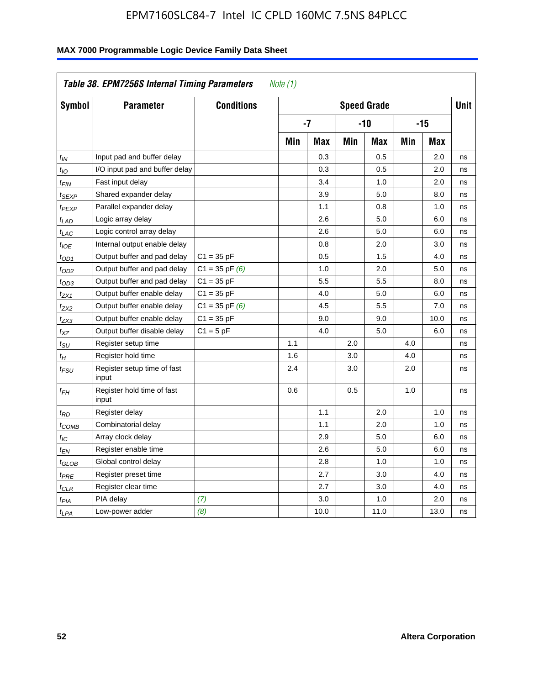| Symbol                      | <b>Parameter</b>                     | <b>Conditions</b>  |     |            |     | <b>Speed Grade</b> |            |            | <b>Unit</b> |
|-----------------------------|--------------------------------------|--------------------|-----|------------|-----|--------------------|------------|------------|-------------|
|                             |                                      |                    |     | -7         |     | -10                |            | $-15$      |             |
|                             |                                      |                    | Min | <b>Max</b> | Min | <b>Max</b>         | <b>Min</b> | <b>Max</b> |             |
| $t_{IN}$                    | Input pad and buffer delay           |                    |     | 0.3        |     | 0.5                |            | 2.0        | ns          |
| $t_{IO}$                    | I/O input pad and buffer delay       |                    |     | 0.3        |     | 0.5                |            | 2.0        | ns          |
| $t_{\text{FIN}}$            | Fast input delay                     |                    |     | 3.4        |     | 1.0                |            | 2.0        | ns          |
| t <sub>SEXP</sub>           | Shared expander delay                |                    |     | 3.9        |     | 5.0                |            | 8.0        | ns          |
| t <sub>PEXP</sub>           | Parallel expander delay              |                    |     | 1.1        |     | 0.8                |            | 1.0        | ns          |
| t <sub>LAD</sub>            | Logic array delay                    |                    |     | 2.6        |     | 5.0                |            | 6.0        | ns          |
| $t_{LAC}$                   | Logic control array delay            |                    |     | 2.6        |     | 5.0                |            | 6.0        | ns          |
| $t_{IOE}$                   | Internal output enable delay         |                    |     | 0.8        |     | 2.0                |            | 3.0        | ns          |
| $t_{OD1}$                   | Output buffer and pad delay          | $C1 = 35 pF$       |     | 0.5        |     | 1.5                |            | 4.0        | ns          |
| $t_{OD2}$                   | Output buffer and pad delay          | $C1 = 35$ pF $(6)$ |     | 1.0        |     | 2.0                |            | 5.0        | ns          |
| $t_{OD3}$                   | Output buffer and pad delay          | $C1 = 35 pF$       |     | 5.5        |     | 5.5                |            | 8.0        | ns          |
| $t_{ZX1}$                   | Output buffer enable delay           | $C1 = 35 pF$       |     | 4.0        |     | 5.0                |            | 6.0        | ns          |
| t <sub>ZX2</sub>            | Output buffer enable delay           | $C1 = 35$ pF $(6)$ |     | 4.5        |     | 5.5                |            | 7.0        | ns          |
| t <sub>ZX3</sub>            | Output buffer enable delay           | $C1 = 35 pF$       |     | 9.0        |     | 9.0                |            | 10.0       | ns          |
| $t_{XZ}$                    | Output buffer disable delay          | $C1 = 5pF$         |     | 4.0        |     | 5.0                |            | 6.0        | ns          |
| $t_{\scriptstyle\text{SU}}$ | Register setup time                  |                    | 1.1 |            | 2.0 |                    | 4.0        |            | ns          |
| $t_H$                       | Register hold time                   |                    | 1.6 |            | 3.0 |                    | 4.0        |            | ns          |
| t <sub>FSU</sub>            | Register setup time of fast<br>input |                    | 2.4 |            | 3.0 |                    | 2.0        |            | ns          |
| $t_{FH}$                    | Register hold time of fast<br>input  |                    | 0.6 |            | 0.5 |                    | 1.0        |            | ns          |
| $t_{RD}$                    | Register delay                       |                    |     | 1.1        |     | 2.0                |            | 1.0        | ns          |
| $t_{COMB}$                  | Combinatorial delay                  |                    |     | 1.1        |     | 2.0                |            | 1.0        | ns          |
| $t_{IC}$                    | Array clock delay                    |                    |     | 2.9        |     | 5.0                |            | 6.0        | ns          |
| $t_{EN}$                    | Register enable time                 |                    |     | 2.6        |     | 5.0                |            | 6.0        | ns          |
| $t_{GLOB}$                  | Global control delay                 |                    |     | 2.8        |     | 1.0                |            | 1.0        | ns          |
| $t_{PRE}$                   | Register preset time                 |                    |     | 2.7        |     | 3.0                |            | 4.0        | ns          |
| $t_{\text{CLR}}$            | Register clear time                  |                    |     | 2.7        |     | 3.0                |            | 4.0        | ns          |
| t <sub>PIA</sub>            | PIA delay                            | (7)                |     | 3.0        |     | 1.0                |            | 2.0        | ns          |
| $t_{LPA}$                   | Low-power adder                      | (8)                |     | 10.0       |     | 11.0               |            | 13.0       | ns          |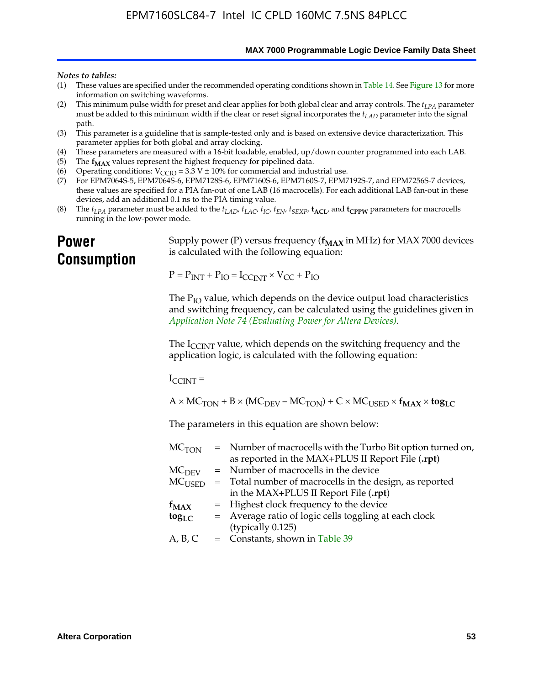**MAX 7000 Programmable Logic Device Family Data Sheet**

#### *Notes to tables:*

- (1) These values are specified under the recommended operating conditions shown in Table 14. See Figure 13 for more information on switching waveforms.
- (2) This minimum pulse width for preset and clear applies for both global clear and array controls. The  $t_{LPA}$  parameter must be added to this minimum width if the clear or reset signal incorporates the *tLAD* parameter into the signal path.
- (3) This parameter is a guideline that is sample-tested only and is based on extensive device characterization. This parameter applies for both global and array clocking.
- (4) These parameters are measured with a 16-bit loadable, enabled, up/down counter programmed into each LAB.
- (5) The  $f_{MAX}$  values represent the highest frequency for pipelined data.
- (6) Operating conditions:  $V_{\text{CCIO}} = 3.3 \text{ V} \pm 10\%$  for commercial and industrial use.
- (7) For EPM7064S-5, EPM7064S-6, EPM7128S-6, EPM7160S-6, EPM7160S-7, EPM7192S-7, and EPM7256S-7 devices, these values are specified for a PIA fan-out of one LAB (16 macrocells). For each additional LAB fan-out in these devices, add an additional 0.1 ns to the PIA timing value.
- (8) The  $t_{LPA}$  parameter must be added to the  $t_{LAD}$ ,  $t_{LAC}$ ,  $t_{IC}$ ,  $t_{EN}$ ,  $t_{SEXP}$ ,  $t_{ACL}$ , and  $t_{CPPW}$  parameters for macrocells running in the low-power mode.

### **Power Consumption**

[Supply power \(P\) versus frequency \(](http://www.altera.com/literature/an/an074.pdf) $f_{MAX}$  in MHz) for MAX 7000 devices is calculated with the following equation:

 $P = P_{INT} + P_{IO} = I_{CCLNT} \times V_{CC} + P_{IO}$ 

The  $P_{IO}$  value, which depends on the device output load characteristics and switching frequency, can be calculated using the guidelines given in *Application Note 74 (Evaluating Power for Altera Devices)*.

The  $I_{\text{CCINT}}$  value, which depends on the switching frequency and the application logic, is calculated with the following equation:

 $I_{\text{CCTNT}} =$ 

 $A \times MC_{TON} + B \times (MC_{DEFU} - MC_{TON}) + C \times MC_{LISED} \times f_{MAX} \times tog_{LC}$ 

The parameters in this equation are shown below:

| MC <sub>TON</sub> | = Number of macrocells with the Turbo Bit option turned on, |
|-------------------|-------------------------------------------------------------|
|                   | as reported in the MAX+PLUS II Report File (.rpt)           |
| MC <sub>DFV</sub> | = Number of macrocells in the device                        |
| $MC_{\rm{LISED}}$ | = Total number of macrocells in the design, as reported     |
|                   | in the MAX+PLUS II Report File (.rpt)                       |
| $f_{MAX}$         | = Highest clock frequency to the device                     |
| $tog_{LC}$        | = Average ratio of logic cells toggling at each clock       |
|                   | (typically 0.125)                                           |
| A, B, C           | $=$ Constants, shown in Table 39                            |
|                   |                                                             |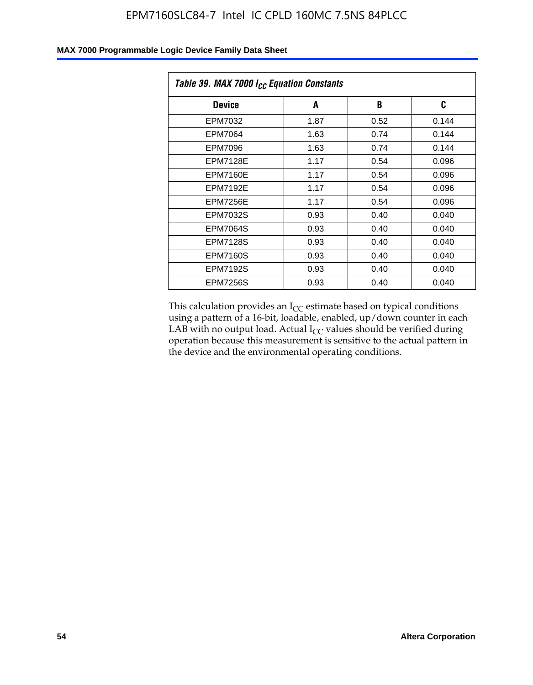| Table 39. MAX 7000 I <sub>CC</sub> Equation Constants |      |      |       |  |
|-------------------------------------------------------|------|------|-------|--|
| <b>Device</b>                                         | A    | B    | C     |  |
| EPM7032                                               | 1.87 | 0.52 | 0.144 |  |
| EPM7064                                               | 1.63 | 0.74 | 0.144 |  |
| EPM7096                                               | 1.63 | 0.74 | 0.144 |  |
| <b>EPM7128E</b>                                       | 1.17 | 0.54 | 0.096 |  |
| EPM7160E                                              | 1.17 | 0.54 | 0.096 |  |
| <b>EPM7192E</b>                                       | 1.17 | 0.54 | 0.096 |  |
| <b>EPM7256E</b>                                       | 1.17 | 0.54 | 0.096 |  |
| EPM7032S                                              | 0.93 | 0.40 | 0.040 |  |
| EPM7064S                                              | 0.93 | 0.40 | 0.040 |  |
| <b>EPM7128S</b>                                       | 0.93 | 0.40 | 0.040 |  |
| <b>EPM7160S</b>                                       | 0.93 | 0.40 | 0.040 |  |
| <b>EPM7192S</b>                                       | 0.93 | 0.40 | 0.040 |  |
| <b>EPM7256S</b>                                       | 0.93 | 0.40 | 0.040 |  |

This calculation provides an  $I_{CC}$  estimate based on typical conditions using a pattern of a 16-bit, loadable, enabled, up/down counter in each LAB with no output load. Actual  $I_{CC}$  values should be verified during operation because this measurement is sensitive to the actual pattern in the device and the environmental operating conditions.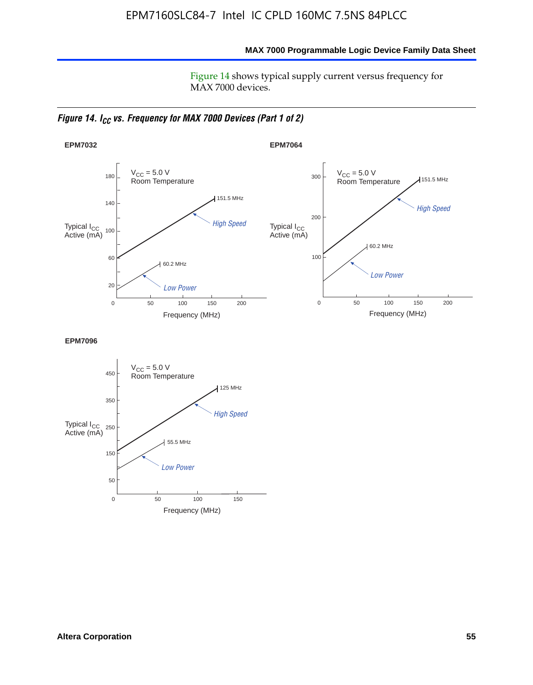**MAX 7000 Programmable Logic Device Family Data Sheet**

Figure 14 shows typical supply current versus frequency for MAX 7000 devices.

*Figure 14. I<sub>CC</sub> vs. Frequency for MAX 7000 Devices (Part 1 of 2)* 



**EPM7096**

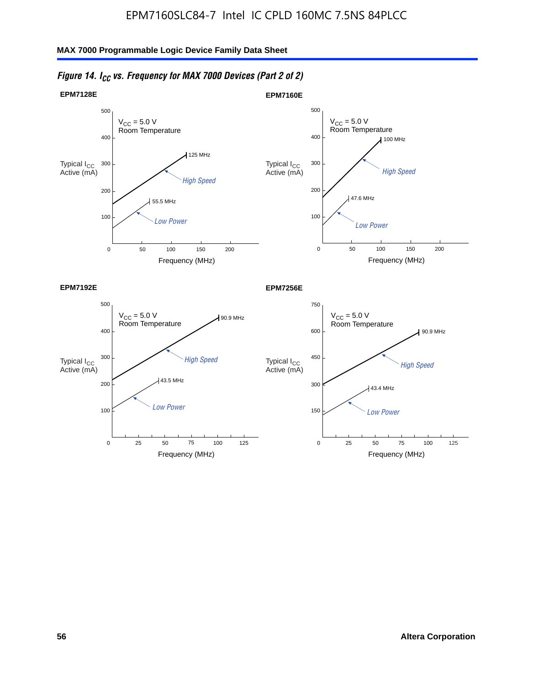

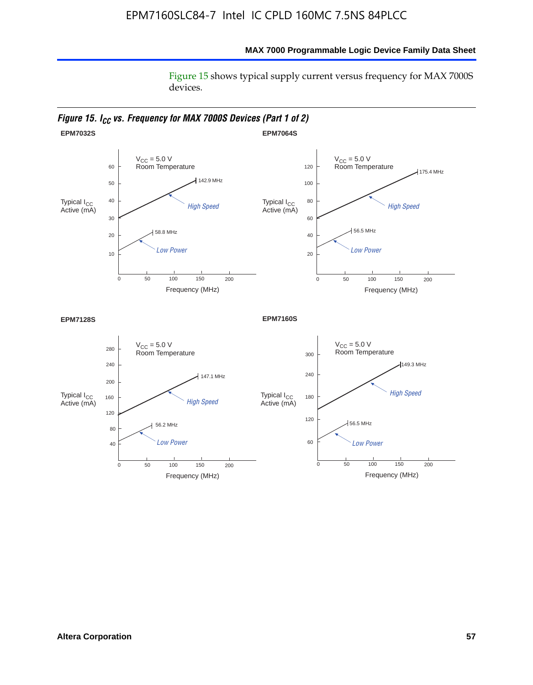### **MAX 7000 Programmable Logic Device Family Data Sheet**

Figure 15 shows typical supply current versus frequency for MAX 7000S devices.

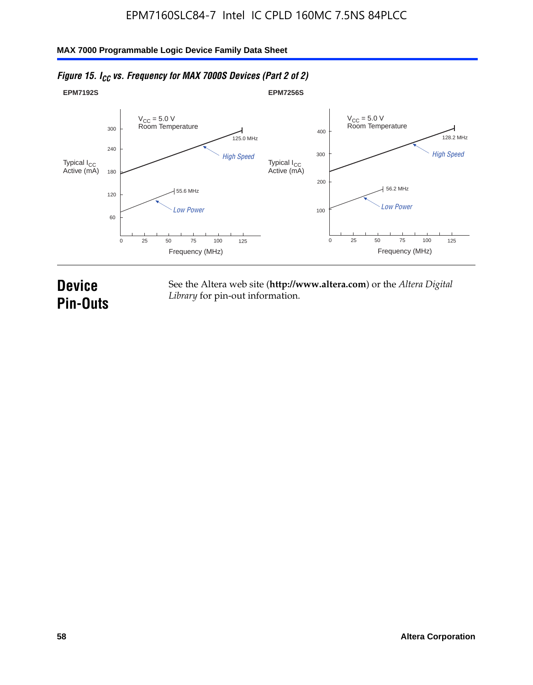#### **EPM7192S** V<sub>CC</sub> = 5.0 V<br>Room Temperature 0 Frequency (MHz) High Speed Low Power 25 100 125 125.0 MHz 55.6 MHz 60 120 180 240 300 50 75 **EPM7256S** V<sub>CC</sub> = 5.0 V<br>Room Temperature 0 Frequency (MHz) High Speed Low Power 25 100 125 128.2 MHz 56.2 MHz 100 200 300 400 50 75 Typical I<sub>CC</sub><br>Active (mA) Typical I<sub>CC</sub> Typical I<sub>CC</sub> Typical I<sub>C</sub> Typical I<sub>C</sub> Typical I<sub>C</sub> Typical I<sub>C</sub> Typical I<sub>C</sub> Typical I<sub>C</sub> Typical I<sub>C</sub> Typical I<sub>C</sub> Typical I<sub>C</sub> Typical I<sub>C</sub> Typical I<sub>C</sub> Typical I<sub>C</sub> Typical I<sub>C</sub> Typical I<sub>C</sub> Typical I<sub>C</sub> Typical I<sub>CC</sub><br>Active (mA)

### *Figure 15. I<sub>CC</sub> vs. Frequency for MAX 7000S Devices (Part 2 of 2)*

## **Device Pin-Outs**

See the Altera web site (**http://www.altera.com**) or the *Altera Digital Library* for pin-out information.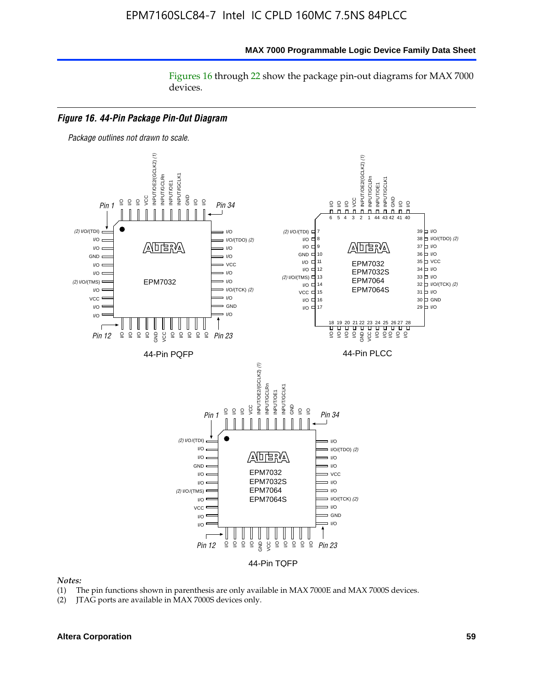#### **MAX 7000 Programmable Logic Device Family Data Sheet**

Figures 16 through 22 show the package pin-out diagrams for MAX 7000 devices.



#### *Notes:*

- (1) The pin functions shown in parenthesis are only available in MAX 7000E and MAX 7000S devices.
- (2) JTAG ports are available in MAX 7000S devices only.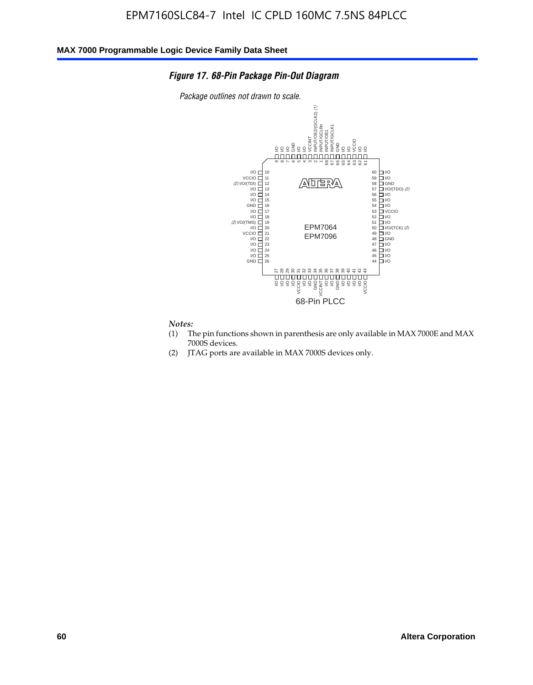### *Figure 17. 68-Pin Package Pin-Out Diagram*

*Package outlines not drawn to scale.*



## *Notes:*<br>(1) T

- The pin functions shown in parenthesis are only available in MAX 7000E and MAX 7000S devices.
- (2) JTAG ports are available in MAX 7000S devices only.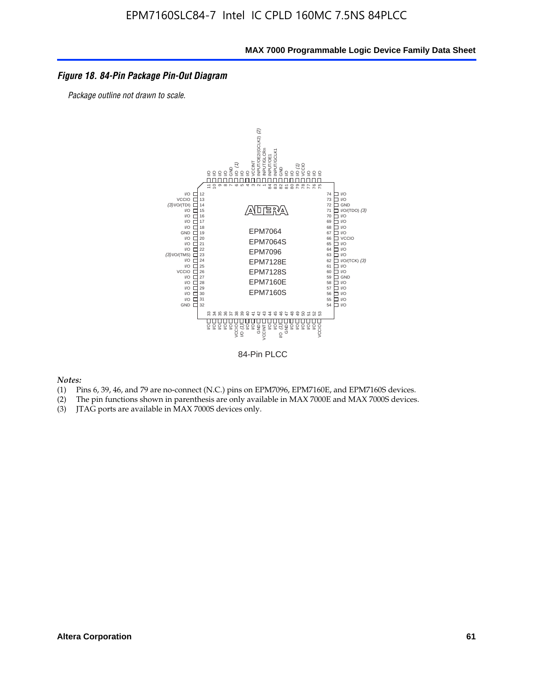#### *Figure 18. 84-Pin Package Pin-Out Diagram*

*Package outline not drawn to scale.*



84-Pin PLCC

*Notes:*

- (1) Pins 6, 39, 46, and 79 are no-connect (N.C.) pins on EPM7096, EPM7160E, and EPM7160S devices.
- (2) The pin functions shown in parenthesis are only available in MAX 7000E and MAX 7000S devices.
-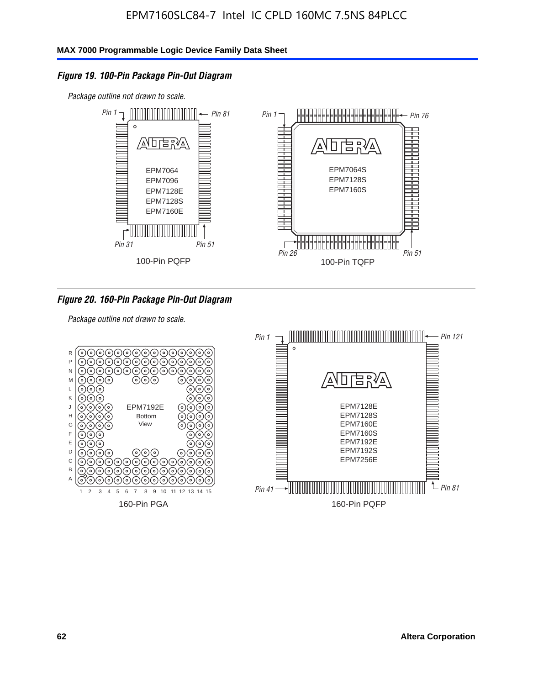### *Figure 19. 100-Pin Package Pin-Out Diagram*

*Package outline not drawn to scale.*



*Figure 20. 160-Pin Package Pin-Out Diagram*

*Package outline not drawn to scale.*

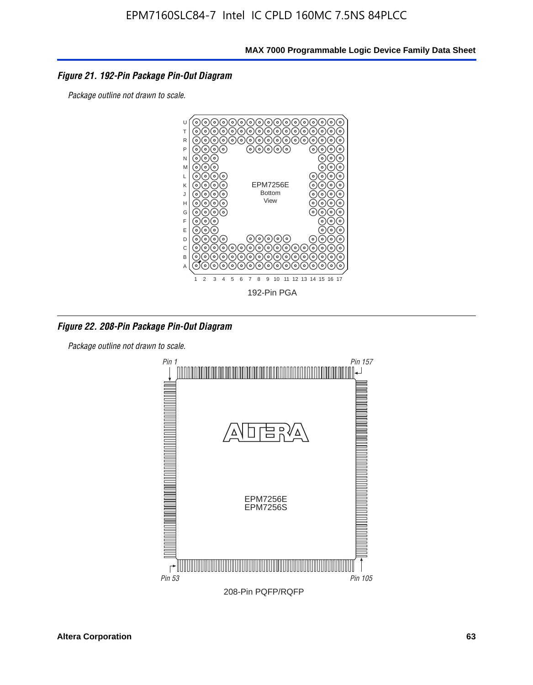### *Figure 21. 192-Pin Package Pin-Out Diagram*

*Package outline not drawn to scale.*



*Figure 22. 208-Pin Package Pin-Out Diagram*

*Package outline not drawn to scale.*

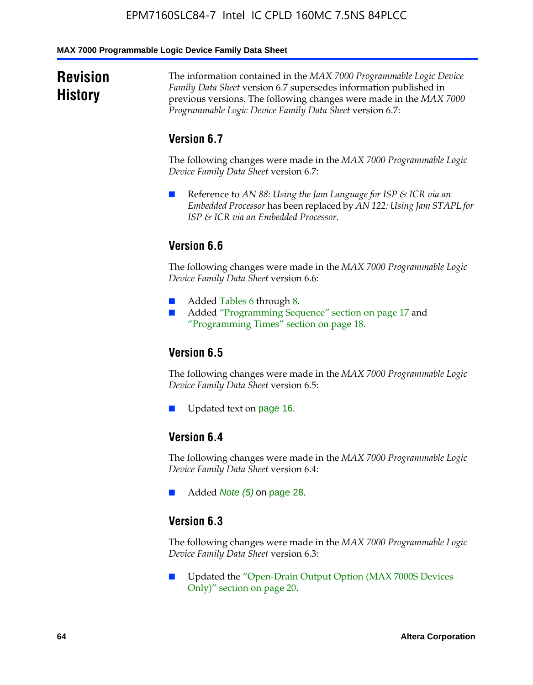#### **MAX 7000 Programmable Logic Device Family Data Sheet**

### **Revision History**

The information contained in the *MAX 7000 Programmable Logic Device Family Data Sheet* version 6.7 supersedes information published in previous versions. The following changes were made in the *MAX 7000 Programmable Logic Device Family Data Sheet* version 6.7:

### **Version 6.7**

The following changes were made in the *MAX 7000 Programmable Logic Device Family Data Sheet* version 6.7:

■ Reference to *AN 88: Using the Jam Language for ISP & ICR via an Embedded Processor* has been replaced by *AN 122: Using Jam STAPL for ISP & ICR via an Embedded Processor*.

### **Version 6.6**

The following changes were made in the *MAX 7000 Programmable Logic Device Family Data Sheet* version 6.6:

- Added Tables 6 through 8.
- Added "Programming Sequence" section on page 17 and "Programming Times" section on page 18.

### **Version 6.5**

The following changes were made in the *MAX 7000 Programmable Logic Device Family Data Sheet* version 6.5:

Updated text on page 16.

### **Version 6.4**

The following changes were made in the *MAX 7000 Programmable Logic Device Family Data Sheet* version 6.4:

■ Added *Note (5)* on page 28.

### **Version 6.3**

The following changes were made in the *MAX 7000 Programmable Logic Device Family Data Sheet* version 6.3:

■ Updated the "Open-Drain Output Option (MAX 7000S Devices Only)" section on page 20.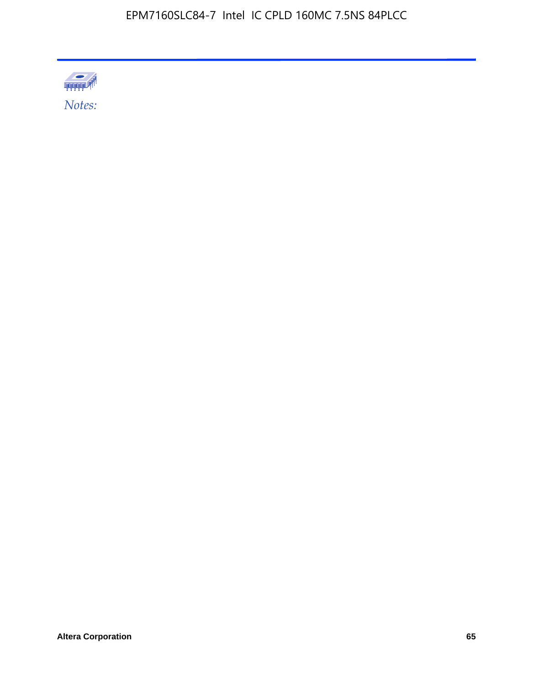

**Altera Corporation 65**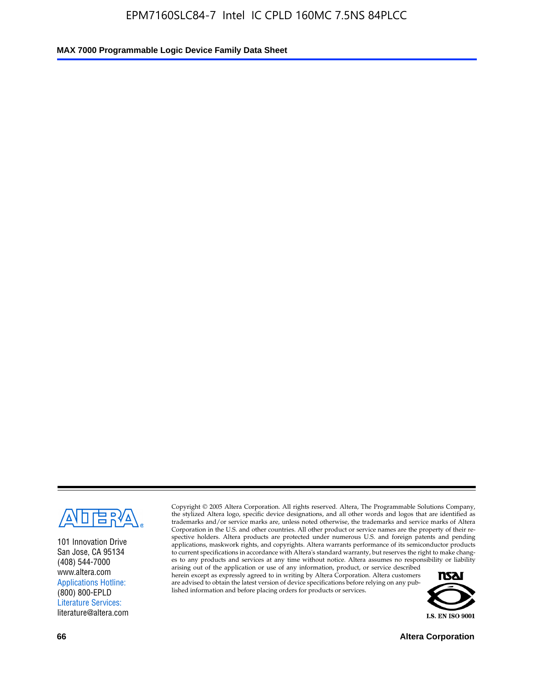

101 Innovation Drive San Jose, CA 95134 (408) 544-7000 www.altera.com Applications Hotline: (800) 800-EPLD Literature Services: literature@altera.com

Copyright © 2005 Altera Corporation. All rights reserved. Altera, The Programmable Solutions Company, the stylized Altera logo, specific device designations, and all other words and logos that are identified as trademarks and/or service marks are, unless noted otherwise, the trademarks and service marks of Altera Corporation in the U.S. and other countries. All other product or service names are the property of their respective holders. Altera products are protected under numerous U.S. and foreign patents and pending applications, maskwork rights, and copyrights. Altera warrants performance of its semiconductor products to current specifications in accordance with Altera's standard warranty, but reserves the right to make changes to any products and services at any time without notice. Altera assumes no responsibility or liability

arising out of the application or use of any information, product, or service described herein except as expressly agreed to in writing by Altera Corporation. Altera customers are advised to obtain the latest version of device specifications before relying on any published information and before placing orders for products or services.



**66 Altera Corporation**